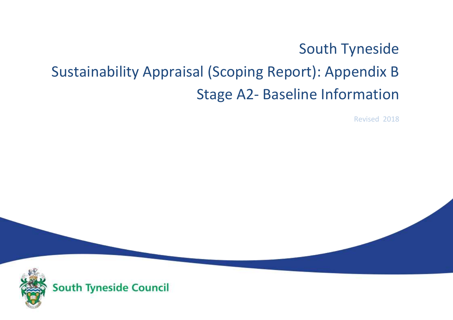## South Tyneside

## Sustainability Appraisal (Scoping Report): Appendix B Stage A2- Baseline Information

Revised 2018

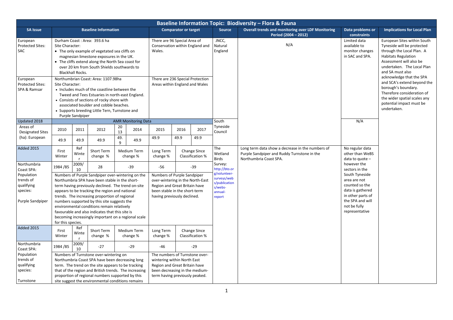|                                                                                                    |                                                                                                                                                                                                                                                                                                                                                                                                                                                                                                                                          |                              |                                                                                                                                                                                                                                                                                                                                                                                                                    |                 |                                |                                                                                                                                                                           |                             |                                                |                                                                                                          | Baseline Information Topic: Biodiversity - Flora & Fauna                                                                  |                                                                                                                                                                                  |                                                                                                                                                                                                   |
|----------------------------------------------------------------------------------------------------|------------------------------------------------------------------------------------------------------------------------------------------------------------------------------------------------------------------------------------------------------------------------------------------------------------------------------------------------------------------------------------------------------------------------------------------------------------------------------------------------------------------------------------------|------------------------------|--------------------------------------------------------------------------------------------------------------------------------------------------------------------------------------------------------------------------------------------------------------------------------------------------------------------------------------------------------------------------------------------------------------------|-----------------|--------------------------------|---------------------------------------------------------------------------------------------------------------------------------------------------------------------------|-----------------------------|------------------------------------------------|----------------------------------------------------------------------------------------------------------|---------------------------------------------------------------------------------------------------------------------------|----------------------------------------------------------------------------------------------------------------------------------------------------------------------------------|---------------------------------------------------------------------------------------------------------------------------------------------------------------------------------------------------|
| <b>SA Issue</b>                                                                                    |                                                                                                                                                                                                                                                                                                                                                                                                                                                                                                                                          |                              | <b>Baseline Information</b>                                                                                                                                                                                                                                                                                                                                                                                        |                 |                                |                                                                                                                                                                           | <b>Comparator or target</b> |                                                | Source                                                                                                   | <b>Overall trends and monitoring over LDF Monitoring</b><br>Period (2004 - 2012)                                          | Data problems or<br>constraints                                                                                                                                                  | <b>Implications for Local Plan</b>                                                                                                                                                                |
| European<br><b>Protected Sites:</b><br>SAC                                                         | Durham Coast: Area: 393.6 ha<br>There are 96 Special Area of<br>Site Character:<br>Conservation within England and<br>• The only example of vegetated sea cliffs on<br>Wales.<br>magnesian limestone exposures in the UK.<br>• The cliffs extend along the North Sea coast for<br>over 20 km from South Shields southwards to<br><b>Blackhall Rocks.</b><br>Northumbrian Coast: Area: 1107.98ha<br>There are 236 Special Protection<br>Site Character:<br>Areas within England and Wales<br>• Includes much of the coastline between the |                              |                                                                                                                                                                                                                                                                                                                                                                                                                    |                 |                                |                                                                                                                                                                           |                             |                                                | JNCC,<br>Natural<br>England                                                                              | N/A                                                                                                                       | Limited data<br>available to<br>monitor changes<br>in SAC and SPA.                                                                                                               | European Sites within South<br>Tyneside will be protected<br>through the Local Plan. A<br><b>Habitats Regulation</b><br>Assessment will also be<br>undertaken. The Local Plan<br>and SA must also |
| European<br><b>Protected Sites:</b><br>SPA & Ramsar                                                |                                                                                                                                                                                                                                                                                                                                                                                                                                                                                                                                          |                              | Tweed and Tees Estuaries in north-east England.<br>• Consists of sections of rocky shore with<br>associated boulder and cobble beaches.<br>• Supports breeding Little Tern, Turnstone and                                                                                                                                                                                                                          |                 |                                |                                                                                                                                                                           |                             |                                                |                                                                                                          |                                                                                                                           |                                                                                                                                                                                  | acknowledge that the SPA<br>and SCA's extend beyond the<br>borough's boundary.<br>Therefore consideration of<br>the wider spatial scales any<br>potential impact must be<br>undertaken.           |
| Updated 2018                                                                                       | Purple Sandpiper<br><b>AMR Monitoring Data</b>                                                                                                                                                                                                                                                                                                                                                                                                                                                                                           |                              |                                                                                                                                                                                                                                                                                                                                                                                                                    |                 |                                |                                                                                                                                                                           |                             |                                                | South                                                                                                    |                                                                                                                           | N/A                                                                                                                                                                              |                                                                                                                                                                                                   |
| Areas of<br><b>Designated Sites</b><br>(ha): European                                              | 2010                                                                                                                                                                                                                                                                                                                                                                                                                                                                                                                                     | 2011                         | 2012                                                                                                                                                                                                                                                                                                                                                                                                               | 20<br>13<br>49. | 2014                           | 2015<br>49.9                                                                                                                                                              | 2016<br>49.9                | 2017<br>49.9                                   | Tyneside<br>Council                                                                                      |                                                                                                                           |                                                                                                                                                                                  |                                                                                                                                                                                                   |
|                                                                                                    | 49.9                                                                                                                                                                                                                                                                                                                                                                                                                                                                                                                                     | 49.9                         | 49.9                                                                                                                                                                                                                                                                                                                                                                                                               | $\mathsf{q}$    | 49.9                           |                                                                                                                                                                           |                             |                                                |                                                                                                          |                                                                                                                           |                                                                                                                                                                                  |                                                                                                                                                                                                   |
| <b>Added 2015</b>                                                                                  | First<br>Winter                                                                                                                                                                                                                                                                                                                                                                                                                                                                                                                          | Ref<br>Winte<br>$\mathbf{r}$ | Short Term<br>change %                                                                                                                                                                                                                                                                                                                                                                                             |                 | Medium Term<br>change %        | Long Term<br>change %                                                                                                                                                     |                             | Change Since<br><b>Classification %</b>        | The<br>Wetland<br>Birds                                                                                  | Long term data show a decrease in the numbers of<br>Purple Sandpiper and Ruddy Turnstone in the<br>Northumbria Coast SPA. | No regular data<br>other than WeBS<br>data to quote $-$                                                                                                                          |                                                                                                                                                                                                   |
| Northumbria<br>Coast SPA:<br>Population<br>trends of<br>qualifying<br>species:<br>Purple Sandpiper | 1984/85                                                                                                                                                                                                                                                                                                                                                                                                                                                                                                                                  | 2009/                        | 28<br>Numbers of Purple Sandpiper over-wintering on the<br>Northumbria SPA have been stable in the short-<br>term having previously declined. The trend on-site<br>appears to be tracking the region and national<br>trends. The increasing proportion of regional<br>numbers supported by this site suggests the<br>environmental conditions remain relatively<br>favourable and also indicates that this site is |                 | $-39$                          | $-56$<br>Numbers of Purple Sandpiper<br>over-wintering in the North-East<br>Region and Great Britain have<br>been stable in the short-term<br>having previously declined. |                             | $-39$                                          | Survey:<br>http://bto.or<br>g/volunteer-<br>surveys/web<br>s/publication<br>s/webs-<br>annual-<br>report |                                                                                                                           | however the<br>sectors in the<br>South Tyneside<br>area are not<br>counted so the<br>data is gathered<br>in other parts of<br>the SPA and will<br>not be fully<br>representative |                                                                                                                                                                                                   |
|                                                                                                    | for this species.                                                                                                                                                                                                                                                                                                                                                                                                                                                                                                                        |                              | becoming increasingly important on a regional scale                                                                                                                                                                                                                                                                                                                                                                |                 |                                |                                                                                                                                                                           |                             |                                                |                                                                                                          |                                                                                                                           |                                                                                                                                                                                  |                                                                                                                                                                                                   |
| <b>Added 2015</b>                                                                                  | First<br>Winter                                                                                                                                                                                                                                                                                                                                                                                                                                                                                                                          | Ref<br>Winte<br><b>r</b>     | Short Term<br>change %                                                                                                                                                                                                                                                                                                                                                                                             |                 | <b>Medium Term</b><br>change % | Long Term<br>change %                                                                                                                                                     |                             | <b>Change Since</b><br><b>Classification %</b> |                                                                                                          |                                                                                                                           |                                                                                                                                                                                  |                                                                                                                                                                                                   |
| Northumbria<br>Coast SPA:                                                                          | 1984 / 85                                                                                                                                                                                                                                                                                                                                                                                                                                                                                                                                | 2009/<br>10                  | $-27$                                                                                                                                                                                                                                                                                                                                                                                                              |                 | $-29$                          | $-46$                                                                                                                                                                     |                             | $-29$                                          |                                                                                                          |                                                                                                                           |                                                                                                                                                                                  |                                                                                                                                                                                                   |
| Population<br>trends of<br>qualifying<br>species:<br>Turnstone                                     | Numbers of Turnstone over-wintering on<br>The numbers of Turnstone over-<br>Northumbria Coast SPA have been decreasing long<br>wintering within North East<br>term. The trend on the site appears to be tracking<br>Region and Great Britain have<br>that of the region and British trends. The increasing<br>been decreasing in the medium-<br>proportion of regional numbers supported by this<br>term having previously peaked.<br>site suggest the environmental conditions remains                                                  |                              |                                                                                                                                                                                                                                                                                                                                                                                                                    |                 |                                |                                                                                                                                                                           |                             |                                                |                                                                                                          |                                                                                                                           |                                                                                                                                                                                  |                                                                                                                                                                                                   |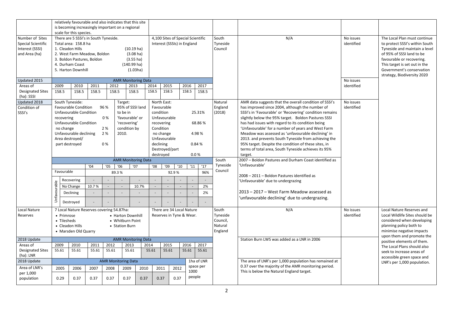|                                                                           | relatively favourable and also indicates that this site<br>is becoming increasingly important on a regional<br>scale for this species.<br>4,100 Sites of Special Scientific<br>There are 5 SSSI's in South Tyneside. |                                                                                                                                                                   |               |                                |                                                                                                                                                                                                                                                                                                                  |       |               |                             |                                                     |               |                              |                                                                                                                                                                                                                                                                                                                                                                                                                                                                                                                                                                                  |                         |                                                                                                                                                                                                                                                        |
|---------------------------------------------------------------------------|----------------------------------------------------------------------------------------------------------------------------------------------------------------------------------------------------------------------|-------------------------------------------------------------------------------------------------------------------------------------------------------------------|---------------|--------------------------------|------------------------------------------------------------------------------------------------------------------------------------------------------------------------------------------------------------------------------------------------------------------------------------------------------------------|-------|---------------|-----------------------------|-----------------------------------------------------|---------------|------------------------------|----------------------------------------------------------------------------------------------------------------------------------------------------------------------------------------------------------------------------------------------------------------------------------------------------------------------------------------------------------------------------------------------------------------------------------------------------------------------------------------------------------------------------------------------------------------------------------|-------------------------|--------------------------------------------------------------------------------------------------------------------------------------------------------------------------------------------------------------------------------------------------------|
| Number of Sites<br>Special Scientific<br>Interest (SSSI)<br>and Area (ha) |                                                                                                                                                                                                                      | Total area: 158.8 ha<br>1. Cleadon Hills<br>2. West Farm Meadow, Boldon<br>3. Boldon Pastures, Boldon<br>4. Durham Coast<br>5. Harton Downhill                    |               |                                | $(10.19)$ ha)<br>$(3.08)$ ha)<br>$(3.55)$ ha)<br>$(140.99)$ ha)<br>(1.03ha)                                                                                                                                                                                                                                      |       |               | Interest (SSSIs) in England |                                                     |               | South<br>Tyneside<br>Council | N/A                                                                                                                                                                                                                                                                                                                                                                                                                                                                                                                                                                              | No issues<br>identified | The Local Plan must continue<br>to protect SSSI's within South<br>Tyneside and maintain a level<br>of 95% of SSSI land to be<br>favourable or recovering.<br>This target is set out in the<br>Government's conservation<br>strategy, Biodiversity 2020 |
| Updated 2015                                                              |                                                                                                                                                                                                                      |                                                                                                                                                                   |               |                                | <b>AMR Monitoring Data</b>                                                                                                                                                                                                                                                                                       |       |               |                             |                                                     |               |                              |                                                                                                                                                                                                                                                                                                                                                                                                                                                                                                                                                                                  | No issues               |                                                                                                                                                                                                                                                        |
| Areas of<br><b>Designated Sites</b><br>(ha): SSSI                         | 2009<br>158.5                                                                                                                                                                                                        | 2010<br>158.5                                                                                                                                                     | 2011<br>158.5 | 2012<br>158.5                  | 2013<br>158.5                                                                                                                                                                                                                                                                                                    |       | 2014<br>158.5 | 2015<br>158.5               | 2016<br>158.5                                       | 2017<br>158.5 |                              |                                                                                                                                                                                                                                                                                                                                                                                                                                                                                                                                                                                  | identified              |                                                                                                                                                                                                                                                        |
| Updated 2018<br>Condition of<br>SSSI's                                    | recovering<br>no change                                                                                                                                                                                              | South Tyneside:<br><b>Favourable Condition</b><br>Unfavourable Condition<br>Unfavourable Condition<br>Unfavourable declining<br>Area destroyed/<br>part destroyed |               | 96 %<br>0%<br>2 %<br>2 %<br>0% | North East:<br>Target:<br>95% of SSSI land<br>Favourable<br>to be in<br>condition<br>25.31%<br>'favourable' or<br>Unfavourable<br>'recovering'<br>68.86%<br>recovering<br>condition by<br>Condition<br>2010.<br>no change<br>4.98%<br>Unfavourable<br>declining<br>0.84%<br>Destroyed/part<br>destroyed<br>0.0 % |       |               |                             |                                                     |               | Natural<br>England<br>(2018) | AMR data suggests that the overall condition of SSSI's<br>has improved since 2004, although the number of<br>SSSI's in 'Favourable' or 'Recovering' condition remains<br>slightly below the 95% target. Boldon Pastures SSSI<br>has had issues with regard to its condition being<br>'Unfavourable' for a number of years and West Farm<br>Meadow was assessed as 'unfavourable declining' in<br>2013. and prevents South Tyneside from achieving the<br>95% target. Despite the condition of these sites, in<br>terms of total area, South Tyneside achieves its 95%<br>target. | No issues<br>identified |                                                                                                                                                                                                                                                        |
|                                                                           |                                                                                                                                                                                                                      |                                                                                                                                                                   |               |                                | <b>AMR Monitoring Data</b>                                                                                                                                                                                                                                                                                       |       |               |                             |                                                     |               | South                        | 2007 - Boldon Pastures and Durham Coast identified as                                                                                                                                                                                                                                                                                                                                                                                                                                                                                                                            |                         |                                                                                                                                                                                                                                                        |
|                                                                           |                                                                                                                                                                                                                      |                                                                                                                                                                   | '04           | '05<br>'06                     | '07                                                                                                                                                                                                                                                                                                              |       | $^{\prime}08$ | '09                         | 10<br>'11                                           | '17           | Tyneside                     | 'Unfavourable'                                                                                                                                                                                                                                                                                                                                                                                                                                                                                                                                                                   |                         |                                                                                                                                                                                                                                                        |
|                                                                           | Favourable                                                                                                                                                                                                           |                                                                                                                                                                   |               | 89.3%                          |                                                                                                                                                                                                                                                                                                                  |       |               | 92.9%                       |                                                     | 96%           | Council                      |                                                                                                                                                                                                                                                                                                                                                                                                                                                                                                                                                                                  |                         |                                                                                                                                                                                                                                                        |
|                                                                           |                                                                                                                                                                                                                      | Recovering                                                                                                                                                        |               |                                |                                                                                                                                                                                                                                                                                                                  |       |               |                             |                                                     |               |                              | 2008 - 2011 - Boldon Pastures identified as<br>'Unfavourable' due to undergrazing                                                                                                                                                                                                                                                                                                                                                                                                                                                                                                |                         |                                                                                                                                                                                                                                                        |
|                                                                           |                                                                                                                                                                                                                      | No Change                                                                                                                                                         | 10.7%         |                                | $\mathcal{L}_{\mathcal{A}}$                                                                                                                                                                                                                                                                                      | 10.7% | ÷.            | $\mathcal{L}^{\mathcal{L}}$ | $\sim$                                              | 2%            |                              |                                                                                                                                                                                                                                                                                                                                                                                                                                                                                                                                                                                  |                         |                                                                                                                                                                                                                                                        |
|                                                                           |                                                                                                                                                                                                                      | Declining                                                                                                                                                         |               |                                |                                                                                                                                                                                                                                                                                                                  |       |               |                             |                                                     | 2%            |                              | 2013 – 2017 – West Farm Meadow assessed as                                                                                                                                                                                                                                                                                                                                                                                                                                                                                                                                       |                         |                                                                                                                                                                                                                                                        |
|                                                                           | Unfavourable                                                                                                                                                                                                         | Destroyed                                                                                                                                                         |               |                                |                                                                                                                                                                                                                                                                                                                  |       |               |                             |                                                     |               |                              | 'unfavourable declining' due to undergrazing.                                                                                                                                                                                                                                                                                                                                                                                                                                                                                                                                    |                         |                                                                                                                                                                                                                                                        |
| Local Nature<br>Reserves                                                  |                                                                                                                                                                                                                      | 7 Local Nature Reserves covering 54.87ha:<br>• Primrose<br>• Tilesheds<br>• Cleadon Hills<br>• Marsden Old Quarry                                                 |               |                                | There are 34 Local Nature<br>Reserves in Tyne & Wear.<br>• Harton Downhill<br>• Whitburn Point<br>• Station Burn                                                                                                                                                                                                 |       |               |                             | South<br>Tyneside<br>Council,<br>Natural<br>England | N/A           | No issues<br>identified      | Local Nature Reserves and<br>Local Wildlife Sites should be<br>considered when developing<br>planning policy both to<br>minimise negative impacts                                                                                                                                                                                                                                                                                                                                                                                                                                |                         |                                                                                                                                                                                                                                                        |
| 2018 Update                                                               |                                                                                                                                                                                                                      |                                                                                                                                                                   |               |                                | <b>AMR Monitoring Data</b>                                                                                                                                                                                                                                                                                       |       |               |                             |                                                     |               |                              | Station Burn LWS was added as a LNR in 2006                                                                                                                                                                                                                                                                                                                                                                                                                                                                                                                                      |                         | upon them and promote the<br>positive elements of them.                                                                                                                                                                                                |
| Areas of                                                                  | 2009                                                                                                                                                                                                                 | 2010                                                                                                                                                              | 2011          | 2012                           | 2013                                                                                                                                                                                                                                                                                                             | 2014  |               | 2015                        | 2016                                                | 2017          |                              |                                                                                                                                                                                                                                                                                                                                                                                                                                                                                                                                                                                  |                         | The Local Plans should also                                                                                                                                                                                                                            |
| <b>Designated Sites</b>                                                   | 55.61                                                                                                                                                                                                                | 55.61                                                                                                                                                             | 55.61         | 55.61                          | 55.61                                                                                                                                                                                                                                                                                                            | 55.61 |               | 55.61                       | 55.61                                               | 55.61         |                              |                                                                                                                                                                                                                                                                                                                                                                                                                                                                                                                                                                                  |                         | seek to increase areas of                                                                                                                                                                                                                              |
|                                                                           |                                                                                                                                                                                                                      |                                                                                                                                                                   |               |                                |                                                                                                                                                                                                                                                                                                                  |       |               |                             |                                                     |               |                              |                                                                                                                                                                                                                                                                                                                                                                                                                                                                                                                                                                                  |                         |                                                                                                                                                                                                                                                        |
| (ha): LNR                                                                 |                                                                                                                                                                                                                      |                                                                                                                                                                   |               |                                |                                                                                                                                                                                                                                                                                                                  |       |               |                             |                                                     |               |                              |                                                                                                                                                                                                                                                                                                                                                                                                                                                                                                                                                                                  |                         | accessible green space and                                                                                                                                                                                                                             |
| 2018 Update                                                               |                                                                                                                                                                                                                      |                                                                                                                                                                   |               |                                | <b>AMR Monitoring Data</b>                                                                                                                                                                                                                                                                                       |       |               |                             |                                                     | 1ha of LNR    |                              | The area of LNR's per 1,000 population has remained at                                                                                                                                                                                                                                                                                                                                                                                                                                                                                                                           |                         | LNR's per 1,000 population.                                                                                                                                                                                                                            |
| Area of LNR's<br>per 1,000                                                | 2005                                                                                                                                                                                                                 | 2006                                                                                                                                                              | 2007          | 2008                           | 2009                                                                                                                                                                                                                                                                                                             | 2010  | 2011          | 2012                        | 1000                                                | space per     |                              | 0.37 over the majority of the AMR monitoring period.<br>This is below the Natural England target.                                                                                                                                                                                                                                                                                                                                                                                                                                                                                |                         |                                                                                                                                                                                                                                                        |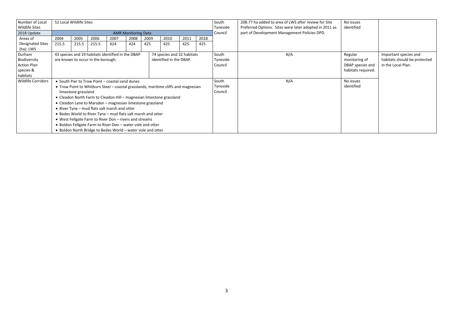| Number of Local<br>Wildlife Sites    |       | 52 Local Wildlife Sites                                                                                       |      |                                                             |                            |      |                                                                                    |      |      | South<br>Tyneside | 208.77 ha added to area of LWS after review for Site<br>Preferred Options. Sites were later adopted in 2011 as | No issues<br>identified |                              |
|--------------------------------------|-------|---------------------------------------------------------------------------------------------------------------|------|-------------------------------------------------------------|----------------------------|------|------------------------------------------------------------------------------------|------|------|-------------------|----------------------------------------------------------------------------------------------------------------|-------------------------|------------------------------|
| 2018 Update                          |       |                                                                                                               |      |                                                             | <b>AMR Monitoring Data</b> |      |                                                                                    |      |      | Council           | part of Development Management Policies DPD.                                                                   |                         |                              |
| Areas of                             | 2004  | 2005                                                                                                          | 2006 | 2007                                                        | 2008                       | 2009 | 2010                                                                               | 2011 | 2018 |                   |                                                                                                                |                         |                              |
| <b>Designated Sites</b><br>(ha): LWS | 215.5 | 424<br>424<br>425<br>425<br>425<br>215.5<br>215.5                                                             |      |                                                             |                            |      |                                                                                    |      | 425  |                   |                                                                                                                |                         |                              |
| Durham                               |       | 74 species and 32 habitats<br>43 species and 19 habitats identified in the DBAP                               |      |                                                             |                            |      |                                                                                    |      |      | South             | N/A                                                                                                            | Regular                 | Important species and        |
| Biodiversity                         |       | identified in the DBAP.<br>are known to occur in the borough.                                                 |      |                                                             |                            |      |                                                                                    |      |      |                   |                                                                                                                | monitoring of           | habitats should be protected |
| <b>Action Plan</b>                   |       |                                                                                                               |      |                                                             |                            |      |                                                                                    |      |      | Council           |                                                                                                                | DBAP species and        | in the Local Plan.           |
| species &                            |       |                                                                                                               |      |                                                             |                            |      |                                                                                    |      |      |                   |                                                                                                                | habitats required.      |                              |
| habitats                             |       |                                                                                                               |      |                                                             |                            |      |                                                                                    |      |      |                   |                                                                                                                |                         |                              |
| Wildlife Corridors                   |       |                                                                                                               |      | • South Pier to Trow Point – coastal sand dunes             |                            |      |                                                                                    |      |      | South             | N/A                                                                                                            | No issues               |                              |
|                                      |       |                                                                                                               |      |                                                             |                            |      | • Trow Point to Whitburn Steel – coastal grasslands, maritime cliffs and magnesian |      |      | Tyneside          |                                                                                                                | identified              |                              |
|                                      |       | limestone grassland                                                                                           |      |                                                             |                            |      |                                                                                    |      |      | Council           |                                                                                                                |                         |                              |
|                                      |       |                                                                                                               |      |                                                             |                            |      | • Cleadon North Farm to Cleadon Hill - magnesian limestone grassland               |      |      |                   |                                                                                                                |                         |                              |
|                                      |       |                                                                                                               |      | • Cleadon Lane to Marsden – magnesian limestone grassland   |                            |      |                                                                                    |      |      |                   |                                                                                                                |                         |                              |
|                                      |       |                                                                                                               |      |                                                             |                            |      |                                                                                    |      |      |                   |                                                                                                                |                         |                              |
|                                      |       | • River Tyne – mud flats salt marsh and otter<br>• Bedes World to River Tyne - mud flats salt marsh and otter |      |                                                             |                            |      |                                                                                    |      |      |                   |                                                                                                                |                         |                              |
|                                      |       | • West Fellgate Farm to River Don - rivers and streams                                                        |      |                                                             |                            |      |                                                                                    |      |      |                   |                                                                                                                |                         |                              |
|                                      |       |                                                                                                               |      | • Boldon Fellgate Farm to River Don - water vole and otter  |                            |      |                                                                                    |      |      |                   |                                                                                                                |                         |                              |
|                                      |       |                                                                                                               |      | • Boldon North Bridge to Bedes World – water vole and otter |                            |      |                                                                                    |      |      |                   |                                                                                                                |                         |                              |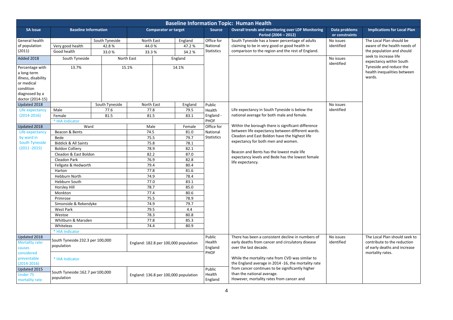|                                                                                                                        |                                                 |                |            |                                       |                                       |                                     | <b>Baseline Information Topic: Human Health</b>                                                                                |                                 |                                                                                              |
|------------------------------------------------------------------------------------------------------------------------|-------------------------------------------------|----------------|------------|---------------------------------------|---------------------------------------|-------------------------------------|--------------------------------------------------------------------------------------------------------------------------------|---------------------------------|----------------------------------------------------------------------------------------------|
| <b>SA Issue</b>                                                                                                        | <b>Baseline Information</b>                     |                |            | <b>Comparator or target</b>           |                                       | <b>Source</b>                       | <b>Overall trends and monitoring over LDF Monitoring</b><br>Period (2004 - 2012)                                               | Data problems<br>or constraints | <b>Implications for Local Plan</b>                                                           |
| General health                                                                                                         |                                                 | South Tyneside | North East |                                       | England                               | Office for                          | South Tyneside has a lower percentage of adults                                                                                | No issues                       | The Local Plan should be                                                                     |
| of population                                                                                                          | Very good health                                | 42.8%          | 44.0%      |                                       | 47.2%                                 | National                            | claiming to be in very good or good health in                                                                                  | identified                      | aware of the health needs of                                                                 |
| (2011)                                                                                                                 | Good health                                     | 33.0%          | 33.3%      |                                       | 34.2%                                 | <b>Statistics</b>                   | comparison to the region and the rest of England.                                                                              |                                 | the population and should                                                                    |
| Added 2018                                                                                                             | South Tyneside                                  |                | North East |                                       | England                               |                                     |                                                                                                                                | No issues<br>identified         | seek to increase life<br>expectancy within South                                             |
| Percentage with<br>a long-term<br>illness, disability<br>or medical<br>condition<br>diagnosed by a<br>doctor (2014-15) | 13.7%<br>South Tyneside<br>Male<br>77.6         |                | 15.1%      |                                       | 14.1%                                 |                                     |                                                                                                                                |                                 | Tyneside and reduce the<br>health inequalities between<br>wards.                             |
| Updated 2018                                                                                                           |                                                 |                | North East |                                       | England                               | Public                              |                                                                                                                                | No issues                       |                                                                                              |
| Life expectancy                                                                                                        |                                                 |                | 77.8       |                                       | 79.5                                  | Health                              | Life expectancy in South Tyneside is below the                                                                                 | identified                      |                                                                                              |
| $(2014 - 2016)$                                                                                                        | 81.5<br>Female                                  |                | 81.5       |                                       | 83.1                                  | England -                           | national average for both male and female.                                                                                     |                                 |                                                                                              |
|                                                                                                                        | * HIA Indicator                                 |                |            |                                       |                                       | PHOF                                |                                                                                                                                |                                 |                                                                                              |
| Updated 2018                                                                                                           | Ward                                            |                | Male       |                                       | Female                                | Office for                          | Within the borough there is significant difference                                                                             |                                 |                                                                                              |
| Life expectancy                                                                                                        | Beacon & Bents                                  |                | 74.5       |                                       | 81.0                                  | National                            | between life expectancy between different wards.                                                                               |                                 |                                                                                              |
| by ward in                                                                                                             | Bede                                            |                | 75.5       |                                       | 79.7                                  | <b>Statistics</b>                   | Cleadon and East Boldon have the highest life                                                                                  |                                 |                                                                                              |
| <b>South Tyneside</b>                                                                                                  | <b>Biddick &amp; All Saints</b>                 |                | 75.8       |                                       | 78.1                                  |                                     | expectancy for both men and women.                                                                                             |                                 |                                                                                              |
| $(2011 - 2015)$                                                                                                        | <b>Boldon Colliery</b>                          |                | 78.9       |                                       | 82.1                                  |                                     |                                                                                                                                |                                 |                                                                                              |
|                                                                                                                        | Cleadon & East Boldon                           |                | 82.2       |                                       | 87.0                                  |                                     | Beacon and Bents has the lowest male life                                                                                      |                                 |                                                                                              |
|                                                                                                                        | Cleadon Park                                    |                | 76.9       |                                       | 82.8                                  |                                     | expectancy levels and Bede has the lowest female                                                                               |                                 |                                                                                              |
|                                                                                                                        | Fellgate & Hedworth                             |                | 79.4       |                                       | 80.4                                  |                                     | life expectancy.                                                                                                               |                                 |                                                                                              |
|                                                                                                                        | Harton                                          |                | 77.8       |                                       | 81.6                                  |                                     |                                                                                                                                |                                 |                                                                                              |
|                                                                                                                        | Hebburn North                                   |                | 74.9       |                                       | 78.4                                  |                                     |                                                                                                                                |                                 |                                                                                              |
|                                                                                                                        | Hebburn South                                   |                | 77.0       |                                       | 83.1                                  |                                     |                                                                                                                                |                                 |                                                                                              |
|                                                                                                                        | <b>Horsley Hill</b>                             |                | 78.7       |                                       | 85.0                                  |                                     |                                                                                                                                |                                 |                                                                                              |
|                                                                                                                        | Monkton                                         |                | 77.4       |                                       | 80.6                                  |                                     |                                                                                                                                |                                 |                                                                                              |
|                                                                                                                        | Primrose                                        |                | 75.5       |                                       | 78.9                                  |                                     |                                                                                                                                |                                 |                                                                                              |
|                                                                                                                        | Simonside & Rekendyke                           |                | 74.9       |                                       | 79.7                                  |                                     |                                                                                                                                |                                 |                                                                                              |
|                                                                                                                        | West Park                                       |                | 79.5       |                                       | 4.4                                   |                                     |                                                                                                                                |                                 |                                                                                              |
|                                                                                                                        | Westoe                                          |                | 78.3       |                                       | 80.8                                  |                                     |                                                                                                                                |                                 |                                                                                              |
|                                                                                                                        | Whitburn & Marsden                              |                | 77.8       |                                       | 85.3                                  |                                     |                                                                                                                                |                                 |                                                                                              |
|                                                                                                                        | Whiteleas                                       |                | 74.4       |                                       | 80.9                                  |                                     |                                                                                                                                |                                 |                                                                                              |
|                                                                                                                        | * HIA Indicator                                 |                |            |                                       |                                       |                                     |                                                                                                                                |                                 |                                                                                              |
| Updated 2018<br>Mortality rate:<br>causes                                                                              | South Tyneside 232.3 per 100,000<br>population  |                |            |                                       | England: 182.8 per 100,000 population | Public<br>Health<br>England<br>PHOF | There has been a consistent decline in numbers of<br>early deaths from cancer and circulatory disease<br>over the last decade. | No issues<br>identified         | The Local Plan should seek to<br>contribute to the reduction<br>of early deaths and increase |
| considered<br>preventable<br>$(2014 - 2016)$                                                                           | * HIA Indicator                                 |                |            |                                       |                                       |                                     | While the mortality rate from CVD was similar to<br>the England average in 2014 -16, the mortality rate                        |                                 | mortality rates.                                                                             |
| Updated 2015<br>Under 75<br>mortality rate                                                                             | South Tyneside: 162.7 per 100,000<br>population |                |            | England: 136.8 per 100,000 population |                                       | Public<br>Health<br>England         | from cancer continues to be significantly higher<br>than the national average.<br>However, mortality rates from cancer and     |                                 |                                                                                              |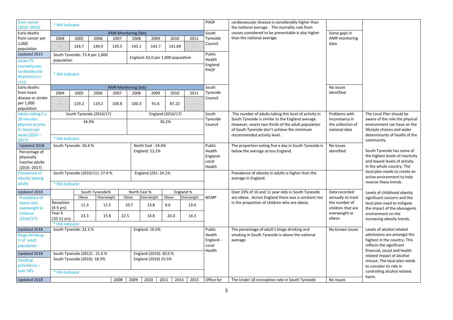| from cancer<br>$(2010 - 2012)$                                    | * HIA Indicator                                              |                                                                                                                 |                 |       |                            |                                    |       |                 |                | PHOF                                  | cardiovascular disease is considerably higher than                                                          |                                     |                                                                                                                              |
|-------------------------------------------------------------------|--------------------------------------------------------------|-----------------------------------------------------------------------------------------------------------------|-----------------|-------|----------------------------|------------------------------------|-------|-----------------|----------------|---------------------------------------|-------------------------------------------------------------------------------------------------------------|-------------------------------------|------------------------------------------------------------------------------------------------------------------------------|
| Early deaths                                                      |                                                              |                                                                                                                 |                 |       | <b>AMR Monitoring Data</b> |                                    |       |                 |                | South                                 | the national average. The mortality rate from<br>causes considered to be preventable is also higher         | Some gaps in                        |                                                                                                                              |
| from cancer per                                                   | 2004                                                         | 2005                                                                                                            | 2006            | 2007  | 2008                       | 2009                               |       | 2010            | 2011           | Tyneside                              | than the national average.                                                                                  | AMR monitoring                      |                                                                                                                              |
| 1,000<br>population                                               |                                                              | 154.7                                                                                                           | 149.9           | 145.5 | 145.1                      | 143.7                              |       | 141.69          |                | Council                               |                                                                                                             | data                                |                                                                                                                              |
| Updated 2015<br>Under <sub>75</sub>                               | population                                                   | South Tyneside: 73.4 per 1,000                                                                                  |                 |       |                            | England: 62.0 per 1,000 population |       |                 |                | Public<br>Health                      |                                                                                                             |                                     |                                                                                                                              |
| mortalityrate<br>cardiovascular<br>diseases(2010<br>2012)         |                                                              | * HIA Indicator<br><b>AMR Monitoring Data</b>                                                                   |                 |       |                            |                                    |       |                 |                | England<br>PHOF                       |                                                                                                             |                                     |                                                                                                                              |
| Early deaths                                                      |                                                              |                                                                                                                 |                 |       |                            |                                    |       | South           |                | No issues                             |                                                                                                             |                                     |                                                                                                                              |
| from heart                                                        | 2010<br>2004<br>2005<br>2006<br>2007<br>2008<br>2009<br>2011 |                                                                                                                 |                 |       |                            |                                    |       | Tyneside        |                | identified                            |                                                                                                             |                                     |                                                                                                                              |
| disease or stroke<br>per 1,000                                    |                                                              | 119.2                                                                                                           | 119.2           | 104.8 | 100.3                      | 91.6                               |       | 87.22           | $\blacksquare$ | Council                               |                                                                                                             |                                     |                                                                                                                              |
| population<br><b>Adults taking 5 x</b>                            |                                                              |                                                                                                                 |                 |       |                            |                                    |       |                 |                | South                                 | The number of adults taking this level of activity in                                                       | Problems with                       | The Local Plan should be                                                                                                     |
| 30 minutes<br>physical activity                                   |                                                              | South Tyneside (2016/17)<br>England (2016/17)<br>34.9%<br>36.2%                                                 |                 |       |                            |                                    |       |                 |                | Tyneside<br>Council                   | South Tyneside is similar to the England average.<br>However, nearly two thirds of the adult population     | inconstancy in<br>the collection of | aware of the role the physical<br>environment can have on the                                                                |
| 5+ times per<br>week (2016 –<br>2017)                             |                                                              | * HIA Indicator                                                                                                 |                 |       |                            |                                    |       |                 |                |                                       | of South Tyneside don't achieve the minimum<br>recommended activity level.                                  | national data                       | lifestyle choices and wider<br>determinants of health of the<br>community.                                                   |
| Updated 2018                                                      |                                                              | South Tyneside: 26.4 %                                                                                          |                 |       |                            | North East: 24.6%                  |       |                 |                | Public                                | The proportion eating five a day in South Tyneside is                                                       | No issues                           |                                                                                                                              |
| Percentage of<br>physically<br>inactive adults<br>$(2016 - 2017)$ |                                                              |                                                                                                                 |                 |       |                            | England: 22.2%                     |       |                 |                | Health<br>England-<br>Local<br>Health | below the average across England.                                                                           | identified                          | South Tyneside has some of<br>the highest levels of inactivity<br>and lowest levels of activity<br>in the whole country. The |
| <b>Prevalence of</b><br>obesity among                             |                                                              | South Tyneside (2010/11): 27.4 %                                                                                |                 |       |                            | England (201: 24.1%)               |       |                 |                |                                       | Prevalence of obesity in adults is higher than the<br>average in England.                                   |                                     | local plan needs to create an<br>active environment to help                                                                  |
| adults                                                            | * HIA Indicator                                              |                                                                                                                 |                 |       |                            |                                    |       |                 |                |                                       |                                                                                                             |                                     | reverse these trends.                                                                                                        |
| Updated 2018                                                      |                                                              |                                                                                                                 | South Tyneside% |       |                            | North East %                       |       |                 | England %      |                                       | Over 23% of 10 and 11 year olds in South Tyneside                                                           | Data recorded                       | Levels of childhood obesity                                                                                                  |
| Prevalence of                                                     |                                                              | Obese                                                                                                           | Overweight      |       | Obese                      | Overweight                         | Obese |                 | Overweight     | <b>NCMP</b>                           | are obese. Across England there was a constant rise                                                         | annually to track                   | significant concern and the                                                                                                  |
| obese and<br>overweight in                                        | Reception<br>(4-5 yrs)                                       | 11.3                                                                                                            | 11.5            |       | 10.7                       | 13.8                               | 9.6   |                 | 13.0           |                                       | in the proportion of children who are obese.                                                                | the number of<br>children that are  | local plan need to mitigate<br>the impact of the obesogenic                                                                  |
| Children<br>$(2016/17)$ :                                         | Year 6<br>$(10-11 \text{ yrs})$                              | 23.3                                                                                                            | 15.8            |       | 22.5                       | 14.8                               |       | 20.0            | 14.3           |                                       |                                                                                                             | overweight or<br>obese.             | environment on the<br>increasing obesity trends.                                                                             |
|                                                                   | * HIA Indicator                                              |                                                                                                                 |                 |       |                            |                                    |       |                 |                |                                       |                                                                                                             |                                     | Levels of alcohol related                                                                                                    |
| Updated 2018<br><b>Binge Drinking-</b><br>% of adult              |                                                              | South Tyneside: 22.3 %<br>England: 16.5%                                                                        |                 |       |                            |                                    |       |                 |                | Public<br>Health<br>England -         | The percentage of adult's binge drinking and<br>smoking in South Tyneside is above the national<br>average. | No known issues                     | admissions are amongst the<br>highest in the country. This                                                                   |
| population                                                        |                                                              |                                                                                                                 |                 |       |                            |                                    |       | Local<br>Health |                |                                       | reflects the significant<br>financial, social and health                                                    |                                     |                                                                                                                              |
| Updated 2018<br><b>Smoking</b><br>prevalence-                     |                                                              | South Tyneside (2012): 21.6 %<br>England (2010): 20.0 %<br>South Tyneside (2016): 18.5%<br>England (2016) 15.5% |                 |       |                            |                                    |       |                 |                |                                       |                                                                                                             |                                     | related impact of alcohol<br>misuse. The local plan needs<br>to consider its role in                                         |
| over 18's                                                         | * HIA Indicator                                              |                                                                                                                 |                 |       |                            |                                    |       |                 |                |                                       |                                                                                                             |                                     | controlling alcohol related                                                                                                  |
| Updated 2018                                                      |                                                              |                                                                                                                 |                 | 2008  | 2009                       | 2010                               | 2011  | 2014            | 2015           | Office for                            | The Under 18 conception rate in South Tyneside                                                              | No issues                           | harm.                                                                                                                        |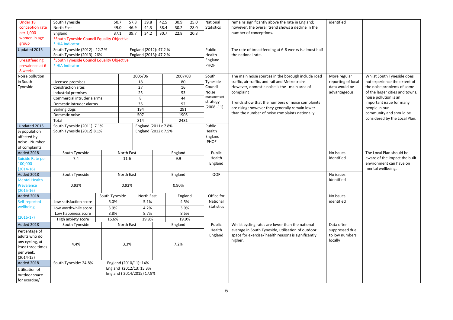| Under 18                             | South Tyneside                             | 50.7           | 57.8                    | 39.8                      | 42.5 | 30.9    | 25.0 | National          | remains significantly above the rate in England;      | identified         |                                 |
|--------------------------------------|--------------------------------------------|----------------|-------------------------|---------------------------|------|---------|------|-------------------|-------------------------------------------------------|--------------------|---------------------------------|
| conception rate                      | North East                                 | 49.0           | 46.9                    | 44.3                      | 38.4 | 30.2    | 28.0 | <b>Statistics</b> | however, the overall trend shows a decline in the     |                    |                                 |
| per 1,000                            | England                                    | 37.1           | 39.7                    | 34.2                      | 30.7 | 22.8    | 20.8 |                   | number of conceptions.                                |                    |                                 |
| women in age                         | *South Tyneside Council Equality Objective |                |                         |                           |      |         |      |                   |                                                       |                    |                                 |
| group                                | * HIA Indicator                            |                |                         |                           |      |         |      |                   |                                                       |                    |                                 |
| Updated 2015                         | South Tyneside (2012): 22.7%               |                |                         | England (2012): 47.2 %    |      |         |      | Public            | The rate of breastfeeding at 6-8 weeks is almost half |                    |                                 |
|                                      | South Tyneside (2013): 26%                 |                |                         | England (2013): 47.2 %    |      |         |      | Health            | the national rate.                                    |                    |                                 |
| <b>Breastfeeding</b>                 | *South Tyneside Council Equality Objective |                |                         |                           |      |         |      | England           |                                                       |                    |                                 |
| prevalence at 6-                     | * HIA Indicator                            |                |                         |                           |      |         |      | PHOF              |                                                       |                    |                                 |
| 8 weeks                              |                                            |                |                         |                           |      |         |      |                   |                                                       |                    |                                 |
| Noise pollution                      |                                            |                |                         | 2005/06                   |      | 2007/08 |      | South             | The main noise sources in the borough include road    | More regular       | Whilst South Tyneside does      |
| in South                             | Licensed premises                          |                |                         | 18                        |      | 80      |      | Tyneside          | traffic, air traffic, and rail and Metro trains.      | reporting of local | not experience the extent of    |
| Tyneside                             | Construction sites                         |                |                         | $\overline{27}$           |      | 16      |      | Council           | However, domestic noise is the main area of           | data would be      | the noise problems of some      |
|                                      | Industrial premises                        |                |                         | 25                        |      | 53      |      | <b>Noise</b>      | complaint                                             | advantageous.      | of the larger cities and towns, |
|                                      | Commercial intruder alarms                 |                |                         | 8                         |      | 44      |      | management        |                                                       |                    | noise pollution is an           |
|                                      | Domestic intruder alarms                   |                |                         | 35                        |      | 92      |      | strategy          | Trends show that the numbers of noise complaints      |                    | important issue for many        |
|                                      | <b>Barking dogs</b>                        |                |                         | 194                       |      | 291     |      | (2008 -11)        | are rising; however they generally remain lower       |                    | people in our                   |
|                                      | Domestic noise                             |                |                         | 507                       |      | 1905    |      |                   | than the number of noise complaints nationally.       |                    | community and should be         |
|                                      | Total                                      |                |                         | 814                       |      | 2481    |      |                   |                                                       |                    | considered by the Local Plan.   |
| Updated 2015                         | South Tyneside (2011): 7.1%                |                |                         | England (2011): 7.8%      |      |         |      | Public            |                                                       |                    |                                 |
| % population                         | South Tyneside (2012):8.1%                 |                |                         |                           |      |         |      | Health            |                                                       |                    |                                 |
| affected by                          |                                            |                |                         | England (2012): 7.5%      |      |         |      | England           |                                                       |                    |                                 |
| noise - Number                       |                                            |                |                         |                           |      |         |      | -PHOF             |                                                       |                    |                                 |
| of complaints                        |                                            |                |                         |                           |      |         |      |                   |                                                       |                    |                                 |
|                                      |                                            |                |                         |                           |      |         |      |                   |                                                       |                    |                                 |
| Added 2018                           | South Tyneside                             |                | North East              |                           |      | England |      | Public            |                                                       | No issues          | The Local Plan should be        |
| Suicide Rate per                     | 7.4                                        |                | 11.6                    |                           |      | 9.9     |      | Health            |                                                       | identified         | aware of the impact the built   |
| 100,000                              |                                            |                |                         |                           |      |         |      | England           |                                                       |                    | environment can have on         |
| $(2014-16)$                          |                                            |                |                         |                           |      |         |      |                   |                                                       |                    | mental wellbeing.               |
| Added 2018                           | South Tyneside                             |                | North East              |                           |      | England |      | QOF               |                                                       | No issues          |                                 |
| <b>Mental Health</b>                 |                                            |                |                         |                           |      |         |      |                   |                                                       | identified         |                                 |
| Prevalence                           | 0.93%                                      |                | 0.92%                   |                           |      | 0.90%   |      |                   |                                                       |                    |                                 |
| $(2015-16)$                          |                                            |                |                         |                           |      |         |      |                   |                                                       |                    |                                 |
| Added 2018                           |                                            | South Tyneside |                         | North East                |      | England |      | Office for        |                                                       | No issues          |                                 |
| Self-reported                        | Low satisfaction score                     | 6.0%           |                         | 5.1%                      |      | 4.5%    |      | National          |                                                       | identified         |                                 |
| wellbeing                            | Low worthwhile score                       | 3.9%           |                         | 4.2%                      |      | 3.9%    |      | <b>Statistics</b> |                                                       |                    |                                 |
|                                      | Low happiness score                        | 8.8%           |                         | 8.7%                      |      | 8.5%    |      |                   |                                                       |                    |                                 |
| $(2016-17)$                          | High anxiety score                         | 16.6%          |                         | 19.8%                     |      | 19.9%   |      |                   |                                                       |                    |                                 |
| Added 2018                           | South Tyneside                             |                | North East              |                           |      | England |      | Public            | Whilst cycling rates are lower than the national      | Data often         |                                 |
|                                      |                                            |                |                         |                           |      |         |      | Health            | average in South Tyneside, utilisation of outdoor     | suppressed due     |                                 |
| Percentage of<br>adults who do       |                                            |                |                         |                           |      |         |      | England           | space for exercise/ health reasons is significantly   | to low numbers     |                                 |
|                                      |                                            |                |                         |                           |      |         |      |                   | higher.                                               | locally            |                                 |
| any cycling, at<br>least three times | 4.4%                                       |                | 3.3%                    |                           |      | 7.2%    |      |                   |                                                       |                    |                                 |
| per week.                            |                                            |                |                         |                           |      |         |      |                   |                                                       |                    |                                 |
| $(2014-15)$                          |                                            |                |                         |                           |      |         |      |                   |                                                       |                    |                                 |
| Added 2018                           | South Tyneside: 24.8%                      |                | England (2010/11): 14%  |                           |      |         |      |                   |                                                       |                    |                                 |
|                                      |                                            |                | England (2012/13: 15.3% |                           |      |         |      |                   |                                                       |                    |                                 |
| Utilisation of<br>outdoor space      |                                            |                |                         | England (2014/2015) 17.9% |      |         |      |                   |                                                       |                    |                                 |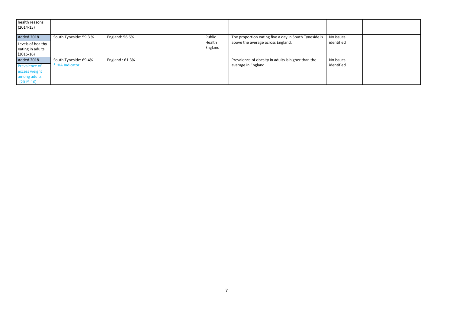| health reasons<br>$(2014-15)$ |                        |                  |         |                                                       |            |  |
|-------------------------------|------------------------|------------------|---------|-------------------------------------------------------|------------|--|
| Added 2018                    | South Tyneside: 59.3 % | England: 56.6%   | Public  | The proportion eating five a day in South Tyneside is | No issues  |  |
| Levels of healthy             |                        |                  | Health  | above the average across England.                     | identified |  |
| eating in adults              |                        |                  | England |                                                       |            |  |
| $(2015-16)$                   |                        |                  |         |                                                       |            |  |
| Added 2018                    | South Tyneside: 69.4%  | England: $61.3%$ |         | Prevalence of obesity in adults is higher than the    | No issues  |  |
| Prevalence of                 | * HIA Indicator        |                  |         | average in England.                                   | identified |  |
| excess weight                 |                        |                  |         |                                                       |            |  |
| among adults                  |                        |                  |         |                                                       |            |  |
| $(2015-16)$                   |                        |                  |         |                                                       |            |  |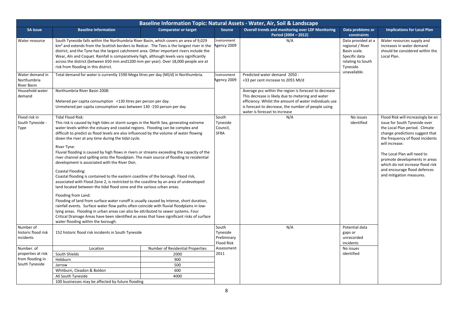|                                                      |                                                                                                                                                                                                                                                                                                                                                                                                                                                                                                                                                                                                                                                                                                                                                                                                                                                                                                                                                                                                                                                                                                                                                                                                                                                                                                                                                 |                                  |                                                | Baseline Information Topic: Natural Assets - Water, Air, Soil & Landscape                                                                                                                                                                                    |                                                                                                          |                                                                                                                                                                                                                                                                                                                                                                |
|------------------------------------------------------|-------------------------------------------------------------------------------------------------------------------------------------------------------------------------------------------------------------------------------------------------------------------------------------------------------------------------------------------------------------------------------------------------------------------------------------------------------------------------------------------------------------------------------------------------------------------------------------------------------------------------------------------------------------------------------------------------------------------------------------------------------------------------------------------------------------------------------------------------------------------------------------------------------------------------------------------------------------------------------------------------------------------------------------------------------------------------------------------------------------------------------------------------------------------------------------------------------------------------------------------------------------------------------------------------------------------------------------------------|----------------------------------|------------------------------------------------|--------------------------------------------------------------------------------------------------------------------------------------------------------------------------------------------------------------------------------------------------------------|----------------------------------------------------------------------------------------------------------|----------------------------------------------------------------------------------------------------------------------------------------------------------------------------------------------------------------------------------------------------------------------------------------------------------------------------------------------------------------|
| <b>SA Issue</b>                                      | <b>Baseline Information</b>                                                                                                                                                                                                                                                                                                                                                                                                                                                                                                                                                                                                                                                                                                                                                                                                                                                                                                                                                                                                                                                                                                                                                                                                                                                                                                                     | <b>Comparator or target</b>      | Source                                         | <b>Overall trends and monitoring over LDF Monitoring</b><br>Period (2004 - 2012)                                                                                                                                                                             | Data problems or<br>constraints                                                                          | <b>Implications for Local Plan</b>                                                                                                                                                                                                                                                                                                                             |
| Water resource                                       | South Tyneside falls within the Northumbria River Basin, which covers an area of 9,029<br>km <sup>2</sup> and extends from the Scottish borders to Redcar. The Tees is the longest river in the<br>district, and the Tyne has the largest catchment area. Other important rivers include the<br>Wear, Aln and Coquet. Rainfall is comparatively high, although levels vary significantly<br>across the district (between 650 mm and 1200 mm per year). Over 18,000 people are at<br>risk from flooding in this district.                                                                                                                                                                                                                                                                                                                                                                                                                                                                                                                                                                                                                                                                                                                                                                                                                        |                                  | Environment<br>Agency 2009                     | N/A                                                                                                                                                                                                                                                          | Data provided at a<br>regional / River<br>Basin scale.<br>Specific data<br>relating to South<br>Tyneside | Water resources supply and<br>increases in water demand<br>should be considered within the<br>Local Plan.                                                                                                                                                                                                                                                      |
| Water demand in<br>Northumbria<br><b>River Basin</b> | Total demand for water is currently 1590 Mega litres per day (MI/d) in Northumbria.                                                                                                                                                                                                                                                                                                                                                                                                                                                                                                                                                                                                                                                                                                                                                                                                                                                                                                                                                                                                                                                                                                                                                                                                                                                             |                                  | <i><b>Environment</b></i><br>Agency 2009       | Predicted water demand 2050:<br>+33 per cent increase to 2055 MI/d                                                                                                                                                                                           | unavailable.                                                                                             |                                                                                                                                                                                                                                                                                                                                                                |
| Household water<br>demand                            | Northumbria River Basin 2008:<br>Metered per capita consumption <130 litres per person per day.<br>Unmetered per capita consumption was between 130 -150 person per day                                                                                                                                                                                                                                                                                                                                                                                                                                                                                                                                                                                                                                                                                                                                                                                                                                                                                                                                                                                                                                                                                                                                                                         |                                  |                                                | Average pcc within the region is forecast to decrease<br>This decrease is likely due to metering and water<br>efficiency. Whilst the amount of water individuals use<br>is forecast to decrease, the number of people using<br>water is forecast to increase |                                                                                                          |                                                                                                                                                                                                                                                                                                                                                                |
| Flood risk in<br>South Tyneside -<br>Type            | <b>Tidal Flood Risk:</b><br>This risk is caused by high tides or storm surges in the North Sea, generating extreme<br>water levels within the estuary and coastal regions. Flooding can be complex and<br>difficult to predict as flood levels are also influenced by the volume of water flowing<br>down the river at any time during the tidal cycle.<br>River Tyne:<br>Fluvial flooding is caused by high flows in rivers or streams exceeding the capacity of the<br>river channel and spilling onto the floodplain. The main source of flooding to residential<br>development is associated with the River Don.<br>Coastal Flooding:<br>Coastal flooding is contained to the eastern coastline of the borough. Flood risk,<br>associated with Flood Zone 2, is restricted to the coastline by an area of undeveloped<br>land located between the tidal flood zone and the various urban areas.<br>Flooding from Land:<br>Flooding of land from surface water runoff is usually caused by intense, short duration,<br>rainfall events. Surface water flow paths often coincide with fluvial floodplains in low-<br>lying areas. Flooding in urban areas can also be attributed to sewer systems. Four<br>Critical Drainage Areas have been identified as areas that have significant risks of surface<br>water flooding within the borough. |                                  | South<br>Tyneside<br>Council,<br><b>SFRA</b>   | N/A                                                                                                                                                                                                                                                          | No issues<br>identified                                                                                  | Flood Risk will increasingly be an<br>issue for South Tyneside over<br>the Local Plan period. Climate<br>change predictions suggest that<br>the frequency of flood incidents<br>will increase.<br>The Local Plan will need to<br>promote developments in areas<br>which do not increase flood risk<br>and encourage flood defences<br>and mitigation measures. |
| Number of<br>historic flood risk<br>incidents        | 152 historic flood risk incidents in South Tyneside                                                                                                                                                                                                                                                                                                                                                                                                                                                                                                                                                                                                                                                                                                                                                                                                                                                                                                                                                                                                                                                                                                                                                                                                                                                                                             |                                  | South<br>Tyneside<br>Preliminary<br>Flood Risk | N/A                                                                                                                                                                                                                                                          | Potential data<br>gaps or<br>unrecorded<br>incidents                                                     |                                                                                                                                                                                                                                                                                                                                                                |
| Number. of                                           | Location                                                                                                                                                                                                                                                                                                                                                                                                                                                                                                                                                                                                                                                                                                                                                                                                                                                                                                                                                                                                                                                                                                                                                                                                                                                                                                                                        | Number of Residential Properties | Assessment                                     |                                                                                                                                                                                                                                                              | No issues                                                                                                |                                                                                                                                                                                                                                                                                                                                                                |
| properties at risk                                   | South Shields                                                                                                                                                                                                                                                                                                                                                                                                                                                                                                                                                                                                                                                                                                                                                                                                                                                                                                                                                                                                                                                                                                                                                                                                                                                                                                                                   | 2000                             | 2011                                           |                                                                                                                                                                                                                                                              | identified                                                                                               |                                                                                                                                                                                                                                                                                                                                                                |
| from flooding in                                     | Hebburn                                                                                                                                                                                                                                                                                                                                                                                                                                                                                                                                                                                                                                                                                                                                                                                                                                                                                                                                                                                                                                                                                                                                                                                                                                                                                                                                         | 900                              |                                                |                                                                                                                                                                                                                                                              |                                                                                                          |                                                                                                                                                                                                                                                                                                                                                                |
| South Tyneside                                       | Jarrow                                                                                                                                                                                                                                                                                                                                                                                                                                                                                                                                                                                                                                                                                                                                                                                                                                                                                                                                                                                                                                                                                                                                                                                                                                                                                                                                          | 500                              |                                                |                                                                                                                                                                                                                                                              |                                                                                                          |                                                                                                                                                                                                                                                                                                                                                                |
|                                                      | Whitburn, Cleadon & Boldon                                                                                                                                                                                                                                                                                                                                                                                                                                                                                                                                                                                                                                                                                                                                                                                                                                                                                                                                                                                                                                                                                                                                                                                                                                                                                                                      | 600                              |                                                |                                                                                                                                                                                                                                                              |                                                                                                          |                                                                                                                                                                                                                                                                                                                                                                |
|                                                      | All South Tyneside                                                                                                                                                                                                                                                                                                                                                                                                                                                                                                                                                                                                                                                                                                                                                                                                                                                                                                                                                                                                                                                                                                                                                                                                                                                                                                                              | 4000                             |                                                |                                                                                                                                                                                                                                                              |                                                                                                          |                                                                                                                                                                                                                                                                                                                                                                |
|                                                      | 100 businesses may be affected by future flooding                                                                                                                                                                                                                                                                                                                                                                                                                                                                                                                                                                                                                                                                                                                                                                                                                                                                                                                                                                                                                                                                                                                                                                                                                                                                                               |                                  |                                                |                                                                                                                                                                                                                                                              |                                                                                                          |                                                                                                                                                                                                                                                                                                                                                                |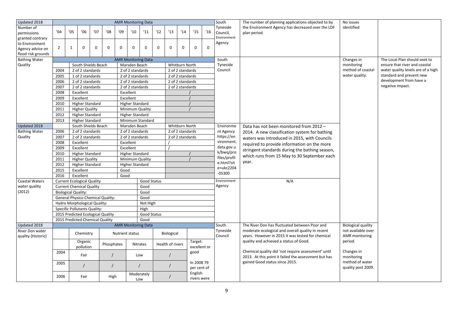| Updated 2018                    |                |                                                                   |             |               |             |                        | <b>AMR Monitoring Data</b> |             |                  |                  |                        |          | South        | The number of planning applications objected to by   | No issues                 |                                    |
|---------------------------------|----------------|-------------------------------------------------------------------|-------------|---------------|-------------|------------------------|----------------------------|-------------|------------------|------------------|------------------------|----------|--------------|------------------------------------------------------|---------------------------|------------------------------------|
| Number of                       |                |                                                                   |             |               |             |                        |                            |             |                  |                  |                        |          | Tyneside     | the Environment Agency has decreased over the LDF    | identified                |                                    |
| permissions                     | '04            | '05<br>'06                                                        | '07         | $^{\prime}08$ | '09         | $^{\prime}10$          | 11                         | 12          | 13               | '14              | '15                    | 16       | Council.     | plan period.                                         |                           |                                    |
| granted contrary                |                |                                                                   |             |               |             |                        |                            |             |                  |                  |                        |          | Environment  |                                                      |                           |                                    |
| to Environment                  |                |                                                                   |             |               |             |                        |                            |             |                  |                  |                        |          | Agency       |                                                      |                           |                                    |
| Agency advice on                | $\overline{2}$ | $\mathbf{1}$<br>$\mathbf 0$                                       | $\mathbf 0$ | $\mathbf 0$   | $\mathbf 0$ | $\mathbf 0$            | $\Omega$                   | $\mathbf 0$ | $\mathbf 0$      | $\Omega$         | $\Omega$               | $\Omega$ |              |                                                      |                           |                                    |
| flood risk grounds              |                |                                                                   |             |               |             |                        |                            |             |                  |                  |                        |          |              |                                                      |                           |                                    |
| <b>Bathing Water</b>            |                |                                                                   |             |               |             |                        | <b>AMR Monitoring Data</b> |             |                  |                  |                        |          | South        |                                                      | Changes in                | The Local Plan should seek to      |
| Quality                         |                | South Shields Beach                                               |             |               |             | Marsden Beach          |                            |             |                  | Whitburn North   |                        |          | Tyneside     |                                                      | monitoring                | ensure that river and coastal      |
|                                 | 2004           | 2 of 2 standards                                                  |             |               |             | 2 of 2 standards       |                            |             |                  | 2 of 2 standards |                        |          | Council      |                                                      | method of coastal         | water quality levels are of a high |
|                                 | 2005           | 1 of 2 standards                                                  |             |               |             | 2 of 2 standards       |                            |             |                  | 2 of 2 standards |                        |          |              |                                                      | water quality.            | standard and prevent new           |
|                                 | 2006           | 2 of 2 standards                                                  |             |               |             | 2 of 2 standards       |                            |             |                  | 2 of 2 standards |                        |          |              |                                                      |                           | development from have a            |
|                                 | 2007           | 2 of 2 standards                                                  |             |               |             | 2 of 2 standards       |                            |             |                  | 2 of 2 standards |                        |          |              |                                                      |                           | negative impact.                   |
|                                 | 2008           | Excellent                                                         |             |               |             | Excellent              |                            |             |                  |                  |                        |          |              |                                                      |                           |                                    |
|                                 | 2009           | Excellent                                                         |             |               |             | Excellent              |                            |             |                  |                  |                        |          |              |                                                      |                           |                                    |
|                                 | 2010           | <b>Higher Standard</b>                                            |             |               |             | <b>Higher Standard</b> |                            |             |                  |                  |                        |          |              |                                                      |                           |                                    |
|                                 | 2011           | <b>Higher Quality</b>                                             |             |               |             | Minimum Quality        |                            |             |                  |                  |                        |          |              |                                                      |                           |                                    |
|                                 | 2012           | <b>Higher Standard</b>                                            |             |               |             | <b>Higher Standard</b> |                            |             |                  |                  |                        |          |              |                                                      |                           |                                    |
|                                 | 2013           | <b>Higher Standard</b>                                            |             |               |             |                        | Minimum Standard           |             |                  |                  |                        |          |              |                                                      |                           |                                    |
| Updated 2018                    |                | South Shields Beach                                               |             |               |             | Marsden Beach          |                            |             |                  | Whitburn North   |                        |          | Environme    | Data has not been monitored from 2012 -              |                           |                                    |
| <b>Bathing Water</b>            | 2006           | 2 of 2 standards                                                  |             |               |             | 2 of 2 standards       |                            |             |                  | 2 of 2 standards |                        |          | nt Agency    | 2014. A new classification system for bathing        |                           |                                    |
| Quality                         | 2007           | 2 of 2 standards                                                  |             |               |             | 2 of 2 standards       |                            |             |                  | 2 of 2 standards |                        |          | https://en   | waters was introduced in 2015, with Councils         |                           |                                    |
|                                 | 2008           | Excellent                                                         |             |               |             | Excellent              |                            |             |                  |                  |                        |          | vironment.   | required to provide information on the more          |                           |                                    |
|                                 | 2009           | Excellent                                                         |             |               |             | Excellent              |                            |             |                  |                  |                        |          | data.gov.u   |                                                      |                           |                                    |
|                                 | 2010           | <b>Higher Standard</b>                                            |             |               |             | <b>Higher Standard</b> |                            |             |                  |                  |                        |          | k/bwg/pro    | stringent standards during the bathing season,       |                           |                                    |
|                                 | 2011           | <b>Higher Quality</b>                                             |             |               |             | Minimum Quality        |                            |             |                  |                  |                        |          | files/profil | which runs from 15 May to 30 September each          |                           |                                    |
|                                 | 2012           | <b>Higher Standard</b>                                            |             |               |             | <b>Higher Standard</b> |                            |             |                  |                  |                        |          | e.html?sit   | year.                                                |                           |                                    |
|                                 | 2015           | Excellent                                                         |             |               | Good        |                        |                            |             |                  |                  |                        |          | e=ukc2204    |                                                      |                           |                                    |
|                                 | 2016           | Excellent                                                         |             |               | Good        |                        |                            |             |                  |                  |                        |          | $-05300$     |                                                      |                           |                                    |
| <b>Coastal Waters</b>           |                | <b>Current Ecological Quality</b>                                 |             |               |             |                        | <b>Good Status</b>         |             |                  |                  |                        |          | Environment  | N/A                                                  |                           |                                    |
| water quality                   |                | <b>Current Chemical Quality</b>                                   |             |               |             |                        | Good                       |             |                  |                  |                        |          | Agency       |                                                      |                           |                                    |
| (2012)                          |                | <b>Biological Quality:</b>                                        |             |               |             |                        | Good                       |             |                  |                  |                        |          |              |                                                      |                           |                                    |
|                                 |                | General Physico Chemical Quality:                                 |             |               |             |                        |                            |             |                  |                  |                        |          |              |                                                      |                           |                                    |
|                                 |                |                                                                   |             |               |             |                        | Good                       |             |                  |                  |                        |          |              |                                                      |                           |                                    |
|                                 |                |                                                                   |             |               |             |                        |                            |             |                  |                  |                        |          |              |                                                      |                           |                                    |
|                                 |                | Hydro Morphological Quality:                                      |             |               |             |                        | Not High<br>High           |             |                  |                  |                        |          |              |                                                      |                           |                                    |
|                                 |                | Specific Pollutants Quality:<br>2015 Predicted Ecological Quality |             |               |             |                        | Good Status                |             |                  |                  |                        |          |              |                                                      |                           |                                    |
|                                 |                | 2015 Predicted Chemical Quality                                   |             |               |             |                        | Good                       |             |                  |                  |                        |          |              |                                                      |                           |                                    |
|                                 |                |                                                                   |             |               |             |                        | <b>AMR Monitoring Data</b> |             |                  |                  |                        |          | South        | The River Don has fluctuated between Poor and        | <b>Biological quality</b> |                                    |
| Updated 2018<br>River Don water |                |                                                                   |             |               |             |                        |                            |             |                  |                  |                        |          | Tyneside     | moderate ecological and overall quality in recent    | not available over        |                                    |
| quality (Historic)              |                | Chemistry                                                         |             |               |             | Nutrient status        |                            |             | Biological       |                  |                        |          | Council      | years. However in 2015 it was tested for chemical    | <b>AMR</b> monitoring     |                                    |
|                                 |                | Organic                                                           |             |               |             |                        |                            |             |                  |                  | Target:                |          |              | quality and achieved a status of Good.               | period.                   |                                    |
|                                 |                | pollution                                                         |             | Phosphates    |             | Nitrates               |                            |             | Health of rivers |                  | excellent or           |          |              |                                                      |                           |                                    |
|                                 | 2004           |                                                                   |             |               |             |                        |                            |             |                  |                  | good                   |          |              | Chemical quality did 'not require assessment' until  | Changes in                |                                    |
|                                 |                | Fair                                                              |             |               |             | Low                    |                            |             |                  |                  |                        |          |              | 2013. At this point it failed the assessment but has | monitoring                |                                    |
|                                 | 2005           |                                                                   |             |               |             |                        |                            |             |                  |                  | In 2008 79             |          |              | gained Good status since 2015.                       | method of water           |                                    |
|                                 |                |                                                                   |             |               |             | Moderately             |                            |             |                  |                  | per cent of<br>English |          |              |                                                      | quality post 2009.        |                                    |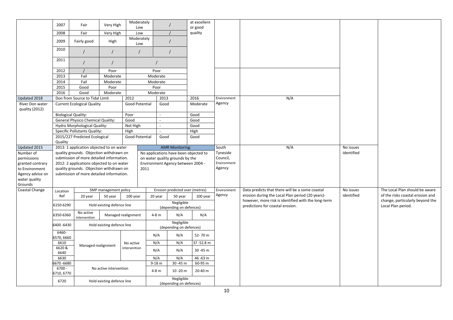|                                   | 2007                       | Fair                                      | Very High                  | Moderately            |          |                                       | at excellent       |             |                                                                                         |            |                                                       |
|-----------------------------------|----------------------------|-------------------------------------------|----------------------------|-----------------------|----------|---------------------------------------|--------------------|-------------|-----------------------------------------------------------------------------------------|------------|-------------------------------------------------------|
|                                   | 2008                       | Fair                                      | Very High                  | Low<br>Low            |          |                                       | or good<br>quality |             |                                                                                         |            |                                                       |
|                                   |                            |                                           |                            | Moderately            |          |                                       |                    |             |                                                                                         |            |                                                       |
|                                   | 2009                       | Fairly good                               | High                       | Low                   |          |                                       |                    |             |                                                                                         |            |                                                       |
|                                   | 2010                       | $\prime$                                  | $\prime$                   |                       |          | $\prime$                              |                    |             |                                                                                         |            |                                                       |
|                                   | 2011                       |                                           |                            |                       |          |                                       |                    |             |                                                                                         |            |                                                       |
|                                   | 2012                       |                                           | Poor                       |                       | Poor     |                                       |                    |             |                                                                                         |            |                                                       |
|                                   | 2013                       | Fail                                      | Moderate                   |                       | Moderate |                                       |                    |             |                                                                                         |            |                                                       |
|                                   | 2014                       | Fail                                      | Moderate                   |                       | Moderate |                                       |                    |             |                                                                                         |            |                                                       |
|                                   | 2015                       | Good                                      | Poor                       |                       | Poor     |                                       |                    |             |                                                                                         |            |                                                       |
|                                   | 2016                       | Good                                      | Moderate                   |                       | Moderate |                                       |                    |             |                                                                                         |            |                                                       |
| Updated 2018                      |                            | Don from Source to Tidal Limit            |                            | 2012                  |          | 2013                                  | 2016               | Environment | N/A                                                                                     |            |                                                       |
| River Don water<br>quality (2012) |                            | <b>Current Ecological Quality</b>         |                            | <b>Good Potential</b> |          | Good                                  | Moderate           | Agency      |                                                                                         |            |                                                       |
|                                   | <b>Biological Quality:</b> |                                           |                            | Poor                  |          |                                       | Good               |             |                                                                                         |            |                                                       |
|                                   |                            | General Physico Chemical Quality:         |                            | Good                  |          |                                       | Good               |             |                                                                                         |            |                                                       |
|                                   |                            | Hydro Morphological Quality:              |                            | Not High              |          |                                       | Good               |             |                                                                                         |            |                                                       |
|                                   |                            | Specific Pollutants Quality:              |                            | High                  |          |                                       | High               |             |                                                                                         |            |                                                       |
|                                   |                            | 2015/227 Predicted Ecological             |                            | Good Potential        |          | Good                                  | Good               |             |                                                                                         |            |                                                       |
|                                   | Quality                    |                                           |                            |                       |          |                                       |                    |             |                                                                                         |            |                                                       |
| Updated 2015                      |                            | 2013: 1 application objected to on water  |                            |                       |          | <b>AMR Monitoring:</b>                |                    | South       | N/A                                                                                     | No issues  |                                                       |
| Number of                         |                            | quality grounds. Objection withdrawn on   |                            |                       |          | No applications have been objected to |                    | Tyneside    |                                                                                         | identified |                                                       |
| permissions                       |                            | submission of more detailed information.  |                            |                       |          | on water quality grounds by the       |                    | Council,    |                                                                                         |            |                                                       |
| granted contrary                  |                            | 2012: 2 applications objected to on water |                            |                       |          | Environment Agency between 2004 -     |                    | Environment |                                                                                         |            |                                                       |
| to Environment                    |                            | quality grounds. Objection withdrawn on   |                            |                       | 2011     |                                       |                    | Agency      |                                                                                         |            |                                                       |
| Agency advice on                  |                            | submission of more detailed information.  |                            |                       |          |                                       |                    |             |                                                                                         |            |                                                       |
| water quality                     |                            |                                           |                            |                       |          |                                       |                    |             |                                                                                         |            |                                                       |
| Grounds                           |                            |                                           |                            |                       |          |                                       |                    |             |                                                                                         |            |                                                       |
| Coastal Change                    | Location                   |                                           | SMP management policy      |                       |          | Erosion predicted over (metres)       |                    | Environment | Data predicts that there will be a some coastal                                         | No issues  | The Local Plan should be aware                        |
|                                   | Ref                        | 20 year                                   | 50 year                    | 100 year              | 20 year  | 50 year                               | 100 year           | Agency      | erosion during the Local Plan period (20 years)-                                        | identified | of the risks coastal erosion and                      |
|                                   | 6150-6290                  |                                           | Hold existing defence line |                       |          | Negligible<br>(depending on defences) |                    |             | however, more risk is identified with the long-term<br>predictions for coastal erosion. |            | change, particularly beyond the<br>Local Plan period. |
|                                   | 6350-6360                  | No active<br>intervention                 |                            | Managed realignment   | 4-8 m    | N/A                                   | N/A                |             |                                                                                         |            |                                                       |
|                                   | 6400 - 6430                |                                           | Hold existing defence line |                       |          | Negligible<br>(depending on defences) |                    |             |                                                                                         |            |                                                       |
|                                   | 6460-<br>6570, 6660        |                                           |                            |                       | N/A      | N/A                                   | 52-70 m            |             |                                                                                         |            |                                                       |
|                                   | 6610                       |                                           |                            | No active             | N/A      | N/A                                   | 37 -52.8 m         |             |                                                                                         |            |                                                       |
|                                   | 6620&                      | Managed realignment                       |                            | intervention          |          |                                       |                    |             |                                                                                         |            |                                                       |
|                                   | 6640                       |                                           |                            |                       | N/A      | N/A                                   | 30-45 m            |             |                                                                                         |            |                                                       |
|                                   | 6630                       |                                           |                            |                       | N/A      | N/A                                   | 46-63 m            |             |                                                                                         |            |                                                       |
|                                   | 670-6680                   |                                           |                            |                       | $9-18$ m | 30-45 m                               | 60-95 m            |             |                                                                                         |            |                                                       |
|                                   | $6700 -$                   |                                           | No active intervention     |                       | 4-8 m    | $10 - 20$ m                           | 20-40 m            |             |                                                                                         |            |                                                       |
|                                   | 6710, 6770                 |                                           |                            |                       |          | Negligible                            |                    |             |                                                                                         |            |                                                       |
|                                   | 6720                       |                                           | Hold existing defence line |                       |          | (depending on defences)               |                    |             |                                                                                         |            |                                                       |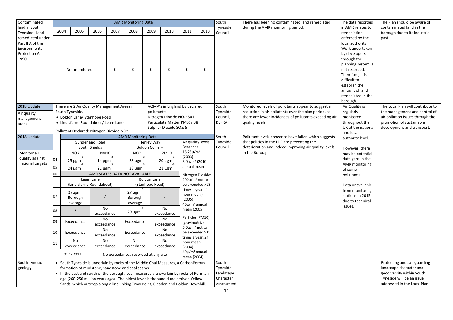| Contaminated                           | <b>AMR Monitoring Data</b> |                                                                                        |                  |             |                                     |                                                                                                  |                               |                                   |                   | South                           | There has been no contaminated land remediated         | The data recorded                    | The Plan should be aware of       |
|----------------------------------------|----------------------------|----------------------------------------------------------------------------------------|------------------|-------------|-------------------------------------|--------------------------------------------------------------------------------------------------|-------------------------------|-----------------------------------|-------------------|---------------------------------|--------------------------------------------------------|--------------------------------------|-----------------------------------|
| land in South                          |                            |                                                                                        |                  |             |                                     |                                                                                                  |                               |                                   |                   | Tyneside                        | during the AMR monitoring period.                      | in AMR relates to                    | contaminated land in the          |
| Tyneside-Land                          |                            | 2005<br>2004                                                                           | 2006             | 2007        | 2008                                | 2009                                                                                             | 2010                          | 2011                              | 2013              | Council                         |                                                        | remediation                          | borough due to its industrial     |
| remediated under                       |                            |                                                                                        |                  |             |                                     |                                                                                                  |                               |                                   |                   |                                 |                                                        | enforced by the                      | past.                             |
| Part II A of the                       |                            |                                                                                        |                  |             |                                     |                                                                                                  |                               |                                   |                   |                                 |                                                        | local authority.<br>Work undertaken  |                                   |
| Environmental<br><b>Protection Act</b> |                            |                                                                                        |                  |             |                                     |                                                                                                  |                               |                                   |                   |                                 |                                                        | by developers                        |                                   |
| 1990                                   |                            |                                                                                        |                  |             |                                     |                                                                                                  |                               |                                   |                   |                                 |                                                        | through the                          |                                   |
|                                        |                            |                                                                                        |                  |             |                                     |                                                                                                  |                               |                                   |                   |                                 |                                                        | planning system is                   |                                   |
|                                        |                            | Not monitored                                                                          |                  | $\mathbf 0$ | $\Omega$                            | $\mathbf 0$                                                                                      | $\mathbf 0$                   | $\mathbf 0$                       | $\Omega$          |                                 |                                                        | not recorded.                        |                                   |
|                                        |                            |                                                                                        |                  |             |                                     |                                                                                                  |                               |                                   |                   |                                 |                                                        | Therefore, it is                     |                                   |
|                                        |                            |                                                                                        |                  |             |                                     |                                                                                                  |                               |                                   |                   |                                 |                                                        | difficult to                         |                                   |
|                                        |                            |                                                                                        |                  |             |                                     |                                                                                                  |                               |                                   |                   |                                 |                                                        | establish the                        |                                   |
|                                        |                            |                                                                                        |                  |             |                                     |                                                                                                  |                               |                                   |                   |                                 |                                                        | amount of land                       |                                   |
|                                        |                            |                                                                                        |                  |             |                                     |                                                                                                  |                               |                                   |                   |                                 |                                                        | remediated in the                    |                                   |
| 2018 Update                            |                            | There are 2 Air Quality Management Areas in                                            |                  |             |                                     |                                                                                                  | AQMA's in England by declared |                                   |                   | South                           | Monitored levels of pollutants appear to suggest a     | borough.<br>Air Quality is           | The Local Plan will contribute to |
|                                        |                            | South Tyneside.                                                                        |                  |             |                                     | pollutants:                                                                                      |                               |                                   |                   | Tyneside                        | reduction in air pollutants over the plan period, as   | regularly                            | the management and control of     |
| Air quality<br>management              |                            | • Boldon Lane/ Stanhope Road                                                           |                  |             |                                     |                                                                                                  |                               |                                   |                   | Council,                        | there are fewer incidences of pollutants exceeding air | monitored                            | air pollution issues through the  |
| areas                                  |                            | • Lindisfarne Roundabout/ Leam Lane                                                    |                  |             |                                     | Nitrogen Dioxide NO2: 501<br>Particulate Matter PM10's:38<br>Sulphur Dioxide SO <sub>2</sub> : 5 |                               |                                   |                   | <b>DEFRA</b><br>quality levels. | throughout the                                         | promotion of sustainable             |                                   |
|                                        |                            |                                                                                        |                  |             |                                     |                                                                                                  |                               |                                   |                   |                                 |                                                        | UK at the national                   | development and transport.        |
| 2018 Update                            |                            | Pollutant Declared: Nitrogen Dioxide NO2                                               |                  |             | <b>AMR Monitoring Data</b>          |                                                                                                  |                               |                                   |                   | South                           | Pollutant levels appear to have fallen which suggests  | and local                            |                                   |
|                                        |                            |                                                                                        | Sunderland Road  |             |                                     | Henley Way                                                                                       |                               | Air quality levels:               |                   | Tyneside                        | that policies in the LDF are preventing the            | authority level.                     |                                   |
|                                        |                            |                                                                                        | South Shields    |             |                                     | <b>Boldon Colliery</b>                                                                           |                               | Benzene:                          |                   | Council                         | deterioration and indeed improving air quality levels  | However, there                       |                                   |
| Monitor air                            |                            | NO <sub>2</sub>                                                                        | <b>PM10</b>      |             | NO <sub>2</sub>                     |                                                                                                  | <b>PM10</b>                   | $16.25 \mu/m^3$                   |                   |                                 | in the Borough                                         | may be potential                     |                                   |
| quality against                        | 04                         | $25 \mu$ gm                                                                            | $14 \mu$ gm      |             | 28 μgm                              |                                                                                                  | $20 \mu$ gm                   | (2003)<br>$5.0 \mu/m^3$ (2010)    |                   |                                 |                                                        | data gaps in the                     |                                   |
| national targets                       | 05                         | $24 \mu$ gm                                                                            | $21 \mu$ gm      |             | $28 \mu$ gm                         |                                                                                                  | $21 \mu$ gm                   | annual mean                       |                   |                                 |                                                        | AMR monitoring<br>of some            |                                   |
|                                        | 06                         |                                                                                        |                  |             | AMR STATES DATA NOT AVAILABLE       |                                                                                                  |                               |                                   | Nitrogen Dioxide: |                                 |                                                        | pollutants.                          |                                   |
|                                        |                            |                                                                                        | Leam Lane        |             |                                     | <b>Boldon Lane</b>                                                                               |                               | $200 \mu/m^3$ not to              |                   |                                 |                                                        |                                      |                                   |
|                                        |                            | (Lindisfarne Roundabout)                                                               |                  |             |                                     | (Stanhope Road)                                                                                  |                               |                                   | be exceeded >18   |                                 |                                                        | Data unavailable                     |                                   |
|                                        |                            | $27\mu$ gm                                                                             |                  |             | $27 \mu$ gm                         |                                                                                                  |                               | times a year (1<br>hour mean)     |                   |                                 |                                                        | from monitoring                      |                                   |
|                                        | 07                         | Borough                                                                                | $\sqrt{2}$       |             | Borough                             |                                                                                                  | $\sqrt{2}$                    | (2005)                            |                   |                                 |                                                        | stations in 2015<br>due to technical |                                   |
|                                        |                            | average                                                                                |                  |             | average                             |                                                                                                  |                               | $40\mu/m^3$ annual                |                   |                                 |                                                        | issues.                              |                                   |
|                                        | 08                         |                                                                                        | No<br>exceedance |             | $-3$<br>$29 \mu$ gm                 |                                                                                                  | No<br>exceedance              | mean (2005)                       |                   |                                 |                                                        |                                      |                                   |
|                                        |                            |                                                                                        | No               |             |                                     |                                                                                                  | <b>No</b>                     | Particles (PM10)                  |                   |                                 |                                                        |                                      |                                   |
|                                        | 09                         | Exceedance                                                                             | exceedance       |             | Exceedance                          |                                                                                                  | exceedance                    | (gravimetric):                    |                   |                                 |                                                        |                                      |                                   |
|                                        | 10                         | Exceedance                                                                             | No               |             | Exceedance                          |                                                                                                  | <b>No</b>                     | $5.0 \mu/m^3$ not to              | be exceeded >35   |                                 |                                                        |                                      |                                   |
|                                        |                            |                                                                                        | exceedance       |             |                                     |                                                                                                  | exceedance                    | times a year, 24                  |                   |                                 |                                                        |                                      |                                   |
|                                        | 11                         | No                                                                                     | No               |             | No                                  |                                                                                                  | No                            | hour mean                         |                   |                                 |                                                        |                                      |                                   |
|                                        |                            | exceedance                                                                             | exceedance       |             | exceedance                          |                                                                                                  | exceedance                    | (2004)                            |                   |                                 |                                                        |                                      |                                   |
|                                        |                            | 2012 - 2017                                                                            |                  |             | No exceedances recorded at any site |                                                                                                  |                               | $40\mu/m^3$ annual<br>mean (2004) |                   |                                 |                                                        |                                      |                                   |
| South Tyneside                         |                            | • South Tyneside is underlain by rocks of the Middle Coal Measures, a Carboniferous    |                  |             |                                     |                                                                                                  |                               |                                   |                   | South                           |                                                        |                                      | Protecting and safeguarding       |
| geology                                |                            | formation of mudstone, sandstone and coal seams.                                       |                  |             |                                     |                                                                                                  |                               |                                   |                   | Tyneside                        |                                                        |                                      | landscape character and           |
|                                        |                            | • In the east and south of the borough, coal measures are overlain by rocks of Permian |                  |             |                                     |                                                                                                  |                               |                                   |                   | Landscape                       |                                                        |                                      | geodiversity within South         |
|                                        |                            | age (260-250 million years ago). The oldest layer is the sand dune derived Yellow      |                  |             |                                     |                                                                                                  |                               |                                   |                   | Character                       |                                                        |                                      | Tyneside will be an issue         |
|                                        |                            | Sands, which outcrop along a line linking Trow Point, Cleadon and Boldon Downhill.     |                  |             |                                     |                                                                                                  |                               |                                   |                   | Assessment                      |                                                        |                                      | addressed in the Local Plan.      |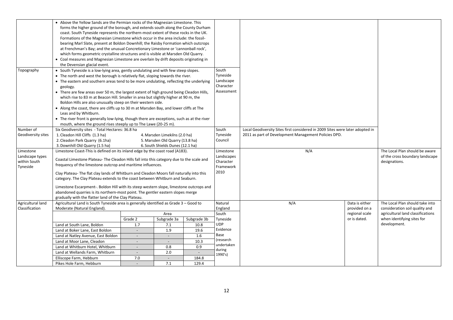|                    | • Above the Yellow Sands are the Permian rocks of the Magnesian Limestone. This             |                          |                                  |             |            |                                                                               |                |                                   |
|--------------------|---------------------------------------------------------------------------------------------|--------------------------|----------------------------------|-------------|------------|-------------------------------------------------------------------------------|----------------|-----------------------------------|
|                    | forms the higher ground of the borough, and extends south along the County Durham           |                          |                                  |             |            |                                                                               |                |                                   |
|                    | coast. South Tyneside represents the northern-most extent of these rocks in the UK.         |                          |                                  |             |            |                                                                               |                |                                   |
|                    | Formations of the Magnesian Limestone which occur in the area include: the fossil-          |                          |                                  |             |            |                                                                               |                |                                   |
|                    | bearing Marl Slate, present at Boldon Downhill; the Raisby Formation which outcrops         |                          |                                  |             |            |                                                                               |                |                                   |
|                    | at Frenchman's Bay; and the unusual Concretionary Limestone or 'cannonball rock',           |                          |                                  |             |            |                                                                               |                |                                   |
|                    | which forms geometric crystalline structures and is visible at Marsden Old Quarry.          |                          |                                  |             |            |                                                                               |                |                                   |
|                    | • Coal measures and Magnesian Limestone are overlain by drift deposits originating in       |                          |                                  |             |            |                                                                               |                |                                   |
|                    | the Devensian glacial event.                                                                |                          |                                  |             |            |                                                                               |                |                                   |
| Topography         | • South Tyneside is a low-lying area, gently undulating and with few steep slopes.          |                          |                                  |             | South      |                                                                               |                |                                   |
|                    | • The north and west the borough is relatively flat, sloping towards the river.             |                          |                                  |             | Tyneside   |                                                                               |                |                                   |
|                    | • The eastern and southern areas tend to be more undulating, reflecting the underlying      |                          |                                  |             | Landscape  |                                                                               |                |                                   |
|                    | geology.                                                                                    |                          |                                  |             | Character  |                                                                               |                |                                   |
|                    | • There are few areas over 50 m, the largest extent of high ground being Cleadon Hills,     |                          |                                  |             | Assessment |                                                                               |                |                                   |
|                    | which rise to 83 m at Beacon Hill. Smaller in area but slightly higher at 90 m, the         |                          |                                  |             |            |                                                                               |                |                                   |
|                    | Boldon Hills are also unusually steep on their western side.                                |                          |                                  |             |            |                                                                               |                |                                   |
|                    | • Along the coast, there are cliffs up to 30 m at Marsden Bay, and lower cliffs at The      |                          |                                  |             |            |                                                                               |                |                                   |
|                    | Leas and by Whitburn.                                                                       |                          |                                  |             |            |                                                                               |                |                                   |
|                    | • The river front is generally low-lying, though there are exceptions, such as at the river |                          |                                  |             |            |                                                                               |                |                                   |
|                    | mouth, where the ground rises steeply up to The Lawe (20-25 m).                             |                          |                                  |             |            |                                                                               |                |                                   |
| Number of          | Six Geodiversity sites - Total Hectares: 36.8 ha                                            |                          |                                  |             | South      | Local Geodiversity Sites first considered in 2009 Sites were later adopted in |                |                                   |
| Geodiversity sites | 1. Cleadon Hill Cliffs (1.3 ha)                                                             |                          | 4. Marsden Limekilns (2.0 ha)    |             | Tyneside   | 2011 as part of Development Management Policies DPD.                          |                |                                   |
|                    | 2. Cleadon Park Quarry (6.1ha)                                                              |                          | 5. Marsden Old Quarry (13.8 ha)  |             | Council    |                                                                               |                |                                   |
|                    | 3. Downhill Old Quarry (1.5 ha)                                                             |                          | 6. South Shields Dunes (12.1 ha) |             |            |                                                                               |                |                                   |
| Limestone          | Limestone Coast-This is defined on its inland edge by the coast road (A183).                |                          |                                  |             | Limestone  | N/A                                                                           |                | The Local Plan should be aware    |
| Landscape types    |                                                                                             |                          |                                  |             | Landscapes |                                                                               |                | of the cross boundary landscape   |
| within South       | Coastal Limestone Plateau- The Cleadon Hills fall into this category due to the scale and   |                          |                                  |             | Character  |                                                                               |                | designations.                     |
| Tyneside           | frequency of the limestone outcrop and maritime influences.                                 |                          |                                  |             | Framework  |                                                                               |                |                                   |
|                    |                                                                                             |                          |                                  |             | 2010       |                                                                               |                |                                   |
|                    | Clay Plateau- The flat clay lands of Whitburn and Cleadon Moors fall naturally into this    |                          |                                  |             |            |                                                                               |                |                                   |
|                    | category. The Clay Plateau extends to the coast between Whitburn and Seaburn.               |                          |                                  |             |            |                                                                               |                |                                   |
|                    | Limestone Escarpment-. Boldon Hill with its steep western slope, limestone outcrops and     |                          |                                  |             |            |                                                                               |                |                                   |
|                    | abandoned quarries is its northern-most point. The gentler eastern slopes merge             |                          |                                  |             |            |                                                                               |                |                                   |
|                    | gradually with the flatter land of the Clay Plateau.                                        |                          |                                  |             |            |                                                                               |                |                                   |
| Agricultural land  | Agricultural Land is South Tyneside area is generally identified as Grade 3 - Good to       |                          |                                  |             | Natural    | N/A                                                                           | Data is either | The Local Plan should take into   |
| Classification     | Moderate (Natural England).                                                                 |                          |                                  |             | England    |                                                                               | provided on a  | consideration soil quality and    |
|                    |                                                                                             |                          | Area                             |             | South      |                                                                               | regional scale | agricultural land classifications |
|                    |                                                                                             | Grade 2                  | Subgrade 3a                      | Subgrade 3b | Tyneside   |                                                                               | or is dated.   | when identifying sites for        |
|                    | Land at South Lane, Boldon                                                                  | 1.7                      | 7.1                              | 10.8        | <b>UDP</b> |                                                                               |                | development.                      |
|                    | Land at Boker Lane, East Boldon                                                             |                          | 1.9                              | 19.6        | Evidence   |                                                                               |                |                                   |
|                    | Land at Natley Avenue, East Boldon                                                          |                          | $\blacksquare$                   | 1.6         | Base       |                                                                               |                |                                   |
|                    | Land at Moor Lane, Cleadon                                                                  | $\overline{\phantom{a}}$ | $\overline{\phantom{a}}$         | 10.3        | (research  |                                                                               |                |                                   |
|                    | Land at Whitburn Hotel, Whitburn                                                            |                          | 0.8                              | 0.9         | undertaken |                                                                               |                |                                   |
|                    | Land at Wellands Farm, Whitburn                                                             |                          | 2.0                              |             | during     |                                                                               |                |                                   |
|                    | Elliscope Farm, Hebburn                                                                     | $7.0\,$                  | $\sim$                           | 184.8       | 1990's)    |                                                                               |                |                                   |
|                    | Pikes Hole Farm, Hebburn                                                                    |                          | 7.1                              | 129.4       |            |                                                                               |                |                                   |
|                    |                                                                                             |                          |                                  |             |            |                                                                               |                |                                   |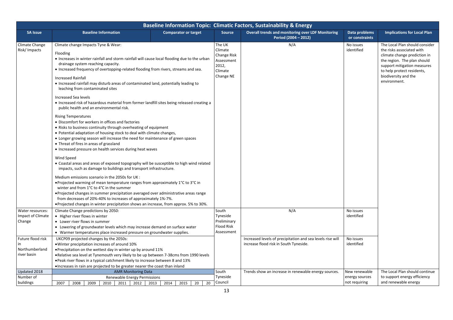|                                                    |                                                                                                                                                                                                                                                                                                                                                                                                                                                                                                                                                                                                                                                                                                                                                                                                                                                                                                                                                                                                                                                                                                                                                                                                                                                                                                                                                                                                                                                                                                                                                              |                                  |                                                                                        | Baseline Information Topic: Climatic Factors, Sustainability & Energy                                |                                 |                                                                                                                                                                                                                                 |
|----------------------------------------------------|--------------------------------------------------------------------------------------------------------------------------------------------------------------------------------------------------------------------------------------------------------------------------------------------------------------------------------------------------------------------------------------------------------------------------------------------------------------------------------------------------------------------------------------------------------------------------------------------------------------------------------------------------------------------------------------------------------------------------------------------------------------------------------------------------------------------------------------------------------------------------------------------------------------------------------------------------------------------------------------------------------------------------------------------------------------------------------------------------------------------------------------------------------------------------------------------------------------------------------------------------------------------------------------------------------------------------------------------------------------------------------------------------------------------------------------------------------------------------------------------------------------------------------------------------------------|----------------------------------|----------------------------------------------------------------------------------------|------------------------------------------------------------------------------------------------------|---------------------------------|---------------------------------------------------------------------------------------------------------------------------------------------------------------------------------------------------------------------------------|
| <b>SA Issue</b>                                    | <b>Baseline Information</b>                                                                                                                                                                                                                                                                                                                                                                                                                                                                                                                                                                                                                                                                                                                                                                                                                                                                                                                                                                                                                                                                                                                                                                                                                                                                                                                                                                                                                                                                                                                                  | <b>Comparator or target</b>      | <b>Source</b>                                                                          | <b>Overall trends and monitoring over LDF Monitoring</b><br>Period (2004 - 2012)                     | Data problems<br>or constraints | <b>Implications for Local Plan</b>                                                                                                                                                                                              |
| Climate Change<br>Risk/Impacts                     | Climate change Impacts Tyne & Wear:<br>Flooding<br>• Increases in winter rainfall and storm rainfall will cause local flooding due to the urban<br>drainage system reaching capacity.<br>• Increased frequency of overtopping-related flooding from rivers, streams and sea.<br><b>Increased Rainfall</b><br>• Increased rainfall may disturb areas of contaminated land, potentially leading to<br>leaching from contaminated sites<br>Increased Sea levels<br>• Increased risk of hazardous material from former landfill sites being released creating a<br>public health and an environmental risk.<br><b>Rising Temperatures</b><br>• Discomfort for workers in offices and factories<br>• Risks to business continuity through overheating of equipment<br>• Potential adaptation of housing stock to deal with climate changes,<br>• Longer growing season will increase the need for maintenance of green spaces<br>• Threat of fires in areas of grassland<br>• Increased pressure on health services during heat waves<br>Wind Speed<br>• Coastal areas and areas of exposed topography will be susceptible to high wind related<br>impacts, such as damage to buildings and transport infrastructure.<br>Medium emissions scenario in the 2050s for UK :<br>• Projected warming of mean temperature ranges from approximately 1°C to 3°C in<br>winter and from 1°C to 4°C in the summer<br>• Projected changes in summer precipitation averaged over administrative areas range<br>from decreases of 20%-40% to increases of approximately 1%-7%. |                                  | The UK<br>Climate<br><b>Change Risk</b><br>Assessment<br>2012,<br>Climate<br>Change NE | N/A                                                                                                  | No issues<br>identified         | The Local Plan should consider<br>the risks associated with<br>climate change prediction in<br>the region. The plan should<br>support mitigation measures<br>to help protect residents,<br>biodiversity and the<br>environment. |
| Water resources:                                   | • Projected changes in winter precipitation shows an increase, from approx. 5% to 30%.<br>Climate Change predictions by 2050:                                                                                                                                                                                                                                                                                                                                                                                                                                                                                                                                                                                                                                                                                                                                                                                                                                                                                                                                                                                                                                                                                                                                                                                                                                                                                                                                                                                                                                |                                  | South                                                                                  | N/A                                                                                                  | No issues                       |                                                                                                                                                                                                                                 |
| Impact of Climate<br>Change                        | • Higher river flows in winter<br>• Lower river flows in summer<br>• Lowering of groundwater levels which may increase demand on surface water<br>• Warmer temperatures place increased pressure on groundwater supplies.                                                                                                                                                                                                                                                                                                                                                                                                                                                                                                                                                                                                                                                                                                                                                                                                                                                                                                                                                                                                                                                                                                                                                                                                                                                                                                                                    |                                  | Tyneside<br>Preliminary<br><b>Flood Risk</b><br>Assessment                             |                                                                                                      | identified                      |                                                                                                                                                                                                                                 |
| Future flood risk<br>Northumberland<br>river basin | UKCP09 projected changes by the 2050s:<br>• Winter precipitation increases of around 10%<br>•Precipitation on the wettest day in winter up by around 11%<br>• Relative sea level at Tynemouth very likely to be up between 7-38 cms from 1990 levels<br>. Peak river flows in a typical catchment likely to increase between 8 and 13%<br>. Increases in rain are projected to be greater nearer the coast than inland                                                                                                                                                                                                                                                                                                                                                                                                                                                                                                                                                                                                                                                                                                                                                                                                                                                                                                                                                                                                                                                                                                                                       |                                  |                                                                                        | Increased levels of precipitation and sea levels rise will<br>increase flood risk in South Tyneside. | No issues<br>identified         |                                                                                                                                                                                                                                 |
| Updated 2018                                       | <b>AMR Monitoring Data</b>                                                                                                                                                                                                                                                                                                                                                                                                                                                                                                                                                                                                                                                                                                                                                                                                                                                                                                                                                                                                                                                                                                                                                                                                                                                                                                                                                                                                                                                                                                                                   |                                  | South                                                                                  | Trends show an increase in renewable energy sources.                                                 | New renewable                   | The Local Plan should continue                                                                                                                                                                                                  |
| Number of<br>buildings                             | Renewable Energy Permissions<br>2011<br>2012<br>2007<br>2008<br>2009<br>2010                                                                                                                                                                                                                                                                                                                                                                                                                                                                                                                                                                                                                                                                                                                                                                                                                                                                                                                                                                                                                                                                                                                                                                                                                                                                                                                                                                                                                                                                                 | 2013<br>2014<br>2015<br>20<br>20 | Tyneside<br>Council                                                                    |                                                                                                      | energy sources<br>not requiring | to support energy efficiency<br>and renewable energy                                                                                                                                                                            |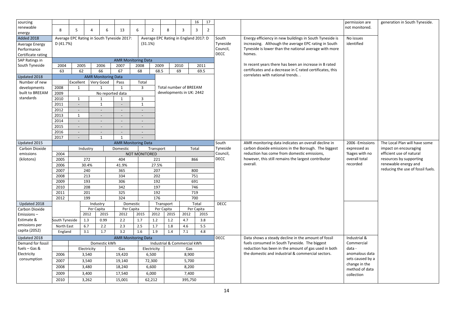| sourcing                     |                |                          |                            |              |                                            |                          |                |                    |                                       | 16         | 17             |             |                                                                                                           | permission are           | generation in South Tyneside.     |
|------------------------------|----------------|--------------------------|----------------------------|--------------|--------------------------------------------|--------------------------|----------------|--------------------|---------------------------------------|------------|----------------|-------------|-----------------------------------------------------------------------------------------------------------|--------------------------|-----------------------------------|
| renewable                    |                |                          |                            |              |                                            |                          |                |                    |                                       |            |                |             |                                                                                                           | not monitored.           |                                   |
| energy                       | 8              | 5                        | 4                          | 6            | 13                                         | 6                        | $\overline{2}$ | 8                  | 3                                     | 3          | $\overline{2}$ |             |                                                                                                           |                          |                                   |
| Added 2018                   |                |                          |                            |              | Average EPC Rating in South Tyneside 2017: |                          |                |                    | Average EPC Rating in England 2017: D |            |                | South       | Energy efficiency in new buildings in South Tyneside is                                                   | No issues                |                                   |
| Average Energy               | D(41.7%)       |                          |                            |              |                                            |                          | (31.1%)        |                    |                                       |            |                | Tyneside    | increasing. Although the average EPC rating in South                                                      | identified               |                                   |
| Performance                  |                |                          |                            |              |                                            |                          |                |                    |                                       |            |                | Council,    | Tyneside is lower than the national average with more                                                     |                          |                                   |
| Certificate rating           |                |                          |                            |              |                                            |                          |                |                    |                                       |            |                | <b>DECC</b> | homes.                                                                                                    |                          |                                   |
| SAP Ratings in               |                |                          |                            |              | <b>AMR Monitoring Data</b>                 |                          |                |                    |                                       |            |                |             |                                                                                                           |                          |                                   |
| South Tyneside               | 2004           | 2005                     | 2006                       |              | 2007                                       | 2008                     | 2009           |                    | 2010                                  |            | 2011           |             | In recent years there has been an increase in B rated                                                     |                          |                                   |
|                              | 63             | 62                       |                            | 66           | 67                                         | 68                       | 68.5           |                    | 69                                    |            | 69.5           |             | certificates and a decrease in C rated certificates, this                                                 |                          |                                   |
| Updated 2018                 |                |                          | <b>AMR Monitoring Data</b> |              |                                            |                          |                |                    |                                       |            |                |             | correlates with national trends                                                                           |                          |                                   |
| Number of new                |                | Excellent                | Very Good                  |              | Pass                                       | Total                    |                |                    |                                       |            |                |             |                                                                                                           |                          |                                   |
| developments                 | 2008           | $\mathbf{1}$             |                            | $\mathbf{1}$ | 1                                          | 3                        |                |                    | Total number of BREEAM                |            |                |             |                                                                                                           |                          |                                   |
| built to BREEAM              | 2009           |                          |                            |              | No reported data                           |                          |                |                    | developments in UK: 2442              |            |                |             |                                                                                                           |                          |                                   |
| standards                    | 2010           | $\mathbf{1}$             |                            | $\mathbf{1}$ | 1                                          | 3                        |                |                    |                                       |            |                |             |                                                                                                           |                          |                                   |
|                              | 2011           | $\sim$                   |                            | $\mathbf{1}$ | $\overline{\phantom{a}}$                   | $\mathbf{1}$             |                |                    |                                       |            |                |             |                                                                                                           |                          |                                   |
|                              | 2012           | $\overline{\phantom{a}}$ |                            | $\sim$       | $\overline{\phantom{a}}$                   |                          |                |                    |                                       |            |                |             |                                                                                                           |                          |                                   |
|                              | 2013           | $\mathbf{1}$             |                            | $\sim$       | $\sim$                                     | $\sim$                   |                |                    |                                       |            |                |             |                                                                                                           |                          |                                   |
|                              | 2014           |                          |                            |              | $\overline{\phantom{a}}$                   |                          |                |                    |                                       |            |                |             |                                                                                                           |                          |                                   |
|                              | 2015           | $\sim$                   |                            | $\sim$       | $\sim$                                     | $\sim$                   |                |                    |                                       |            |                |             |                                                                                                           |                          |                                   |
|                              | 2016           | $\overline{\phantom{a}}$ |                            | $\sim$       | $\sim$                                     | $\overline{\phantom{a}}$ |                |                    |                                       |            |                |             |                                                                                                           |                          |                                   |
|                              | 2017           |                          |                            | $\mathbf{1}$ | $\overline{1}$                             |                          |                |                    |                                       |            |                |             |                                                                                                           |                          |                                   |
| Updated 2015                 |                |                          |                            |              | <b>AMR Monitoring Data</b>                 |                          |                |                    |                                       |            |                | South       | AMR monitoring data indicates an overall decline in                                                       | 2006 - Emissions         | The Local Plan will have some     |
| Carbon Dioxide               |                |                          | Industry                   |              | Domestic                                   |                          | Transport      |                    |                                       | Total      |                | Tyneside    | carbon dioxide emissions in the Borough. The biggest                                                      | expressed as             | impact on encouraging             |
| emissions                    | 2004           |                          |                            |              |                                            | NOT MONITORED            |                |                    |                                       |            |                | Council,    | reduction has come from domestic emissions,                                                               | %ages with no            | efficient use of natural          |
| (kilotons)                   | 2005           |                          | 272                        |              | 404                                        |                          | 221            |                    |                                       | 866        |                | DECC        | however, this still remains the largest contributor                                                       | overall total            | resources by supporting           |
|                              | 2006           |                          | 30.4%                      |              | 41.9%                                      |                          | 27.5%          |                    |                                       |            |                |             | overall.                                                                                                  | recorded                 | renewable energy and              |
|                              | 2007           |                          | 240                        |              | 365                                        |                          | 207            |                    |                                       | 800        |                |             |                                                                                                           |                          | reducing the use of fossil fuels. |
|                              | 2008           |                          | 213                        |              | 334                                        |                          | 202            |                    |                                       | 751        |                |             |                                                                                                           |                          |                                   |
|                              | 2009           |                          | 193                        |              | 306                                        |                          | 192            |                    |                                       | 691        |                |             |                                                                                                           |                          |                                   |
|                              | 2010           |                          | 208                        |              | 342                                        |                          | 197            |                    |                                       | 746        |                |             |                                                                                                           |                          |                                   |
|                              | 2011           |                          | 201                        |              | 325                                        |                          | 192            |                    |                                       | 719        |                |             |                                                                                                           |                          |                                   |
|                              | 2012           |                          | 199                        |              | 324                                        |                          | 176            |                    |                                       | 700        |                |             |                                                                                                           |                          |                                   |
| Updated 2018                 |                |                          | Industry                   |              |                                            | Domestic                 |                | Transport          |                                       | Total      |                | <b>DECC</b> |                                                                                                           |                          |                                   |
| Carbon Dioxide<br>Emissions- |                |                          | Per Capita<br>2012         | 2015         | Per Capita<br>2012                         | 2015                     | 2012           | Per Capita<br>2015 | 2012                                  | Per Capita | 2015           |             |                                                                                                           |                          |                                   |
| Estimate &                   | South Tyneside |                          | 1.3                        | 0.99         | 2.2                                        |                          | 1.2            | 1.2                | 4.7                                   |            | 3.8            |             |                                                                                                           |                          |                                   |
| emissions per                |                |                          |                            |              |                                            | 1.7                      |                |                    |                                       |            |                |             |                                                                                                           |                          |                                   |
| capita (2052)                | North East     |                          | 6.7                        | 2.2          | 2.3                                        | 2.5                      | 1.7            | 1.8                | 4.6                                   |            | 5.5            |             |                                                                                                           |                          |                                   |
|                              | England        |                          | 3.1                        | 1.7          | 3.2                                        | 1.6                      | 1.9            | 1.4                | 7.1                                   |            | 4.8            |             |                                                                                                           |                          |                                   |
| Updated 2018                 |                |                          |                            |              | <b>AMR Monitoring Data</b>                 |                          |                |                    |                                       |            |                | <b>DECC</b> | Data shows a steady decline in the amount of fossil                                                       | Industrial &             |                                   |
| Demand for fossil            |                |                          |                            | Domestic kWh |                                            |                          |                |                    | Industrial & Commercial kWh           |            |                |             | fuels consumed in South Tyneside. The biggest                                                             | Commercial               |                                   |
| fuels – Gas &                |                |                          | Electricity                |              | Gas                                        |                          | Electricity    |                    | Gas                                   |            |                |             | reduction has been in the amount of gas used in both<br>the domestic and industrial & commercial sectors. | data -<br>anomalous data |                                   |
| Electricity                  | 2006           |                          | 3,540                      |              | 19,420                                     |                          | 6,500          |                    | 8,900                                 |            |                |             |                                                                                                           | sets caused by a         |                                   |
| consumption                  | 2007           |                          | 3,540                      |              | 19,140                                     |                          | 72,300         |                    | 5,700                                 |            |                |             |                                                                                                           | change in the            |                                   |
|                              | 2008           |                          | 3,480                      |              | 18,240                                     |                          | 6,600          |                    | 8,200                                 |            |                |             |                                                                                                           | method of data           |                                   |
|                              | 2009           |                          | 3,400                      |              | 17,540                                     |                          | 6,000          |                    | 7,400                                 |            |                |             |                                                                                                           | collection               |                                   |
|                              | 2010           |                          | 3,262                      |              | 15,001                                     |                          | 62,212         |                    | 395,750                               |            |                |             |                                                                                                           |                          |                                   |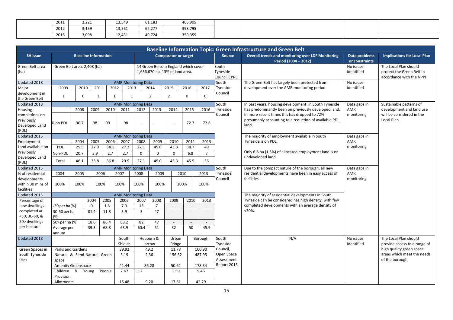| 2011 | $\sim$ $\sim$<br>3,221 | 12E10<br>.<br>13.JT. | 61,183                 | 405,905 |
|------|------------------------|----------------------|------------------------|---------|
| 2012 | 2.150<br>:د⊥رد         | 42.52<br>13,561      | $\sim$ $\sim$<br>62.Z/ | 393.795 |
| 2016 | 3,098                  | 12,431               | 4972/<br>.9.124        | 359,359 |

|                                                         |                                                            |                                              |                             |        |                                    |                            |                                                                          |                             |                          |                |                                                   | <b>Baseline Information Topic: Green Infrastructure and Green Belt</b>                                         |                                 |                                                                                |
|---------------------------------------------------------|------------------------------------------------------------|----------------------------------------------|-----------------------------|--------|------------------------------------|----------------------------|--------------------------------------------------------------------------|-----------------------------|--------------------------|----------------|---------------------------------------------------|----------------------------------------------------------------------------------------------------------------|---------------------------------|--------------------------------------------------------------------------------|
| <b>SA Issue</b>                                         |                                                            |                                              | <b>Baseline Information</b> |        |                                    |                            |                                                                          | <b>Comparator or target</b> |                          |                | <b>Source</b>                                     | <b>Overall trends and monitoring over LDF Monitoring</b><br>Period (2004 - 2012)                               | Data problems<br>or constraints | <b>Implications for Local Plan</b>                                             |
| Green Belt area<br>(ha)                                 | Green Belt area: 2,408 (ha)                                |                                              |                             |        |                                    |                            | 14 Green Belts in England which cover<br>1,636,670 ha, 13% of land area. |                             |                          |                | South<br>Tyneside<br>Council, CPRE                |                                                                                                                | No issues<br>identified         | The Local Plan should<br>protect the Green Belt in<br>accordance with the NPPF |
| Updated 2018                                            |                                                            |                                              |                             |        | <b>AMR Monitoring Data</b>         |                            |                                                                          |                             |                          |                | South                                             | The Green Belt has largely been protected from                                                                 | No issues                       |                                                                                |
| Major                                                   | 2009                                                       | 2010                                         | 2011                        | 2012   | 2013                               |                            | 2014                                                                     | 2015                        | 2016                     | 2017           | Tyneside                                          | development over the AMR monitoring period.                                                                    | identified                      |                                                                                |
| development in                                          | $\mathbf{1}$                                               | $\Omega$                                     | 1                           | 1      | 1                                  |                            | $\overline{2}$                                                           | $\overline{2}$              | $\Omega$                 | $\mathbf 0$    | Council                                           |                                                                                                                |                                 |                                                                                |
| the Green Belt<br>Updated 2018                          |                                                            |                                              |                             |        | <b>AMR Monitoring Data</b>         |                            |                                                                          |                             |                          |                | South                                             | In past years, housing development in South Tyneside                                                           | Data gaps in                    | Sustainable patterns of                                                        |
| Housing                                                 |                                                            | 2008                                         | 2009                        | 2010   | 2011                               | 2012                       | 2013                                                                     | 2014                        | 2015                     | 2016           | Tyneside                                          | has predominantly been on previously developed land.                                                           | AMR                             | development and land use                                                       |
| completions on<br>Previously<br>Developed Land<br>(PDL) | % on PDL                                                   | 90.7                                         | 98                          | 99     | 98                                 |                            |                                                                          | $\sim$                      | 72.7<br>72.6             |                | Council                                           | In more recent times this has dropped to 72%<br>presumably accounting to a reduction of available PDL<br>land. | monitoring                      | will be considered in the<br>Local Plan.                                       |
| Updated 2015                                            |                                                            |                                              |                             |        |                                    | <b>AMR Monitoring Data</b> |                                                                          |                             |                          |                |                                                   | The majority of employment available in South                                                                  | Data gaps in                    |                                                                                |
| Employment                                              |                                                            | 2006<br>2004<br>2005<br>25.5<br>27.9<br>34.1 |                             |        | 2007                               | 2008                       | 2009                                                                     | 2010                        | 2011<br>2013             |                |                                                   | Tyneside is on PDL.                                                                                            | <b>AMR</b>                      |                                                                                |
| Land available on                                       | PDL                                                        | 2.7                                          |                             |        | 27.2                               | 27.1                       | 45.0                                                                     | 43.3                        | 38.7                     | 49             |                                                   |                                                                                                                | monitoring                      |                                                                                |
| Previously<br>Developed Land                            | Non-PDL                                                    | 5.9<br>2.7<br>20.7                           |                             |        |                                    | $\Omega$                   | $\Omega$                                                                 | $\mathbf 0$                 | 6.8                      | $\overline{7}$ |                                                   | Only 6.8 ha (1.5%) of allocated employment land is on<br>undeveloped land.                                     |                                 |                                                                                |
| (PDL)                                                   | Total                                                      | 36.8<br>46.1<br>33.8                         |                             | 29.9   | 56<br>27.1<br>45.0<br>43.3<br>45.5 |                            |                                                                          |                             |                          |                |                                                   |                                                                                                                |                                 |                                                                                |
| Updated 2015                                            |                                                            |                                              |                             |        | <b>AMR Monitoring Data</b>         |                            |                                                                          |                             |                          | South          | Due to the compact nature of the borough, all new | Data gaps in                                                                                                   |                                 |                                                                                |
| % of residential                                        | 2004                                                       | 2005                                         | 2006                        |        | 2007                               | 2008                       | 2009                                                                     | 2010                        |                          | 2013           | Tyneside                                          | residential developments have been in easy access of                                                           | AMR                             |                                                                                |
| developments<br>within 30 mins of<br>facilities         | 100%                                                       | 100%                                         | 100%                        |        | 100%                               | 100%<br>100%<br>100%       |                                                                          | 100%                        | Council                  | facilities.    | monitoring                                        |                                                                                                                |                                 |                                                                                |
| Updated 2015                                            |                                                            |                                              |                             |        | <b>AMR Monitoring Data</b>         |                            |                                                                          |                             |                          |                |                                                   | The majority of residential developments in South                                                              |                                 |                                                                                |
| Percentage of                                           |                                                            |                                              | 2004                        | 2005   | 2006                               | 2007                       | 2008                                                                     | 2009                        | 2010                     | 2013           |                                                   | Tyneside can be considered has high density, with few                                                          |                                 |                                                                                |
| new dwellings                                           | $<$ 30 per ha $(%)$                                        |                                              | $\Omega$                    | 1.8    | 7.9                                | 15                         | $\overline{7}$                                                           | $\sim$                      | $\sim$                   |                |                                                   | completed developments with an average density of<br>$<$ 30%.                                                  |                                 |                                                                                |
| completed at<br>$<$ 30, 30-50, &                        | 30-50 per ha<br>(%)                                        |                                              | 81.4                        | 11.8   | 3.9                                | $\overline{3}$             | 47                                                                       |                             | $\overline{a}$           |                |                                                   |                                                                                                                |                                 |                                                                                |
| 50> dwellings                                           | 50> per ha (%)                                             |                                              | 18.6                        | 86.4   | 88.2                               | 82                         | 47                                                                       | $\overline{\phantom{a}}$    | $\overline{\phantom{a}}$ |                |                                                   |                                                                                                                |                                 |                                                                                |
| per hectare                                             | Average per                                                |                                              | 39.3                        | 68.8   | 63.9                               | 60.4                       | 51                                                                       | 32                          | 50                       | 45.9           |                                                   |                                                                                                                |                                 |                                                                                |
|                                                         | annum                                                      |                                              |                             |        |                                    |                            |                                                                          |                             |                          |                |                                                   |                                                                                                                |                                 |                                                                                |
| Updated 2018                                            |                                                            |                                              |                             |        | South                              | Hebburn &                  |                                                                          | Urban                       |                          | Borough        | South                                             | N/A                                                                                                            | No issues                       | The Local Plan should                                                          |
| Green Spaces in                                         |                                                            |                                              |                             |        | Shields                            | Jarrow<br>49.2             |                                                                          | Fringe<br>11.78             |                          | 100.90         | Tyneside<br>Council,                              |                                                                                                                | identified                      | provide access to a range of<br>high quality green space                       |
| South Tyneside                                          | 39.92<br>Parks and Gardens<br>Natural & Semi-Natural Green |                                              | 3.19                        | 2.36   |                                    | 156.32                     |                                                                          | 487.95                      | Open Space               |                |                                                   | areas which meet the needs                                                                                     |                                 |                                                                                |
| (Ha)                                                    | space                                                      |                                              |                             |        |                                    |                            |                                                                          |                             |                          | Assessment     |                                                   |                                                                                                                | of the borough.                 |                                                                                |
|                                                         | <b>Amenity Greenspace</b>                                  |                                              |                             |        | 41.44                              |                            | 86.28                                                                    | 50.62                       |                          | 178.34         | Report 2015                                       |                                                                                                                |                                 |                                                                                |
|                                                         | Children                                                   | &                                            | Young                       | People | 2.67                               | 1.2                        |                                                                          | 1.59                        |                          | 5.46           |                                                   |                                                                                                                |                                 |                                                                                |
|                                                         | Provision                                                  |                                              |                             |        |                                    |                            |                                                                          |                             |                          |                |                                                   |                                                                                                                |                                 |                                                                                |
|                                                         | Allotments                                                 |                                              |                             |        | 15.48                              |                            | 9.20<br>42.29<br>17.61                                                   |                             |                          |                |                                                   |                                                                                                                |                                 |                                                                                |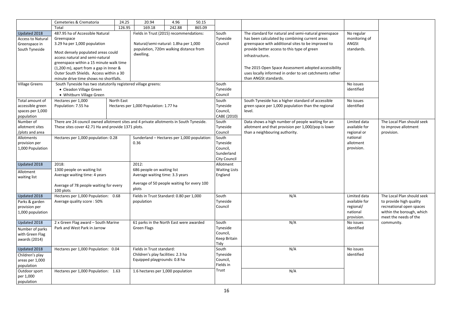|                                                                                                                                                                 | Cemeteries & Crematoria                                                                                                                                                                                                                                                                                                                                                                                                                                                                               | 24.25                                               | 20.94                                                                                                                                                                             | 4.96   | 50.15  |                                                                                               |                                                                                                                                                                                                                                                                                                                                                                                                                                                                                                  |                                                                                                          |                                                                                                           |
|-----------------------------------------------------------------------------------------------------------------------------------------------------------------|-------------------------------------------------------------------------------------------------------------------------------------------------------------------------------------------------------------------------------------------------------------------------------------------------------------------------------------------------------------------------------------------------------------------------------------------------------------------------------------------------------|-----------------------------------------------------|-----------------------------------------------------------------------------------------------------------------------------------------------------------------------------------|--------|--------|-----------------------------------------------------------------------------------------------|--------------------------------------------------------------------------------------------------------------------------------------------------------------------------------------------------------------------------------------------------------------------------------------------------------------------------------------------------------------------------------------------------------------------------------------------------------------------------------------------------|----------------------------------------------------------------------------------------------------------|-----------------------------------------------------------------------------------------------------------|
|                                                                                                                                                                 | Total                                                                                                                                                                                                                                                                                                                                                                                                                                                                                                 | 126.95                                              | 169.18                                                                                                                                                                            | 242.88 | 865.09 |                                                                                               |                                                                                                                                                                                                                                                                                                                                                                                                                                                                                                  |                                                                                                          |                                                                                                           |
| Updated 2018<br><b>Access to Natural</b><br>Greenspace in<br>South Tyneside<br><b>Village Greens</b><br>Total amount of<br>accessible green<br>spaces per 1,000 | 487.95 ha of Accessible Natural<br>Greenspace<br>3.29 ha per 1,000 population<br>Most densely populated areas could<br>access natural and semi-natural<br>greenspace within a 15 minute walk time<br>(1,200 m), apart from a gap in Inner &<br>Outer South Shields. Access within a 30<br>minute drive time shows no shortfalls.<br>South Tyneside has two statutorily registered village greens:<br>• Cleadon Village Green<br>• Whitburn Village Green<br>Hectares per 1,000<br>Population: 7.55 ha | North East                                          | Fields in Trust (2015) recommendations:<br>Natural/semi-natural: 1.8ha per 1,000<br>population, 720m walking distance from<br>dwelling.<br>Hectares per 1,000 Population: 1.77 ha |        |        | South<br>Tyneside<br>Council<br>South<br>Tyneside<br>Council<br>South<br>Tyneside<br>Council, | The standard for natural and semi-natural greenspace<br>has been calculated by combining current areas<br>greenspace with additional sites to be improved to<br>provide better access to this type of green<br>infrastructure.<br>The 2015 Open Space Assessment adopted accessibility<br>uses locally informed in order to set catchments rather<br>than ANGSt standards.<br>South Tyneside has a higher standard of accessible<br>green space per 1,000 population than the regional<br>level. | No regular<br>monitoring of<br>ANGSt<br>standards.<br>No issues<br>identified<br>No issues<br>identified |                                                                                                           |
| population                                                                                                                                                      |                                                                                                                                                                                                                                                                                                                                                                                                                                                                                                       |                                                     |                                                                                                                                                                                   |        |        |                                                                                               |                                                                                                                                                                                                                                                                                                                                                                                                                                                                                                  |                                                                                                          |                                                                                                           |
| Number of<br>allotment sites<br>/plots and area                                                                                                                 | There are 24 council owned allotment sites and 4 private allotments in South Tyneside.<br>These sites cover 42.71 Ha and provide 1371 plots.                                                                                                                                                                                                                                                                                                                                                          |                                                     |                                                                                                                                                                                   |        |        | CABE (2010)<br>South<br>Tyneside<br>Council                                                   | Data shows a high number of people waiting for an<br>allotment and that provision per 1,000/pop is lower<br>than a neighbouring authority.                                                                                                                                                                                                                                                                                                                                                       | Limited data<br>available for<br>regional or                                                             | The Local Plan should seek<br>to improve allotment<br>provision.                                          |
| Allotments<br>provision per<br>1,000 Population                                                                                                                 | Hectares per 1,000 population: 0.28                                                                                                                                                                                                                                                                                                                                                                                                                                                                   | Sunderland - Hectares per 1,000 population:<br>0.36 |                                                                                                                                                                                   |        |        | South<br>Tyneside<br>Council,<br>Sunderland<br><b>City Council</b>                            |                                                                                                                                                                                                                                                                                                                                                                                                                                                                                                  | national<br>allotment<br>provision.                                                                      |                                                                                                           |
| Updated 2018                                                                                                                                                    | 2018:                                                                                                                                                                                                                                                                                                                                                                                                                                                                                                 |                                                     | 2012:                                                                                                                                                                             |        |        | Allotment                                                                                     |                                                                                                                                                                                                                                                                                                                                                                                                                                                                                                  |                                                                                                          |                                                                                                           |
| Allotment<br>waiting list                                                                                                                                       | 1300 people on waiting list<br>Average waiting time: 4 years<br>Average of 78 people waiting for every                                                                                                                                                                                                                                                                                                                                                                                                |                                                     | 686 people on waiting list<br>Average waiting time: 3.3 years<br>Average of 50 people waiting for every 100<br>plots                                                              |        |        | <b>Waiting Lists</b><br>England                                                               |                                                                                                                                                                                                                                                                                                                                                                                                                                                                                                  |                                                                                                          |                                                                                                           |
| Updated 2018                                                                                                                                                    | 100 plots<br>Hectares per 1,000 Population: 0.68                                                                                                                                                                                                                                                                                                                                                                                                                                                      |                                                     | Fields in Trust Standard: 0.80 per 1,000                                                                                                                                          |        |        | South                                                                                         | N/A                                                                                                                                                                                                                                                                                                                                                                                                                                                                                              | Limited data                                                                                             | The Local Plan should seek                                                                                |
| Parks & garden<br>provision per<br>1,000 population                                                                                                             | Average quality score: 50%                                                                                                                                                                                                                                                                                                                                                                                                                                                                            |                                                     | population                                                                                                                                                                        |        |        | Tyneside<br>Council                                                                           |                                                                                                                                                                                                                                                                                                                                                                                                                                                                                                  | available for<br>regional/<br>national<br>provision.                                                     | to provide high quality<br>recreational open spaces<br>within the borough, which<br>meet the needs of the |
| Updated 2018<br>Number of parks<br>with Green Flag<br>awards (2014)                                                                                             | 2 x Green Flag award - South Marine<br>Park and West Park in Jarrow                                                                                                                                                                                                                                                                                                                                                                                                                                   |                                                     | 61 parks in the North East were awarded<br>Green Flags                                                                                                                            |        |        | South<br>Tyneside<br>Council,<br>Keep Britain<br>Tidy                                         | N/A                                                                                                                                                                                                                                                                                                                                                                                                                                                                                              | No issues<br>identified                                                                                  | community.                                                                                                |
| Updated 2018<br>Children's play<br>areas per 1,000<br>population                                                                                                | Hectares per 1,000 Population: 0.04                                                                                                                                                                                                                                                                                                                                                                                                                                                                   |                                                     | Fields in Trust standard:<br>Children's play facilities: 2.3 ha<br>Equipped playgrounds: 0.8 ha                                                                                   |        |        | South<br>Tyneside<br>Council,<br>Fields in                                                    | N/A                                                                                                                                                                                                                                                                                                                                                                                                                                                                                              | No issues<br>identified                                                                                  |                                                                                                           |
| Outdoor sport<br>per 1,000<br>population                                                                                                                        | Hectares per 1,000 Population: 1.63                                                                                                                                                                                                                                                                                                                                                                                                                                                                   |                                                     | 1.6 hectares per 1,000 population                                                                                                                                                 |        |        | Trust                                                                                         | N/A                                                                                                                                                                                                                                                                                                                                                                                                                                                                                              |                                                                                                          |                                                                                                           |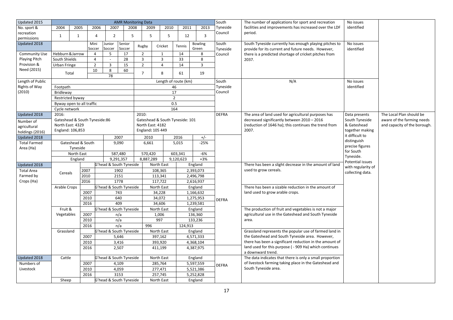| Updated 2015         |                               |                   |                |                  | <b>AMR Monitoring Data</b> |                |                                 |                      |                         | South             | The number of applications for sport and recreation                                                          | No issues               |                              |
|----------------------|-------------------------------|-------------------|----------------|------------------|----------------------------|----------------|---------------------------------|----------------------|-------------------------|-------------------|--------------------------------------------------------------------------------------------------------------|-------------------------|------------------------------|
| No. sport &          | 2004                          | 2005              | 2006           | 2007             | 2008                       | 2009           | 2010                            | 2011                 | 2013                    | Tyneside          | facilities and improvements has increased over the LDF                                                       | identified              |                              |
| recreation           |                               |                   |                |                  |                            |                |                                 |                      |                         | Council           | period.                                                                                                      |                         |                              |
| permissions          | $\mathbf{1}$                  | $\mathbf{1}$      | $\overline{4}$ | $\overline{2}$   | 5                          | 5              | 5                               | 12                   | $\overline{3}$          |                   |                                                                                                              |                         |                              |
| Updated 2018         |                               |                   | Mini<br>Soccer | Junior<br>Soccer | Senior<br>Soccer           | Rugby          | Cricket                         | Tennis               | <b>Bowling</b><br>Green | South<br>Tyneside | South Tyneside currently has enough playing pitches to<br>provide for its current and future needs. However, | No issues<br>identified |                              |
| <b>Community Use</b> | Hebburn & Jarrow              |                   | $\overline{4}$ | 5                | 17                         | $\overline{2}$ | $\mathbf{1}$                    | 14                   | 8                       | Council           | there is a predicted shortage of cricket pitches from                                                        |                         |                              |
| Playing Pitch        | South Shields                 |                   | $\overline{4}$ | $\sim$           | 28                         | $\overline{3}$ | $\overline{3}$                  | 33                   | 8                       |                   | 2037.                                                                                                        |                         |                              |
| Provision &          | <b>Urban Fringe</b>           |                   | $\overline{2}$ | 3                | 15                         | $\overline{2}$ | 4                               | 14                   | 3                       |                   |                                                                                                              |                         |                              |
| Need (2015)          | Total                         |                   | 10             | 8<br>78          | 60                         | $\overline{7}$ | 8                               | 61                   | 19                      |                   |                                                                                                              |                         |                              |
| Length of Public     |                               |                   |                |                  |                            |                |                                 | Length of route (km) |                         | South             | N/A                                                                                                          | No issues               |                              |
| Rights of Way        | Footpath                      |                   |                |                  |                            |                |                                 | 46                   |                         | Tyneside          |                                                                                                              | identified              |                              |
| (2010)               | Bridleway                     |                   |                |                  |                            |                |                                 | 17                   |                         | Council           |                                                                                                              |                         |                              |
|                      | Restricted byway              |                   |                |                  |                            |                |                                 | $\overline{2}$       |                         |                   |                                                                                                              |                         |                              |
|                      | Byway open to all traffic     |                   |                |                  |                            |                |                                 | 0.5                  |                         |                   |                                                                                                              |                         |                              |
|                      | Cycle network                 |                   |                |                  |                            |                |                                 | 164                  |                         |                   |                                                                                                              |                         |                              |
| Updated 2018         | 2016:                         |                   |                |                  |                            | 2010:          |                                 |                      |                         | <b>DEFRA</b>      | The area of land used for agricultural purposes has                                                          | Data presents           | The Local Plan should be     |
| Number of            | Gateshead & South Tyneside:86 |                   |                |                  |                            |                | Gateshead & South Tyneside: 101 |                      |                         |                   | decreased significantly between 2010 - 2016                                                                  | South Tyneside          | aware of the farming needs   |
| agricultural         | North East: 4329              |                   |                |                  |                            |                | North East: 4182                |                      |                         |                   | (reduction of 1646 ha); this continues the trend from                                                        | & Gateshead             | and capacity of the borough. |
| holdings (2016)      | England: 106,853              |                   |                |                  |                            |                | England: 105 449                |                      |                         |                   | 2007.                                                                                                        | together making         |                              |
| Updated 2018         |                               |                   |                |                  | 2007                       | 2010           |                                 | 2016                 | $+/-$                   |                   |                                                                                                              | it difficult to         |                              |
| <b>Total Farmed</b>  |                               | Gateshead & South |                |                  | 9,090                      | 6,661          |                                 | 5,015                | $-25%$                  |                   |                                                                                                              | distinguish             |                              |
| Area (Ha)            |                               | Tyneside          |                |                  |                            |                |                                 |                      |                         |                   |                                                                                                              | precise figures         |                              |
|                      |                               | North East        |                |                  | 587,480                    | 570,420        |                                 | 603,341              | $-6%$                   |                   |                                                                                                              | for South               |                              |
|                      |                               | England           |                |                  | 9,291,357                  | 8,887,289      |                                 | 9,120,623            | $+3%$                   |                   |                                                                                                              | Tyneside.               |                              |
| Updated 2018         |                               |                   |                |                  | G'head & South Tyneside    |                | North East                      |                      | England                 |                   | There has been a slight decrease in the amount of land                                                       | Potential issues        |                              |
| <b>Total Area</b>    |                               | 2007              |                |                  | 1902                       |                | 108,365                         |                      | 2,393,073               |                   | used to grow cereals.                                                                                        | with regularity of      |                              |
| Farmed by            | Cereals                       | 2010              |                |                  | 2151                       |                | 113,341                         |                      | 2,496,798               |                   |                                                                                                              | collecting data.        |                              |
| Crops (Ha)           |                               | 2016              |                |                  | 1778                       |                | 117,722                         |                      | 2,616,937               |                   |                                                                                                              |                         |                              |
|                      | Arable Crops                  |                   |                |                  | G'head & South Tyneside    |                | North East                      |                      | England                 |                   | There has been a sizable reduction in the amount of                                                          |                         |                              |
|                      |                               | 2007              |                |                  | 743                        |                | 34,228                          |                      | 1,166,632               |                   | land used to grow arable crops.                                                                              |                         |                              |
|                      |                               | 2010              |                |                  | 640                        |                | 34,072                          |                      | 1,275,953               |                   |                                                                                                              |                         |                              |
|                      |                               | 2016              |                |                  | 409                        |                | 34,606                          |                      | 1,239,581               | <b>DEFRA</b>      |                                                                                                              |                         |                              |
|                      | Fruit &                       |                   |                |                  | G'head & South Tyneside    |                | North East                      |                      | England                 |                   | The production of fruit and vegetables is not a major                                                        |                         |                              |
|                      | Vegetables                    | 2007              |                |                  | n/a                        |                | 1,006                           |                      | 136,360                 |                   | agricultural use in the Gateshead and South Tyneside                                                         |                         |                              |
|                      |                               | 2010              |                |                  | n/a                        |                | 997                             |                      | 133,236                 |                   | area.                                                                                                        |                         |                              |
|                      |                               | 2016              |                |                  | n/a                        | 996            |                                 | 124,913              |                         |                   |                                                                                                              |                         |                              |
|                      | Grassland                     |                   |                |                  | G'head & South Tyneside    |                | North East                      |                      | England                 |                   | Grassland represents the popular use of farmed land in                                                       |                         |                              |
|                      |                               | 2007              |                |                  | 5,646                      |                | 397,162                         |                      | 4,571,333               |                   | the Gateshead and South Tyneside area. However,                                                              |                         |                              |
|                      |                               | 2010              |                |                  | 3,416                      |                | 393,920                         |                      | 4,368,104               |                   | there has been a significant reduction in the amount of                                                      |                         |                              |
|                      |                               | 2016              |                |                  | 2,507                      |                | 411,199                         |                      | 4,387,975               |                   | land used for this purpose ( - 909 Ha) which continues                                                       |                         |                              |
|                      |                               |                   |                |                  |                            |                |                                 |                      |                         |                   | a downward trend.                                                                                            |                         |                              |
| Updated 2018         | Cattle                        |                   |                |                  | G'head & South Tyneside    |                | North East                      |                      | England                 |                   | The data indicates that there is only a small proportion                                                     |                         |                              |
| Numbers of           |                               | 2007              |                |                  | 4,109                      |                | 285,764                         |                      | 5,597,559               | <b>DEFRA</b>      | of livestock farming taking place in the Gateshead and                                                       |                         |                              |
| Livestock            |                               | 2010              |                |                  | 4,059                      |                | 277,471                         |                      | 5,521,386               |                   | South Tyneside area.                                                                                         |                         |                              |
|                      |                               | 2016              |                |                  | 3153                       |                | 257,745                         |                      | 5,252,828               |                   |                                                                                                              |                         |                              |
|                      | Sheep                         |                   |                |                  | G'head & South Tyneside    |                | North East                      |                      | England                 |                   |                                                                                                              |                         |                              |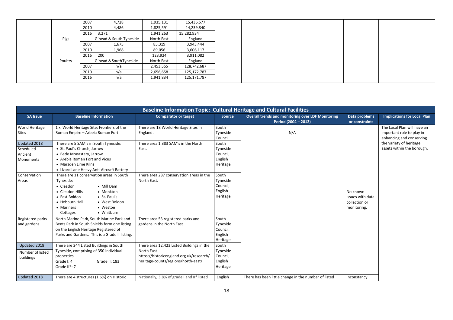|         | 2007 | 4,728                   | 1,935,131  | 15,436,577  |
|---------|------|-------------------------|------------|-------------|
|         | 2010 | 4,486                   | 1,825,591  | 14,239,840  |
|         | 2016 | 3,271                   | 1,941,263  | 15,282,934  |
| Pigs    |      | G'head & South Tyneside | North East | England     |
|         | 2007 | 1,675                   | 85,319     | 3,943,444   |
|         | 2010 | 1,968                   | 89,056     | 3,606,117   |
|         | 2016 | 200                     | 123,924    | 3,911,082   |
| Poultry |      | G'head & South Tyneside | North East | England     |
|         | 2007 | n/a                     | 2,453,565  | 128,742,687 |
|         | 2010 | n/a                     | 2,656,658  | 125,172,787 |
|         | 2016 | n/a                     | 1,941,834  | 125,171,787 |
|         |      |                         |            |             |

|                                                   |                                                                                                                                                                                                                                          | <b>Baseline Information Topic: Cultural Heritage and Cultural Facilities</b>                                                               |                                                      |                                                                           |                                                              |                                                                                      |
|---------------------------------------------------|------------------------------------------------------------------------------------------------------------------------------------------------------------------------------------------------------------------------------------------|--------------------------------------------------------------------------------------------------------------------------------------------|------------------------------------------------------|---------------------------------------------------------------------------|--------------------------------------------------------------|--------------------------------------------------------------------------------------|
| <b>SA Issue</b>                                   | <b>Baseline Information</b>                                                                                                                                                                                                              | <b>Comparator or target</b>                                                                                                                | <b>Source</b>                                        | Overall trends and monitoring over LDF Monitoring<br>Period (2004 - 2012) | Data problems<br>or constraints                              | <b>Implications for Local Plan</b>                                                   |
| World Heritage<br>Sites                           | 1 x World Heritage Site: Frontiers of the<br>Roman Empire - Arbeia Roman Fort                                                                                                                                                            | There are 18 World Heritage Sites in<br>England.                                                                                           | South<br>Tyneside<br>Council                         | N/A                                                                       |                                                              | The Local Plan will have an<br>important role to play in<br>enhancing and conserving |
| Updated 2018<br>Scheduled<br>Ancient<br>Monuments | There are 5 SAM's in South Tyneside:<br>• St. Paul's Church, Jarrow<br>• Bede Monastery, Jarrow<br>• Arebia Roman Fort and Vicus<br>• Marsden Lime Kilns<br>• Lizard Lane Heavy Anti-Aircraft Battery                                    | There area 1,383 SAM's in the North<br>East.                                                                                               | South<br>Tyneside<br>Council,<br>English<br>Heritage |                                                                           |                                                              | the variety of heritage<br>assets within the borough.                                |
| Conservation<br>Areas                             | There are 11 conservation areas in South<br>Tyneside:<br>• Mill Dam<br>• Cleadon<br>• Cleadon Hills<br>• Monkton<br>• East Boldon<br>• St. Paul's<br>• Hebburn Hall<br>• West Boldon<br>• Mariners<br>• Westoe<br>• Whitburn<br>Cottages | There area 287 conservation areas in the<br>North East.                                                                                    | South<br>Tyneside<br>Council,<br>English<br>Heritage |                                                                           | No known<br>issues with data<br>collection or<br>monitoring. |                                                                                      |
| Registered parks<br>and gardens                   | North Marine Park, South Marine Park and<br>Bents Park in South Shields form one listing<br>on the English Heritage Registered of<br>Parks and Gardens. This is a Grade II listing.                                                      | There area 53 registered parks and<br>gardens in the North East                                                                            | South<br>Tyneside<br>Council,<br>English<br>Heritage |                                                                           |                                                              |                                                                                      |
| Updated 2018<br>Number of listed<br>buildings     | There are 244 Listed Buildings in South<br>Tyneside, comprising of 350 individual<br>properties<br>Grade I: 4<br>Grade II: 183<br>Grade II*: 7                                                                                           | There area 12,423 Listed Buildings in the<br>North East<br>https://historicengland.org.uk/research/<br>heritage-counts/regions/north-east/ | South<br>Tyneside<br>Council,<br>English<br>Heritage |                                                                           |                                                              |                                                                                      |
| Updated 2018                                      | There are 4 structures (1.6%) on Historic                                                                                                                                                                                                | Nationally, 3.8% of grade I and II* listed                                                                                                 | English                                              | There has been little change in the number of listed                      | Inconstancy                                                  |                                                                                      |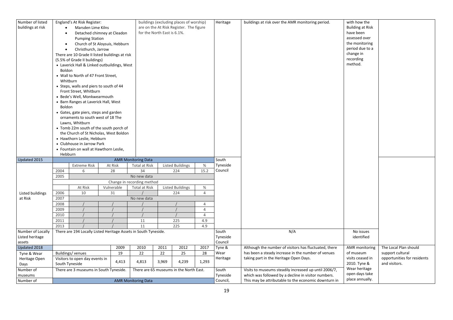| Number of listed      |                | England's At Risk Register:                                          |                                                                 |                            |                             | buildings (excluding places of worship) |                | Heritage          | buildings at risk over the AMR monitoring period.                                                           | with how the                       |                                           |
|-----------------------|----------------|----------------------------------------------------------------------|-----------------------------------------------------------------|----------------------------|-----------------------------|-----------------------------------------|----------------|-------------------|-------------------------------------------------------------------------------------------------------------|------------------------------------|-------------------------------------------|
| buildings at risk     |                | Marsden Lime Kilns                                                   |                                                                 |                            |                             | are on the At Risk Register. The figure |                |                   |                                                                                                             | <b>Building at Risk</b>            |                                           |
|                       | $\bullet$      |                                                                      | Detached chimney at Cleadon                                     |                            | for the North East is 6.1%. |                                         |                |                   |                                                                                                             | have been                          |                                           |
|                       |                | <b>Pumping Station</b>                                               |                                                                 |                            |                             |                                         |                |                   |                                                                                                             | assessed over                      |                                           |
|                       | $\bullet$      |                                                                      | Church of St Aloysuis, Hebburn                                  |                            |                             |                                         |                |                   |                                                                                                             | the monitoring                     |                                           |
|                       | $\bullet$      | Christhurch, Jarrow                                                  |                                                                 |                            |                             |                                         |                |                   |                                                                                                             | period due to a                    |                                           |
|                       |                |                                                                      | There are 10 Grade II listed buildings at risk                  |                            |                             |                                         |                |                   |                                                                                                             | change in                          |                                           |
|                       |                | (5.5% of Grade II buildings)                                         |                                                                 |                            |                             |                                         |                |                   |                                                                                                             | recording                          |                                           |
|                       |                |                                                                      | • Laverick Hall & Linked outbuildings, West                     |                            |                             |                                         |                |                   |                                                                                                             | method.                            |                                           |
|                       | Boldon         |                                                                      |                                                                 |                            |                             |                                         |                |                   |                                                                                                             |                                    |                                           |
|                       |                | • Wall to North of 47 Front Street,                                  |                                                                 |                            |                             |                                         |                |                   |                                                                                                             |                                    |                                           |
|                       | Whitburn       |                                                                      |                                                                 |                            |                             |                                         |                |                   |                                                                                                             |                                    |                                           |
|                       |                | • Steps, walls and piers to south of 44                              |                                                                 |                            |                             |                                         |                |                   |                                                                                                             |                                    |                                           |
|                       |                | Front Street, Whitburn                                               |                                                                 |                            |                             |                                         |                |                   |                                                                                                             |                                    |                                           |
|                       |                | • Bede's Well, Monkwearmouth                                         |                                                                 |                            |                             |                                         |                |                   |                                                                                                             |                                    |                                           |
|                       |                | • Barn Ranges at Laverick Hall, West                                 |                                                                 |                            |                             |                                         |                |                   |                                                                                                             |                                    |                                           |
|                       | Boldon         |                                                                      |                                                                 |                            |                             |                                         |                |                   |                                                                                                             |                                    |                                           |
|                       |                | • Gates, gate piers, steps and garden                                |                                                                 |                            |                             |                                         |                |                   |                                                                                                             |                                    |                                           |
|                       |                | ornaments to south west of 18 The                                    |                                                                 |                            |                             |                                         |                |                   |                                                                                                             |                                    |                                           |
|                       |                | Lawns, Whitburn                                                      |                                                                 |                            |                             |                                         |                |                   |                                                                                                             |                                    |                                           |
|                       |                |                                                                      | • Tomb 22m south of the south porch of                          |                            |                             |                                         |                |                   |                                                                                                             |                                    |                                           |
|                       |                |                                                                      | the Church of St Nicholas, West Boldon                          |                            |                             |                                         |                |                   |                                                                                                             |                                    |                                           |
|                       |                | • Hawthorn Leslie, Hebburn                                           |                                                                 |                            |                             |                                         |                |                   |                                                                                                             |                                    |                                           |
|                       |                | • Clubhouse in Jarrow Park<br>• Fountain on wall at Hawthorn Leslie, |                                                                 |                            |                             |                                         |                |                   |                                                                                                             |                                    |                                           |
|                       |                |                                                                      |                                                                 |                            |                             |                                         |                |                   |                                                                                                             |                                    |                                           |
|                       |                |                                                                      |                                                                 |                            |                             |                                         |                |                   |                                                                                                             |                                    |                                           |
|                       | Hebburn        |                                                                      |                                                                 |                            |                             |                                         |                |                   |                                                                                                             |                                    |                                           |
| Updated 2015          |                |                                                                      |                                                                 | <b>AMR Monitoring Data</b> |                             |                                         |                | South<br>Tyneside |                                                                                                             |                                    |                                           |
|                       | 2004           | <b>Extreme Risk</b><br>6                                             | At Risk<br>28                                                   | <b>Total at Risk</b><br>34 |                             | <b>Listed Buildings</b><br>224          | %<br>15.2      | Council           |                                                                                                             |                                    |                                           |
|                       | 2005           |                                                                      |                                                                 | No new data                |                             |                                         |                |                   |                                                                                                             |                                    |                                           |
|                       |                |                                                                      |                                                                 | Change in recording method |                             |                                         |                |                   |                                                                                                             |                                    |                                           |
|                       |                | At Risk                                                              | Vulnerable                                                      | <b>Total at Risk</b>       |                             | <b>Listed Buildings</b>                 | $\%$           |                   |                                                                                                             |                                    |                                           |
| Listed buildings      | 2006           | 10                                                                   | 31                                                              |                            |                             | 224                                     | $\overline{4}$ |                   |                                                                                                             |                                    |                                           |
| at Risk               | 2007           |                                                                      |                                                                 | No new data                |                             |                                         |                |                   |                                                                                                             |                                    |                                           |
|                       | 2008           |                                                                      |                                                                 |                            |                             |                                         | $\overline{4}$ |                   |                                                                                                             |                                    |                                           |
|                       | 2009           |                                                                      |                                                                 |                            |                             |                                         | $\overline{4}$ |                   |                                                                                                             |                                    |                                           |
|                       | 2010           |                                                                      |                                                                 |                            |                             |                                         | $\overline{4}$ |                   |                                                                                                             |                                    |                                           |
|                       | 2011           |                                                                      |                                                                 | 11                         |                             | 225                                     | $4.9\,$        |                   |                                                                                                             |                                    |                                           |
|                       | 2013           |                                                                      |                                                                 | 11                         |                             | 225                                     | 4.9            |                   |                                                                                                             |                                    |                                           |
| Number of Locally     |                |                                                                      | There are 194 Locally Listed Heritage Assets in South Tyneside. |                            |                             |                                         |                | South             | N/A                                                                                                         | No issues                          |                                           |
| Listed heritage       |                |                                                                      |                                                                 |                            |                             |                                         |                | Tyneside          |                                                                                                             | identified                         |                                           |
| assets                |                |                                                                      |                                                                 |                            |                             |                                         |                | Council           |                                                                                                             |                                    |                                           |
| Updated 2018          |                |                                                                      | 2009                                                            | 2010                       | 2011                        | 2012                                    | 2017           | Tyne &<br>Wear    | Although the number of visitors has fluctuated, there<br>has been a steady increase in the number of venues | <b>AMR</b> monitoring<br>of museum | The Local Plan should<br>support cultural |
| Tyne & Wear           |                | Buildings/venues                                                     | 19                                                              | $\overline{22}$            | 22                          | 25                                      | 28             | Heritage          | taking part in the Heritage Open Days.                                                                      | visits ceased in                   | opportunities for residents               |
| Heritage Open<br>Days | South Tyneside | Visitors to open day events in                                       | 4,413                                                           | 4,813                      | 3,969                       | 4,239                                   | 1,293          |                   |                                                                                                             | 2010. Tyne &                       | and visitors.                             |
| Number of             |                | There are 3 museums in South Tyneside.                               |                                                                 |                            |                             | There are 65 museums in the North East. |                | South             | Visits to museums steadily increased up until 2006/7,                                                       | Wear heritage                      |                                           |
| museums               |                |                                                                      |                                                                 |                            |                             |                                         |                | Tyneside          | which was followed by a decline in visitor numbers.                                                         | open days take<br>place annually.  |                                           |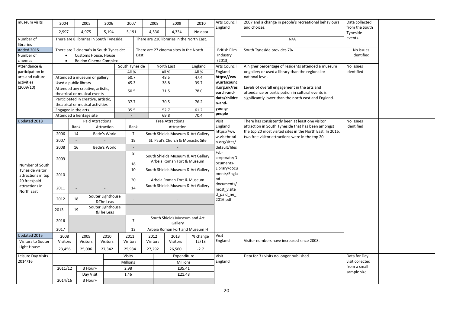| museum visits                          | 2004                  |        | 2005                                                                    | 2006                                     |          | 2007                     | 2008                                   | 2009                    | 2010                                       | Arts Council<br>England     | 2007 and a change in people's recreational behaviours<br>and choices.                                         | Data collected<br>from the South |  |
|----------------------------------------|-----------------------|--------|-------------------------------------------------------------------------|------------------------------------------|----------|--------------------------|----------------------------------------|-------------------------|--------------------------------------------|-----------------------------|---------------------------------------------------------------------------------------------------------------|----------------------------------|--|
|                                        | 2,997                 |        | 4,975                                                                   | 5,194                                    |          | 5,191                    | 4,536                                  | 4,334                   | No data                                    |                             |                                                                                                               | Tyneside                         |  |
| Number of                              |                       |        |                                                                         | There are 8 libraries in South Tyneside. |          |                          |                                        |                         | There are 210 libraries in the North East. |                             | N/A                                                                                                           | events.                          |  |
| libraries                              |                       |        |                                                                         |                                          |          |                          |                                        |                         |                                            |                             |                                                                                                               |                                  |  |
| <b>Added 2015</b>                      |                       |        |                                                                         | There are 2 cinema's in South Tyneside:  |          |                          | There are 27 cinema sites in the North |                         |                                            | <b>British Film</b>         | South Tyneside provides 7%                                                                                    | No issues                        |  |
| Number of                              |                       |        | Customs House, House                                                    |                                          |          | East.                    |                                        |                         |                                            | Industry<br>(2013)          |                                                                                                               | identified                       |  |
| cinemas<br>Attendance &                |                       |        |                                                                         | <b>Boldon Cinema Complex</b>             |          | South Tyneside           |                                        | North East              | England                                    | Arts Council                | A higher percentage of residents attended a museum                                                            | No issues                        |  |
| participation in                       |                       |        |                                                                         |                                          |          | All %                    |                                        | All %                   | All %                                      | England                     | or gallery or used a library than the regional or                                                             | identified                       |  |
| arts and culture                       |                       |        | Attended a museum or gallery                                            |                                          |          | 50.7                     |                                        | 48.5                    | 47.4                                       | https://ww                  | national level.                                                                                               |                                  |  |
| activities                             | Used a public library |        |                                                                         |                                          |          | 45.3                     |                                        | 38.8                    | 39.7                                       | w.artscounc                 |                                                                                                               |                                  |  |
| (2009/10)                              |                       |        | Attended any creative, artistic,<br>theatrical or musical events        |                                          |          | 50.5                     |                                        | 71.5                    | 78.0                                       | il.org.uk/res<br>earch-and- | Levels of overall engagement in the arts and<br>attendance or participation in cultural events is             |                                  |  |
|                                        |                       |        | Participated in creative, artistic,<br>theatrical or musical activities |                                          |          | 37.7                     |                                        | 70.5                    | 76.2                                       | data/childre<br>n-and-      | significantly lower than the north east and England.                                                          |                                  |  |
|                                        | Engaged in the arts   |        |                                                                         |                                          |          | 35.5                     |                                        | 52.7                    | 61.2                                       | young-                      |                                                                                                               |                                  |  |
|                                        |                       |        | Attended a heritage site                                                |                                          |          | $\omega$                 |                                        | 69.8                    | 70.4                                       | people                      |                                                                                                               |                                  |  |
| Updated 2018                           |                       |        | <b>Paid Attractions</b>                                                 |                                          |          |                          |                                        | <b>Free Attractions</b> |                                            | Visit                       | There has consistently been at least one visitor                                                              | No issues                        |  |
|                                        |                       | Rank   |                                                                         | Attraction                               |          | Rank                     |                                        | Attraction              |                                            | England                     | attraction in South Tyneside that has been amongst                                                            | identified                       |  |
|                                        | 2006                  | 14     |                                                                         | Bede's World                             |          | $\overline{7}$           |                                        |                         | South Shields Museum & Art Gallery         | https://ww<br>w.visitbritai | the top 20 most visited sites in the North East. In 2016,<br>two free visitor attractions were in the top 20. |                                  |  |
|                                        | 2007                  | $\sim$ |                                                                         |                                          |          | 19                       |                                        |                         | St. Paul's Church & Monastic Site          | n.org/sites/                |                                                                                                               |                                  |  |
|                                        | 2008                  | 16     |                                                                         | Bede's World                             |          | $\overline{\phantom{a}}$ |                                        |                         |                                            | default/files               |                                                                                                               |                                  |  |
|                                        |                       |        |                                                                         |                                          |          | 8                        |                                        |                         | South Shields Museum & Art Gallery         | /vb-                        |                                                                                                               |                                  |  |
|                                        | 2009                  |        |                                                                         |                                          |          |                          |                                        |                         | Arbeia Roman Fort & Museum                 | corporate/D<br>ocuments-    |                                                                                                               |                                  |  |
| Number of South                        |                       |        |                                                                         |                                          |          | 18                       |                                        |                         |                                            | Library/docu                |                                                                                                               |                                  |  |
| Tyneside visitor<br>attractions in top | 2010                  |        |                                                                         |                                          |          | 10                       |                                        |                         | South Shields Museum & Art Gallery         | ments/Engla                 |                                                                                                               |                                  |  |
| 20 free/paid                           |                       |        |                                                                         |                                          |          | 20                       |                                        |                         | Arbeia Roman Fort & Museum                 | nd-                         |                                                                                                               |                                  |  |
| attractions in                         | 2011                  |        |                                                                         |                                          |          | 14                       |                                        |                         | South Shields Museum & Art Gallery         | documents/                  |                                                                                                               |                                  |  |
| North East                             |                       |        |                                                                         |                                          |          |                          |                                        |                         |                                            | most visite<br>d_paid_ne_   |                                                                                                               |                                  |  |
|                                        | 2012                  | 18     |                                                                         | Souter Lighthouse                        |          |                          |                                        |                         |                                            | 2016.pdf                    |                                                                                                               |                                  |  |
|                                        |                       |        |                                                                         | &The Leas<br>Souter Lighthouse           |          |                          |                                        |                         |                                            |                             |                                                                                                               |                                  |  |
|                                        | 2013                  | 19     |                                                                         | &The Leas                                |          |                          |                                        |                         |                                            |                             |                                                                                                               |                                  |  |
|                                        |                       |        |                                                                         |                                          |          | $\overline{7}$           |                                        |                         | South Shields Museum and Art               |                             |                                                                                                               |                                  |  |
|                                        | 2016                  |        |                                                                         |                                          |          |                          |                                        | Gallery                 |                                            |                             |                                                                                                               |                                  |  |
|                                        | 2017                  |        |                                                                         |                                          |          | 13                       |                                        |                         | Arbeia Roman Fort and Museum H             |                             |                                                                                                               |                                  |  |
| Updated 2015                           | 2008                  |        | 2009                                                                    | 2010                                     |          | 2011                     | 2012                                   | 2013                    | % change                                   | Visit                       |                                                                                                               |                                  |  |
| Visitors to Souter                     | Visitors              |        | Visitors                                                                | Visitors                                 |          | Visitors                 | Visitors                               | Visitors                | 12/13                                      | England                     | Visitor numbers have increased since 2008.                                                                    |                                  |  |
| Light House                            | 23,456                |        | 25,006                                                                  | 27,342                                   |          | 25,934                   | 27,292                                 | 26,560                  | $-2.7$                                     |                             |                                                                                                               |                                  |  |
| Leisure Day Visits                     |                       |        |                                                                         |                                          |          | <b>Visits</b>            |                                        | Expenditure             |                                            | Visit                       | Data for 3+ visits no longer published.                                                                       | Data for Day                     |  |
| 2014/16                                |                       |        |                                                                         |                                          | Millions |                          |                                        | Millions                |                                            | England                     |                                                                                                               | visit collected                  |  |
|                                        | 2011/12               |        | 3 Hour+                                                                 |                                          | 2.98     |                          |                                        | £35.41                  |                                            |                             |                                                                                                               | from a small                     |  |
|                                        |                       |        | Day Visit                                                               |                                          | 1.46     |                          |                                        | £21.48                  |                                            |                             |                                                                                                               | sample size                      |  |
|                                        | 2014/16               |        | 3 Hour+                                                                 |                                          |          |                          |                                        |                         |                                            |                             |                                                                                                               |                                  |  |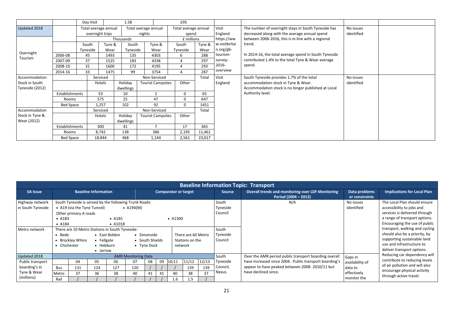|                 |                | Day Visit                               |           | 1.58      |                                | £95                           |         |                                                   |                                                                                                      |                         |  |
|-----------------|----------------|-----------------------------------------|-----------|-----------|--------------------------------|-------------------------------|---------|---------------------------------------------------|------------------------------------------------------------------------------------------------------|-------------------------|--|
| Updated 2018    |                | Total average annual<br>overnight trips |           |           | Total average annual<br>nights | Total average annual<br>spend |         | Visit<br>England                                  | The number of overnight stays in South Tyneside has<br>decreased along with the average annual spend | No issues<br>identified |  |
|                 |                |                                         | Thousands |           |                                | £ millions                    |         | https://ww                                        | between 2006-2016, this is in-line with a regional                                                   |                         |  |
|                 |                | Tyne &<br>South                         |           | South     | Tyne &                         | South                         | Tyne &  | w.visitbritai                                     | trend.                                                                                               |                         |  |
| Overnight       |                | Tyneside<br>Wear                        |           | Tyneside  | Wear                           | Tyneside                      | Wear    | n.org/gb-                                         |                                                                                                      |                         |  |
| Tourism         | 2006-08        | 45<br>1493                              |           | 135       | 4303                           | 6                             | 288     | tourism-                                          | In 2014-16, the total average spend in South Tyneside                                                |                         |  |
|                 | 2007-09        | 37<br>183<br>1525                       |           | 4338      | 4                              | 297                           | survey- | contributed 1.4% to the total Tyne & Wear average |                                                                                                      |                         |  |
|                 | 2008-10        | 31<br>1600                              |           | 172       | 4195                           | 4                             | 293     | 2016-                                             | spend.                                                                                               |                         |  |
|                 | 2014-16        | 33<br>1475                              |           | 99        | 3754                           | 4                             | 287     | overview                                          |                                                                                                      |                         |  |
| Accommodation   |                | Serviced                                |           |           | Non-Serviced                   |                               | Total   | Visit                                             | South Tyneside provides 1.7% of the total                                                            | No issues               |  |
| Stock in South  |                | Hotels                                  |           | Holiday   | <b>Tourist Campsites</b>       | Other                         |         | England                                           | accommodation stock in Tyne & Wear.                                                                  | identified              |  |
| Tyneside (2012) |                |                                         |           | dwellings |                                |                               |         |                                                   | Accommodation stock is no longer published at Local                                                  |                         |  |
|                 | Establishments | 53                                      |           | 10        | $\overline{2}$                 | 0                             | 65      |                                                   | Authority level.                                                                                     |                         |  |
|                 | Rooms          | 575                                     |           | 25        | 47                             | $\mathbf 0$                   | 647     |                                                   |                                                                                                      |                         |  |
|                 | Bed Space      | 1,257                                   |           | 102       | 92                             | $\Omega$                      | 1451    |                                                   |                                                                                                      |                         |  |
| Accommodation   |                | Serviced                                |           |           | Non-Serviced                   |                               | Total   |                                                   |                                                                                                      |                         |  |
| Stock in Tyne & |                | Hotels                                  |           | Holiday   | <b>Tourist Campsites</b>       | Other                         |         |                                                   |                                                                                                      |                         |  |
| Wear (2012)     |                |                                         |           | dwellings |                                |                               |         |                                                   |                                                                                                      |                         |  |
|                 | Establishments | 300                                     |           | 41        |                                | 17                            | 365     |                                                   |                                                                                                      |                         |  |
|                 | Rooms          | 8,742                                   |           | 138       | 386                            | 2,195                         | 11,461  |                                                   |                                                                                                      |                         |  |
|                 | Bed Space      | 18.844                                  |           | 468       | 1,144                          | 2,561                         | 23,017  |                                                   |                                                                                                      |                         |  |

|                                                                |                                                                    |                                           |                                                                                                                                                                                                |                                                    |                            |                                               |    |                                    |                                                  |                    |                                                              | <b>Baseline Information Topic: Transport</b>                                                                                     |                                                          |                                                                                                                                                                                                                                                                                                                           |
|----------------------------------------------------------------|--------------------------------------------------------------------|-------------------------------------------|------------------------------------------------------------------------------------------------------------------------------------------------------------------------------------------------|----------------------------------------------------|----------------------------|-----------------------------------------------|----|------------------------------------|--------------------------------------------------|--------------------|--------------------------------------------------------------|----------------------------------------------------------------------------------------------------------------------------------|----------------------------------------------------------|---------------------------------------------------------------------------------------------------------------------------------------------------------------------------------------------------------------------------------------------------------------------------------------------------------------------------|
| <b>SA Issue</b>                                                |                                                                    |                                           | <b>Baseline Information</b>                                                                                                                                                                    |                                                    |                            |                                               |    | <b>Comparator or target</b>        |                                                  |                    | <b>Source</b>                                                | Overall trends and monitoring over LDF Monitoring<br>Period (2004 - 2012)                                                        | Data problems<br>or constraints                          | <b>Implications for Local Plan</b>                                                                                                                                                                                                                                                                                        |
| Highway network<br>in South Tyneside<br>Metro network          | $\bullet$ A183<br>$\bullet$ A184<br>$\bullet$ Bede<br>• Chichester | Other primary A roads<br>• Brockley Whins | South Tyneside is served by the following Trunk Roads:<br>• A19 (via the Tyne Tunnel)<br>There are 10 Metro Stations in South Tyneside:<br>$\bullet$ Fellgate<br>$\bullet$ Hebburn<br>• Jarrow | $\bullet$ A185<br>$\bullet$ A1018<br>• East Boldon | $\bullet$ A194(M)          | • Simonside<br>• South Shields<br>• Tyne Dock |    | $\bullet$ A1300                    | There are 60 Metro<br>Stations on the<br>network |                    | South<br>Tyneside<br>Council<br>South<br>Tyneside<br>Council | N/A                                                                                                                              | No issues<br>identified                                  | The Local Plan should ensure<br>accessibility to jobs and<br>services is delivered through<br>a range of transport options.<br>Encouraging the use of public<br>transport, walking and cycling<br>should also be a priority, by<br>supporting sustainable land<br>use and infrastructure to<br>deliver transport options. |
| Updated 2018                                                   |                                                                    |                                           |                                                                                                                                                                                                |                                                    | <b>AMR Monitoring Data</b> |                                               |    |                                    |                                                  |                    | South                                                        | Over the AMR period public transport boarding overall                                                                            | Gaps in                                                  | Reducing car dependency will                                                                                                                                                                                                                                                                                              |
| Public transport<br>boarding's in<br>Tyne & Wear<br>(millions) | <b>Bus</b><br>Metro<br>Rail                                        | 04<br>131<br>37                           | 05<br>124<br>36                                                                                                                                                                                | 06<br>127<br>38                                    | 07<br>120<br>40            | 08<br>41                                      | 41 | 09 10/11<br>40<br>$1.6\phantom{0}$ | 11/12<br>139<br>38<br>1.5                        | 12/13<br>139<br>37 | Tyneside<br>Council,<br>Nexus                                | have increased since 2004. Public transport boarding's<br>appear to have peaked between 2008-2010/11 but<br>have declined since. | availability of<br>data to<br>effectively<br>monitor the | contribute to reducing levels<br>of air pollution and will also<br>encourage physical activity<br>through active travel.                                                                                                                                                                                                  |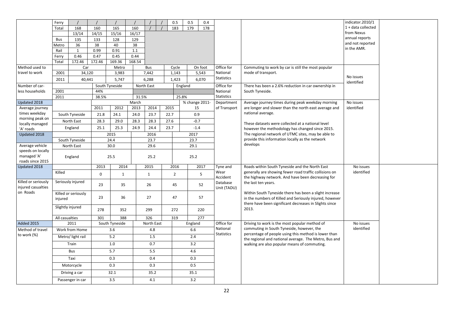|                              | Ferry          |                     |             |                |        |              | 0.5            |         | 0.5     | 0.4            |                               |                                                                          | indicator.2010/1     |  |
|------------------------------|----------------|---------------------|-------------|----------------|--------|--------------|----------------|---------|---------|----------------|-------------------------------|--------------------------------------------------------------------------|----------------------|--|
|                              | Total          | 168                 | 160         | 165            | 160    |              | 183            |         | 179     | 178            |                               |                                                                          | $1 +$ data collected |  |
|                              |                | 13/14               | 14/15       | 15/16          | 16/17  |              |                |         |         |                |                               |                                                                          | from Nexus           |  |
|                              |                |                     |             |                |        |              |                |         |         |                |                               |                                                                          | annual reports       |  |
|                              | <b>Bus</b>     | 135                 | 133         | 128            | 129    |              |                |         |         |                |                               |                                                                          | and not reported     |  |
|                              | Metro          | 36                  | 38          | 40             | 38     |              |                |         |         |                |                               |                                                                          | in the AMR.          |  |
|                              | Rail           | 1                   | 0.99        | 0.91           | 1.1    |              |                |         |         |                |                               |                                                                          |                      |  |
|                              | Ferry          | 0.46                | 0.47        | 0.45           | 0.44   |              |                |         |         |                |                               |                                                                          |                      |  |
|                              | Total          | 172.46              | 172.46      | 169.36         | 168.54 |              |                |         |         |                |                               |                                                                          |                      |  |
| Method used to               |                | Car                 |             | Metro          |        | <b>Bus</b>   | Cycle          |         |         | On foot        | Office for                    | Commuting to work by car is still the most popular                       |                      |  |
| travel to work               | 2001           | 34,120              |             | 3,983          |        | 7,442        | 1,143          |         |         | 5,543          | National<br><b>Statistics</b> | mode of transport.                                                       | No issues            |  |
|                              | 2011           | 40,441              |             | 5,747          |        | 6,288        | 1,423          |         |         | 6,070          |                               |                                                                          | identified           |  |
| Number of car-               |                |                     |             | South Tyneside |        | North East   |                | England |         |                | Office for                    | There has been a 2.6% reduction in car ownership in                      |                      |  |
| less households              | 2001           |                     | 44%         |                |        |              |                |         |         |                | National                      | South Tyneside.                                                          |                      |  |
|                              | 2011           |                     | 38.5%       |                | 31.5%  |              |                | 25.8%   |         |                | <b>Statistics</b>             |                                                                          |                      |  |
| Updated 2018                 |                |                     |             |                | March  |              |                |         |         | % change 2011- | Department                    | Average journey times during peak weekday morning                        | No issues            |  |
| Average journey              |                |                     | 2011        | 2012           | 2013   | 2014         | 2015           |         | 15      |                | of Transport                  | are longer and slower than the north east average and                    | identified           |  |
| times weekday                |                | South Tyneside      | 21.8        | 24.1           | 24.0   | 23.7         | 22.7           |         | 0.9     |                |                               | national average.                                                        |                      |  |
| morning peak on              |                | North East          | 28.3        | 29.0           | 28.3   | 28.3         | 27.6           |         | $-0.7$  |                |                               | These datasets were collected at a national level                        |                      |  |
| locally managed<br>'A' roads |                | England             | 25.1        | 25.3           | 24.9   | 24.4         | 23.7           |         | $-1.4$  |                |                               | however the methodology has changed since 2015.                          |                      |  |
| Updated 2018                 |                |                     |             | 2015           |        | 2016         |                |         | 2017    |                |                               | The regional network of UTMC sites, may be able to                       |                      |  |
|                              |                | South Tyneside      |             | 24.4           |        | 23.7         |                |         | 23.7    |                |                               | provide this information locally as the network                          |                      |  |
| Average vehicle              |                | North East          |             | 30.0           |        | 29.6         |                |         | 29.1    |                |                               | develops                                                                 |                      |  |
| speeds on locally            |                |                     |             |                |        |              |                |         |         |                |                               |                                                                          |                      |  |
| managed 'A'                  |                | England             |             | 25.5           |        | 25.2         |                |         | 25.2    |                |                               |                                                                          |                      |  |
| roads since 2015             |                |                     |             |                |        |              |                |         |         |                |                               |                                                                          |                      |  |
| Updated 2018                 |                |                     | 2013        | 2014           |        | 2015         | 2016           |         |         | 2017           | Tyne and                      | Roads within South Tyneside and the North East                           | No issues            |  |
|                              | Killed         |                     | $\mathbf 0$ | $\mathbf{1}$   |        | $\mathbf{1}$ | $\overline{2}$ |         |         | 5              | Wear                          | generally are showing fewer road traffic collisions on                   | identified           |  |
| Killed or seriously          |                | Seriously injured   |             |                |        |              |                |         |         |                | Accident<br>Database          | the highway network. And have been decreasing for<br>the last ten years. |                      |  |
| injured casualties           |                |                     | 23          | 35             |        | 26           | 45             |         |         | 52             | Unit (TADU)                   |                                                                          |                      |  |
| on Roads                     |                | Killed or seriously |             |                |        |              |                |         |         |                |                               | Within South Tyneside there has been a slight increase                   |                      |  |
|                              | injured        |                     | 23          | 36             |        | 27           | 47             |         |         | 57             |                               | in the numbers of Killed and Seriously injured, however                  |                      |  |
|                              |                |                     |             |                |        |              |                |         |         |                |                               | there have been significant decreases in Slights since                   |                      |  |
|                              |                | Slightly injured    | 278         | 352            |        | 299          | 272            |         |         | 220            |                               | 2013.                                                                    |                      |  |
|                              | All casualties |                     | 301         | 388            |        | 326          | 319            |         |         | 277            |                               |                                                                          |                      |  |
| Added 2015                   |                | 2011                |             | South Tyneside |        | North East   |                |         | England |                | Office for                    | Driving to work is the most popular method of                            | No issues            |  |
| Method of travel             |                | Work from Home      |             | 3.6            |        | 4.8          |                |         | 6.6     |                | National                      | commuting in South Tyneside, however, the                                | identified           |  |
| to work (%)                  |                | Metro/ light rail   |             | 5.2            |        | 1.5          |                |         | 2.4     |                | <b>Statistics</b>             | percentage of people using this method is lower than                     |                      |  |
|                              |                | Train               |             |                |        | 0.7          |                |         |         |                |                               | the regional and national average. The Metro, Bus and                    |                      |  |
|                              |                |                     |             | 1.0            |        |              |                |         | 3.2     |                |                               | walking are also popular means of commuting.                             |                      |  |
|                              |                | <b>Bus</b>          |             | 5.7            |        | 5.5          |                |         | 4.6     |                |                               |                                                                          |                      |  |
|                              |                | Taxi                |             | 0.3            |        | 0.4          |                |         | 0.3     |                |                               |                                                                          |                      |  |
|                              |                | Motorcycle          |             | 0.3            |        | 0.3          |                |         | 0.5     |                |                               |                                                                          |                      |  |
|                              |                | Driving a car       |             | 32.1           |        | 35.2         |                |         | 35.1    |                |                               |                                                                          |                      |  |
|                              |                | Passenger in car    |             | 3.5            |        | 4.1          |                |         | 3.2     |                |                               |                                                                          |                      |  |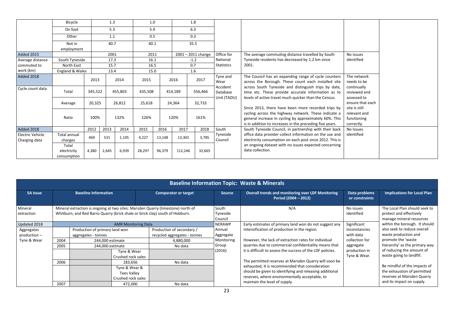|                                   | Bicycle                             |         | 1.3   |         | 1.0     |        |         | 1.8                  |                      |                                                                                                                                                                            |                                            |  |
|-----------------------------------|-------------------------------------|---------|-------|---------|---------|--------|---------|----------------------|----------------------|----------------------------------------------------------------------------------------------------------------------------------------------------------------------------|--------------------------------------------|--|
|                                   | On foot                             |         | 5.3   |         | 5.9     |        |         | 6.3                  |                      |                                                                                                                                                                            |                                            |  |
|                                   | Other                               |         | 1.1   |         | 0.5     |        |         | 0.3                  |                      |                                                                                                                                                                            |                                            |  |
|                                   | Not in<br>employment                |         | 40.7  |         | 40.1    |        |         | 35.5                 |                      |                                                                                                                                                                            |                                            |  |
| Added 2015                        |                                     |         | 2001  |         | 2011    |        |         | $2001 - 2011$ change | Office for           | The average commuting distance travelled by South                                                                                                                          | No issues                                  |  |
| Average distance                  | South Tyneside                      |         | 17.3  |         | 16.1    |        |         | $-1.2$               | National             | Tyneside residents has decreased by 1.2 km since                                                                                                                           | identified                                 |  |
| commuted to                       | North East                          |         | 15.7  |         | 16.5    |        |         | 0.7                  | <b>Statistics</b>    | 2001.                                                                                                                                                                      |                                            |  |
| work (km)                         | England & Wales                     |         | 13.4  |         | 15.0    |        |         | 1.6                  |                      |                                                                                                                                                                            |                                            |  |
| Added 2018                        |                                     | 2013    |       | 2014    | 2015    |        | 2016    | 2017                 | Tyne and<br>Wear     | The Council has an expanding range of cycle counters<br>across the Borough. These count each installed site                                                                | The network<br>needs to be                 |  |
| Cycle count data                  | Total                               | 345,522 |       | 455,803 | 435,508 |        | 414,189 | 556,466              | Accident<br>Database | across South Tyneside and distinguish trips by date,<br>time etc. These provide accurate information as to                                                                 | continually<br>reviewed and<br>assessed to |  |
|                                   | Average                             | 20,325  |       | 26,812  | 25,618  |        | 24,364  | 32,733               | Unit (TADU)          | levels of active travel much quicker than the Census.<br>Since 2013, there have been more recorded trips by                                                                | ensure that each<br>site is still          |  |
|                                   | Ratio                               | 100%    |       | 132%    | 126%    |        | 120%    | 161%                 |                      | cycling across the highway network. These indicate a<br>general increase in cycling by approximately 60%. This<br>is in addition to increases in the preceding five years. | relevant and<br>functioning<br>correctly.  |  |
| Added 2018                        |                                     | 2012    | 2013  | 2014    | 2015    | 2016   | 2017    | 2018                 | South                | South Tyneside Council, in partnership with their back                                                                                                                     | No Issues                                  |  |
| Electric Vehicle<br>Charging data | Total annual<br>charges             | 469     | 531   | 1,105   | 4,227   | 13,148 | 13,302  | 3,785                | Tyneside<br>Council  | office data provider collect information on the use and<br>electricity consumption on each post since 2012. This is                                                        | identified                                 |  |
|                                   | Total<br>electricity<br>consumption | 4,380   | 2,645 | 6,939   | 28,297  | 96,379 | 112,246 | 32,665               |                      | an ongoing dataset with no issues expected concerning<br>data collection.                                                                                                  |                                            |  |

|                       |      |                                                                              |                            |                                                                                 |                              | <b>Baseline Information Topic: Waste &amp; Minerals</b>                          |                                 |                                                                                      |
|-----------------------|------|------------------------------------------------------------------------------|----------------------------|---------------------------------------------------------------------------------|------------------------------|----------------------------------------------------------------------------------|---------------------------------|--------------------------------------------------------------------------------------|
| <b>SA Issue</b>       |      | <b>Baseline Information</b>                                                  |                            | <b>Comparator or target</b>                                                     | Source                       | <b>Overall trends and monitoring over LDF Monitoring</b><br>Period (2004 - 2012) | Data problems<br>or constraints | <b>Implications for Local Plan</b>                                                   |
| Mineral<br>extraction |      | Whitburn; and Red Barns Quarry (brick shale or brick clay) south of Hebburn. |                            | Mineral extraction is ongoing at two sites: Marsden Quarry (limestone) north of | South<br>Tyneside<br>Council | N/A                                                                              | No issues<br>identified         | The Local Plan should seek to<br>protect and effectively<br>manage mineral resources |
| Updated 2018          |      |                                                                              | <b>AMR Monitoring Data</b> |                                                                                 | NERAWP                       | Early estimates of primary land won do not suggest any                           | Significant                     | within the borough. It should                                                        |
| Aggregates            |      | Production of primary land won                                               |                            | Production of secondary /                                                       | Annual                       | intensification of production in the region.                                     | inconstancies                   | also seek to reduce overall                                                          |
| production-           |      | aggregates - tonnes                                                          |                            | recycled aggregates - tonnes                                                    | Aggregate                    |                                                                                  | with data                       | waste production and                                                                 |
| Tyne & Wear           | 2004 | 244,000 estimate                                                             |                            | 4,880,000                                                                       | Monitoring                   | However, the lack of extraction rates for individual                             | collection for                  | promote the 'waste                                                                   |
|                       | 2005 | 244,000 estimate                                                             |                            | No data                                                                         | Group                        | quarries due to commercial confidentiality means that                            | aggregate                       | hierarchy' as the primary way                                                        |
|                       |      |                                                                              | Tyne & Wear                |                                                                                 | (2016)                       | it is difficult to assess the success of the LDF policies.                       | production in                   | of reducing the amount of                                                            |
|                       |      |                                                                              | Crushed rock sales         |                                                                                 |                              |                                                                                  | Tyne & Wear.                    | waste going to landfill.                                                             |
|                       | 2006 |                                                                              | 183,656                    | No data                                                                         |                              | The permitted reserves at Marsden Quarry will soon be                            |                                 |                                                                                      |
|                       |      |                                                                              | Tyne & Wear &              |                                                                                 |                              | exhausted, It is recommended that consideration                                  |                                 | Be mindful of the impacts of                                                         |
|                       |      |                                                                              | <b>Tees Valley</b>         |                                                                                 |                              | should be given to identifying and releasing additional                          |                                 | the exhaustion of permitted                                                          |
|                       |      |                                                                              | Crushed rock sales         |                                                                                 |                              | reserves, where environmentally acceptable, to                                   |                                 | reserves at Marsden Quarry                                                           |
|                       | 2007 |                                                                              | 472,000                    | No data                                                                         |                              | maintain the level of supply.                                                    |                                 | and its impact on supply.                                                            |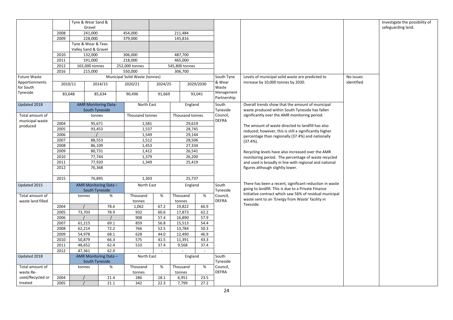|                             |              | Tyne & Wear Sand &                         |                                               |                                |              |                  |              |                           |                                                                                                                |            | Investigate the possibility of |
|-----------------------------|--------------|--------------------------------------------|-----------------------------------------------|--------------------------------|--------------|------------------|--------------|---------------------------|----------------------------------------------------------------------------------------------------------------|------------|--------------------------------|
|                             |              | Gravel                                     |                                               |                                |              |                  |              |                           |                                                                                                                |            | safeguarding land.             |
|                             | 2008         | 241,000                                    |                                               | 454,000                        |              | 211,484          |              |                           |                                                                                                                |            |                                |
|                             | 2009         | 228,000                                    |                                               | 379,000                        |              | 145,816          |              |                           |                                                                                                                |            |                                |
|                             |              | Tyne & Wear & Tees<br>Valley Sand & Gravel |                                               |                                |              |                  |              |                           |                                                                                                                |            |                                |
|                             | 2010         | 132,000                                    |                                               | 306,000                        |              | 487,700          |              |                           |                                                                                                                |            |                                |
|                             | 2011         | 191,000                                    |                                               | 218,000                        |              | 465,000          |              |                           |                                                                                                                |            |                                |
|                             | 2012         | 165,000 tonnes                             |                                               | 252,000 tonnes                 |              | 545,800 tonnes   |              |                           |                                                                                                                |            |                                |
|                             | 2016         | 215,000                                    |                                               | 550,000                        |              | 306,700          |              |                           |                                                                                                                |            |                                |
| <b>Future Waste</b>         |              |                                            |                                               | Municipal Solid Waste (tonnes) |              |                  |              | South Tyne                | Levels of municipal solid waste are predicted to                                                               | No issues  |                                |
| Apportionments<br>for South | 2010/11      |                                            | 2014/15                                       | 2020/21                        | 2024/25      |                  | 2029/2030    | & Wear<br>Waste           | increase by 10,000 tonnes by 2030.                                                                             | identified |                                |
| Tyneside                    | 83,648       |                                            | 85,634                                        | 90,496                         | 91,669       |                  | 93,041       | Management<br>Partnership |                                                                                                                |            |                                |
| Updated 2018                |              |                                            | <b>AMR Monitoring Data-</b><br>South Tyneside | North East                     |              | England          |              | South<br>Tyneside         | Overall trends show that the amount of municipal<br>waste produced within South Tyneside has fallen            |            |                                |
| Total amount of             |              |                                            | tonnes                                        | Thousand tonnes                |              | Thousand tonnes  |              | Council,                  | significantly over the AMR monitoring period.                                                                  |            |                                |
| municipal waste<br>produced | 2004         |                                            | 95,671                                        | 1,581                          |              | 29,619           |              | <b>DEFRA</b>              | The amount of waste directed to landfill has also                                                              |            |                                |
|                             | 2005         |                                            | 93,453                                        | 1,537                          |              | 28,745           |              |                           | reduced; however, this is still a significantly higher                                                         |            |                                |
|                             | 2006         |                                            |                                               | 1,549                          |              | 29,144           |              |                           | percentage than regionally (37.4%) and nationally                                                              |            |                                |
|                             | 2007         |                                            | 88,553                                        | 1,512                          |              | 28,506           |              |                           | $(37.4\%).$                                                                                                    |            |                                |
|                             | 2008         |                                            | 86,109                                        | 1,453                          |              | 27,334           |              |                           |                                                                                                                |            |                                |
|                             | 2009         |                                            | 80,731                                        | 1,412                          |              | 26,541           |              |                           | Recycling levels have also increased over the AMR                                                              |            |                                |
|                             | 2010         |                                            | 77,744                                        | 1,379                          |              | 26,200           |              |                           | monitoring period. The percentage of waste recycled                                                            |            |                                |
|                             | 2011<br>2012 |                                            | 77,920<br>76,368                              | 1,349                          |              | 25,419           |              |                           | and used is broadly in line with regional and national                                                         |            |                                |
|                             |              |                                            |                                               |                                |              |                  |              |                           | figures although slightly lower.                                                                               |            |                                |
|                             | 2015         |                                            | 76,895                                        | 1,303                          |              | 25,737           |              |                           |                                                                                                                |            |                                |
| Updated 2015                |              |                                            | AMR Monitoring Data-<br>South Tyneside        | North East                     |              | England          |              | South<br>Tyneside         | There has been a recent, significant reduction in waste<br>going to landfill. This is due to a Private Finance |            |                                |
| Total amount of             |              | tonnes                                     | %                                             | Thousand                       | $\%$         | Thousand         | %            | Council,                  | Initiative contract which saw 56% of residual municipal                                                        |            |                                |
| waste land filled           |              |                                            |                                               | tonnes                         |              | tonnes           |              | <b>DEFRA</b>              | waste sent to an 'Energy from Waste' facility in<br>Teesside.                                                  |            |                                |
|                             | 2004         |                                            | 78.6                                          | 1,062                          | 67.2         | 19,822           | 66.9         |                           |                                                                                                                |            |                                |
|                             | 2005         | 73,703                                     | 78.9                                          | 932                            | 60.6         | 17,873           | 62.2         |                           |                                                                                                                |            |                                |
|                             | 2006         |                                            |                                               | 908                            | 57.4         | 16,890           | 57.9         |                           |                                                                                                                |            |                                |
|                             | 2007<br>2008 | 61,215<br>62,214                           | 69.1<br>72.2                                  | 859<br>766                     | 56.8<br>52.5 | 15,513<br>13,784 | 54.4<br>50.3 |                           |                                                                                                                |            |                                |
|                             | 2009         | 54,978                                     | 68.1                                          | 628                            | 44.0         | 12,490           | 46.9         |                           |                                                                                                                |            |                                |
|                             | 2010         | 50,879                                     | 66.3                                          | 575                            | 41.5         | 11,391           | 43.3         |                           |                                                                                                                |            |                                |
|                             | 2011         | 48,652                                     | 62.4                                          | 510                            | 37.4         | 9,568            | 37.4         |                           |                                                                                                                |            |                                |
|                             | 2012         | 47,361                                     | 62.0                                          |                                |              |                  |              |                           |                                                                                                                |            |                                |
| Updated 2018                |              |                                            | AMR Monitoring Data-                          | North East                     |              | England          |              | South                     |                                                                                                                |            |                                |
|                             |              |                                            | South Tyneside                                |                                |              |                  |              | Tyneside                  |                                                                                                                |            |                                |
| Total amount of             |              | tonnes                                     | %                                             | Thousand                       | %            | Thousand         | %            | Council,                  |                                                                                                                |            |                                |
| waste Re-                   |              |                                            |                                               | tonnes                         |              | tonnes           |              | <b>DEFRA</b>              |                                                                                                                |            |                                |
| used/Recycled or            | 2004         |                                            | 21.4                                          | 286                            | 18.1         | 6,951            | 23.5         |                           |                                                                                                                |            |                                |
| treated                     | 2005         |                                            | 21.1                                          | 342                            | 22.3         | 7,799            | 27.2         |                           |                                                                                                                |            |                                |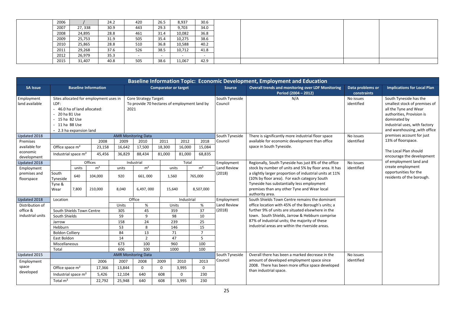| 2006 |         | 24.2 | 420 | 26.5                     | 8,937  | 30.6                     |
|------|---------|------|-----|--------------------------|--------|--------------------------|
| 2007 | 27, 338 | 30.9 | 443 | 29.3                     | 9,703  | 34.0                     |
| 2008 | 24,895  | 28.8 | 461 | 31.4                     | 10,082 | 36.8                     |
| 2009 | 25,753  | 31.9 | 505 | 35.4                     | 10,275 | 38.6                     |
| 2010 | 25,865  | 28.8 | 510 | 36.8                     | 10,588 | 40.2                     |
| 2011 | 29,268  | 37.6 | 526 | 38.5                     | 10,712 | 41.8                     |
| 2012 | 26,979  | 35.3 |     | $\overline{\phantom{0}}$ | $\sim$ | $\overline{\phantom{a}}$ |
| 2015 | 31,407  | 40.8 | 505 | 38.6                     | 11,067 | 42.9                     |

|                              |                                                                                       |                                                      |                                                                        |           |                               |          |                             |                                              |                           | Baseline Information Topic: Economic Development, Employment and Education                                   |                                 |                                                                                                                                                                                                |
|------------------------------|---------------------------------------------------------------------------------------|------------------------------------------------------|------------------------------------------------------------------------|-----------|-------------------------------|----------|-----------------------------|----------------------------------------------|---------------------------|--------------------------------------------------------------------------------------------------------------|---------------------------------|------------------------------------------------------------------------------------------------------------------------------------------------------------------------------------------------|
| <b>SA Issue</b>              |                                                                                       |                                                      | <b>Baseline Information</b>                                            |           |                               |          | <b>Comparator or target</b> |                                              | <b>Source</b>             | <b>Overall trends and monitoring over LDF Monitoring</b><br>Period (2004 - 2012)                             | Data problems or<br>constraints | <b>Implications for Local Plan</b>                                                                                                                                                             |
| Employment<br>land available | LDF:<br>20 ha B1 Use<br>$-15$ ha B2 Use<br>$-11$ ha B8 Use<br>- 2.3 ha expansion land |                                                      | Sites allocated for employment uses in<br>- 46.0 ha of land allocated: |           | Core Strategy Target:<br>2021 |          |                             | To provide 70 hectares of employment land by | South Tyneside<br>Council | N/A                                                                                                          | No issues<br>identified         | South Tyneside has the<br>smallest stock of premises of<br>all the Tyne and Wear<br>authorities, Provision is<br>dominated by<br>industrial uses, with factory<br>and warehousing, with office |
| Updated 2018                 |                                                                                       |                                                      |                                                                        |           | <b>AMR Monitoring Data</b>    |          |                             |                                              | South Tyneside            | There is significantly more industrial floor space                                                           | No issues                       | premises account for just                                                                                                                                                                      |
| Premises                     |                                                                                       |                                                      | 2008                                                                   | 2009      | 2010                          | 2011     | 2012                        | 2018                                         | Council                   | available for economic development than office                                                               | identified                      | 13% of floorspace.                                                                                                                                                                             |
| available for                | Office space m <sup>2</sup>                                                           |                                                      | 23,158                                                                 | 16,642    | 17,500                        | 18,300   | 16,000                      | 15,084                                       |                           | space in South Tyneside.                                                                                     |                                 |                                                                                                                                                                                                |
| economic<br>development      |                                                                                       | Industrial space m <sup>2</sup><br>45,456<br>Offices |                                                                        |           | 88,434                        | 81,000   | 81,000                      | 68,835                                       |                           |                                                                                                              |                                 | The Local Plan should<br>encourage the development                                                                                                                                             |
| Updated 2018                 |                                                                                       |                                                      |                                                                        |           | Industrial                    |          | Total                       |                                              | Employment                | Regionally, South Tyneside has just 8% of the office                                                         | No issues                       | of employment land and                                                                                                                                                                         |
| Employment                   |                                                                                       | m <sup>2</sup><br>units                              |                                                                        | units     | m <sup>2</sup>                |          | units                       | m <sup>2</sup>                               | Land Review               | stock by number of units and 5% by floor area. It has                                                        | identified                      | create employment                                                                                                                                                                              |
| premises and<br>floorspace   | South<br>Tyneside                                                                     | 640                                                  | 104,000                                                                | 920       | 661,000                       |          | 1,560                       | 765,000                                      | (2018)                    | a slightly larger proportion of industrial units at 11%<br>(10% by floor area). For each category South      |                                 | opportunities for the<br>residents of the borough.                                                                                                                                             |
|                              | Tyne &<br>Wear                                                                        | 7,800                                                | 210,000                                                                | 8,040     | 6,497,000                     |          | 15,640<br>8,507,000         |                                              |                           | Tyneside has substantially less employment<br>premises than any other Tyne and Wear local<br>authority area. |                                 |                                                                                                                                                                                                |
| Updated 2018                 | Location                                                                              |                                                      |                                                                        |           | Office                        |          | Industrial                  |                                              | Employment                | South Shields Town Centre remains the dominant                                                               |                                 |                                                                                                                                                                                                |
| Distribution of              |                                                                                       |                                                      |                                                                        | Units     | $\%$                          |          | Units                       | $\%$                                         | Land Review               | office location with 45% of the Borough's units; a                                                           |                                 |                                                                                                                                                                                                |
| office &                     | South Shields Town Centre                                                             |                                                      |                                                                        | 305       | 45                            |          | 359                         | 37                                           | (2018)                    | further 9% of units are situated elsewhere in the                                                            |                                 |                                                                                                                                                                                                |
| industrial units             | South Shields                                                                         |                                                      |                                                                        | 59        | 9                             |          | 98                          | 10                                           |                           | town. South Shields, Jarrow & Hebburn comprise                                                               |                                 |                                                                                                                                                                                                |
|                              | Jarrow                                                                                |                                                      |                                                                        | 158       | 24                            |          | 239                         | 25                                           |                           | 87% of industrial units; the majority of these<br>industrial areas are within the riverside areas.           |                                 |                                                                                                                                                                                                |
|                              | Hebburn                                                                               |                                                      |                                                                        | 53        | 8                             |          | 146                         | 15                                           |                           |                                                                                                              |                                 |                                                                                                                                                                                                |
|                              | <b>Boldon Colliery</b>                                                                |                                                      |                                                                        | 84        | 13                            |          | 71                          | $\overline{7}$                               |                           |                                                                                                              |                                 |                                                                                                                                                                                                |
|                              | East Boldon                                                                           |                                                      |                                                                        | 14<br>673 | $\overline{2}$<br>100         |          | 47<br>960                   | 5<br>100                                     |                           |                                                                                                              |                                 |                                                                                                                                                                                                |
|                              | Miscellaneous<br>Total                                                                |                                                      |                                                                        | 606       | 100                           |          | 1000                        | 100                                          |                           |                                                                                                              |                                 |                                                                                                                                                                                                |
| Updated 2015                 |                                                                                       | <b>AMR Monitoring Data</b>                           |                                                                        |           |                               |          |                             |                                              | South Tyneside            | Overall there has been a marked decrease in the                                                              | No issues                       |                                                                                                                                                                                                |
| Employment                   |                                                                                       |                                                      | 2006                                                                   | 2007      | 2008                          | 2009     | 2010                        | 2013                                         | Council                   | amount of developed employment space since                                                                   | identified                      |                                                                                                                                                                                                |
| space                        |                                                                                       |                                                      |                                                                        |           |                               |          |                             | $\Omega$                                     |                           | 2008. There has been more office space developed                                                             |                                 |                                                                                                                                                                                                |
| developed                    | Office space m <sup>2</sup>                                                           |                                                      | 17,366                                                                 | 13,844    | $\Omega$                      | $\Omega$ | 3,995                       |                                              |                           | than industrial space.                                                                                       |                                 |                                                                                                                                                                                                |
|                              | Industrial space m <sup>2</sup>                                                       |                                                      | 5,426                                                                  | 12,104    | 640                           | 608      | $\mathbf{0}$                | 230                                          |                           |                                                                                                              |                                 |                                                                                                                                                                                                |
|                              | Total $m2$                                                                            |                                                      | 22,792                                                                 | 25,948    | 640                           | 608      | 3,995                       | 230                                          |                           |                                                                                                              |                                 |                                                                                                                                                                                                |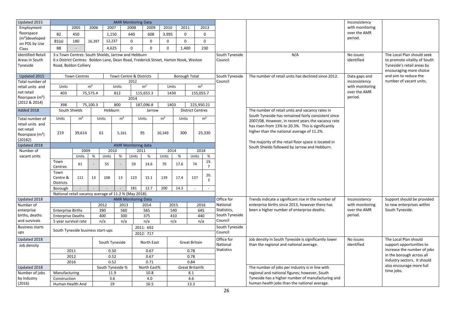| Updated 2015                   |                               |                                                                                     | <b>AMR Monitoring Data</b> |             |                            |                                              |            |                |                      |                             |                                                                                                  |                                                                                                           | Inconsistency                   |                                                          |
|--------------------------------|-------------------------------|-------------------------------------------------------------------------------------|----------------------------|-------------|----------------------------|----------------------------------------------|------------|----------------|----------------------|-----------------------------|--------------------------------------------------------------------------------------------------|-----------------------------------------------------------------------------------------------------------|---------------------------------|----------------------------------------------------------|
| Employment                     |                               | 2005                                                                                | 2006                       | 2007        |                            | 2008                                         | 2009       | 2010           | 2011                 | 2013                        |                                                                                                  |                                                                                                           | with monitoring                 |                                                          |
| floorspace                     | <b>B2</b>                     | 450                                                                                 |                            | 1,150       |                            | 640                                          | 608        | 3,995          | $\mathbf 0$          | $\mathbf 0$                 |                                                                                                  |                                                                                                           | over the AMR                    |                                                          |
| (m <sup>2</sup> )developed     | B1(a)                         | 180                                                                                 |                            | 12,237      |                            | $\mathbf 0$                                  | $\Omega$   | $\Omega$       | $\Omega$             | $\mathbf 0$                 |                                                                                                  |                                                                                                           | period.                         |                                                          |
| on PDL by Use                  |                               |                                                                                     | 16,397                     |             |                            |                                              |            |                |                      |                             |                                                                                                  |                                                                                                           |                                 |                                                          |
| Class                          | B <sub>8</sub>                |                                                                                     |                            | 4,625       |                            | $\mathbf 0$                                  | $\Omega$   | $\Omega$       | 1,400                | 230                         |                                                                                                  |                                                                                                           |                                 |                                                          |
| <b>Identified Retail</b>       |                               | 3 x Town Centres: South Shields, Jarrow and Hebburn                                 |                            |             |                            |                                              |            |                |                      |                             | South Tyneside                                                                                   | N/A                                                                                                       | No issues                       | The Local Plan should seek                               |
| Areas in South                 |                               | 6 x District Centres: Boldon Lane, Dean Road, Frederick Street, Harton Nook, Westoe |                            |             |                            |                                              |            |                |                      |                             | Council                                                                                          |                                                                                                           | identified                      | to promote vitality of South                             |
| Tyneside                       |                               | Road, Boldon Colliery                                                               |                            |             |                            |                                              |            |                |                      |                             |                                                                                                  |                                                                                                           |                                 | Tyneside's retail areas by                               |
|                                |                               |                                                                                     |                            |             |                            |                                              |            |                |                      |                             |                                                                                                  |                                                                                                           |                                 | encouraging more choice                                  |
| Updated 2015                   |                               | <b>Town Centres</b>                                                                 |                            |             | Town Centre & Districts    |                                              |            |                | <b>Borough Total</b> |                             | South Tyneside                                                                                   | The number of retail units has declined since 2012.                                                       | Data gaps and                   | and aim to reduce the                                    |
| Total number of                | Units                         |                                                                                     | m <sup>2</sup>             |             |                            | 2012                                         |            | Units          |                      | m <sup>2</sup>              | Council                                                                                          |                                                                                                           | inconsistency                   | number of vacant units.                                  |
| retail units and<br>net retail |                               |                                                                                     |                            |             | Units                      | m <sup>2</sup>                               |            |                |                      |                             |                                                                                                  |                                                                                                           | with monitoring<br>over the AMR |                                                          |
| floorspace $(m2)$              | 403                           |                                                                                     | 75,575.4                   |             | 812                        | 115,653.3                                    |            | 1430           |                      | 155,055.7                   |                                                                                                  |                                                                                                           | period.                         |                                                          |
| (2012 & 2014)                  |                               |                                                                                     |                            |             |                            | 2014                                         |            |                |                      |                             |                                                                                                  |                                                                                                           |                                 |                                                          |
|                                | 398                           |                                                                                     | 75,100.3                   |             | 800                        |                                              | 187,096.8  | 1403           |                      | 225,950.21                  |                                                                                                  |                                                                                                           |                                 |                                                          |
| Added 2018                     |                               | South Shields                                                                       |                            | Hebburn     |                            |                                              | Jarrow     |                |                      | <b>District Centres</b>     |                                                                                                  | The number of retail units and vacancy rates in                                                           |                                 |                                                          |
| Total number of                | Units                         | m <sup>2</sup>                                                                      |                            | Units       | m <sup>2</sup>             | Units                                        |            | m <sup>2</sup> | Units                | m <sup>2</sup>              |                                                                                                  | South Tyneside has remained fairly consistent since<br>2007/08. However, in recent years the vacancy rate |                                 |                                                          |
| retail units and               |                               |                                                                                     |                            |             |                            |                                              |            |                |                      |                             |                                                                                                  | has risen from 13% to 20.3%. This is significantly                                                        |                                 |                                                          |
| net retail                     |                               |                                                                                     |                            |             |                            |                                              |            |                |                      |                             |                                                                                                  | higher than the national average of 11.2%.                                                                |                                 |                                                          |
| floorspace $(m2)$              | 219                           | 39,614                                                                              |                            | 61          | 5,161                      | 95                                           |            | 20,349         | 300                  | 25,330                      |                                                                                                  |                                                                                                           |                                 |                                                          |
| (20182)                        |                               |                                                                                     |                            |             |                            |                                              |            |                |                      |                             |                                                                                                  | The majority of the retail floor space is located in                                                      |                                 |                                                          |
| Updated 2018                   |                               |                                                                                     |                            |             | <b>AMR Monitoring data</b> |                                              |            |                |                      |                             |                                                                                                  | South Shields followed by Jarrow and Hebburn.                                                             |                                 |                                                          |
| Number of                      |                               | 2009                                                                                |                            | 2010        |                            | 2011                                         |            | 2014           |                      | 2018                        |                                                                                                  |                                                                                                           |                                 |                                                          |
| vacant units                   |                               | Units                                                                               | $\%$                       | Units       | $\%$                       | Units                                        | %          | Units          | $\%$                 | $\%$<br>Units               |                                                                                                  |                                                                                                           |                                 |                                                          |
|                                | Town<br>Centres               | 61                                                                                  |                            | 55          |                            | 59                                           | 14.6       | 70             | 17.6                 | 19.<br>74<br>$\overline{7}$ |                                                                                                  |                                                                                                           |                                 |                                                          |
|                                | Town                          |                                                                                     |                            |             |                            |                                              |            |                |                      |                             |                                                                                                  |                                                                                                           |                                 |                                                          |
|                                | Centre &                      | 111                                                                                 | 13                         | 108         | 13                         | 123                                          | 15.1       | 139            | 17.4                 | 20.<br>137                  |                                                                                                  |                                                                                                           |                                 |                                                          |
|                                | <b>Districts</b>              |                                                                                     |                            |             |                            |                                              |            |                |                      | $\overline{3}$              |                                                                                                  |                                                                                                           |                                 |                                                          |
|                                | Borough                       |                                                                                     |                            |             |                            | 181                                          | 12.7       | 200            | 14.3                 |                             |                                                                                                  |                                                                                                           |                                 |                                                          |
|                                |                               | National retail vacancy average of 11.2 % (May 2018).                               |                            |             |                            |                                              |            |                |                      |                             |                                                                                                  |                                                                                                           |                                 |                                                          |
| Updated 2018                   |                               |                                                                                     |                            |             | <b>AMR Monitoring Data</b> |                                              |            |                |                      |                             | Office for                                                                                       | Trends indicate a significant rise in the number of                                                       | Inconsistency                   | Support should be provided                               |
| Number of                      |                               |                                                                                     |                            | 2012        | 2013                       |                                              | 2014       | 2015           |                      | 2016                        | National                                                                                         | enterprise births since 2013, however there has                                                           | with monitoring                 | to new enterprises within                                |
| enterprise                     | <b>Enterprise Births</b>      |                                                                                     |                            | 390         | 560                        |                                              | 565        | 540            |                      | 645                         | Statistics,                                                                                      | been a higher number of enterprise deaths.                                                                | over the AMR                    | South Tyneside.                                          |
| births, deaths                 | <b>Enterprise Deaths</b>      |                                                                                     |                            | 400         | 300                        |                                              | 375        | 410            |                      | 440                         | South Tyneside                                                                                   |                                                                                                           | period.                         |                                                          |
| and survivals                  | 5 year survival rate          |                                                                                     |                            | n/a         | n/a                        |                                              | n/a        | n/a            |                      | n/a                         | Council                                                                                          |                                                                                                           |                                 |                                                          |
| <b>Business starts</b>         |                               | South Tyneside business start-ups                                                   |                            |             |                            | 2011: 692                                    |            |                |                      |                             | South Tyneside                                                                                   |                                                                                                           |                                 |                                                          |
| ups                            |                               |                                                                                     |                            |             |                            | 2012: 717                                    |            |                |                      |                             | Council                                                                                          |                                                                                                           |                                 |                                                          |
| Updated 2018                   |                               |                                                                                     |                            |             | South Tyneside             |                                              | North East |                | <b>Great Britain</b> |                             | Office for                                                                                       | Job density in South Tyneside is significantly lower                                                      | No issues                       | The Local Plan should                                    |
| Job density                    |                               |                                                                                     |                            |             |                            |                                              |            |                |                      |                             | National                                                                                         | than the regional and national average.                                                                   | identified                      | support opportunities to                                 |
|                                |                               | 2011                                                                                |                            | 0.50        |                            |                                              | 0.67       |                | 0.78                 |                             | <b>Statistics</b>                                                                                |                                                                                                           |                                 | increase the number of jobs<br>in the borough across all |
|                                |                               | 2012                                                                                |                            | 0.52        |                            |                                              | 0.67       |                | 0.78                 |                             |                                                                                                  |                                                                                                           |                                 | industry sectors. It should                              |
|                                |                               | 2016                                                                                |                            | 0.52        |                            |                                              | 0.71       |                | 0.84                 |                             |                                                                                                  |                                                                                                           |                                 | also encourage more full                                 |
| Updated 2018                   |                               |                                                                                     |                            |             | South Tyneside %           | North East%<br>Great Britain%<br>10.8<br>8.1 |            |                |                      |                             | The number of jobs per industry is in line with<br>regional and national figures; however, South |                                                                                                           | time jobs.                      |                                                          |
| Number of jobs<br>by industry  | Manufacturing<br>Construction |                                                                                     |                            | 11.9<br>3.6 |                            |                                              | 4.0        |                | 4.6                  |                             |                                                                                                  | Tyneside has a higher number of manufacturing and                                                         |                                 |                                                          |
|                                |                               |                                                                                     |                            | 19          |                            |                                              | 16.5       |                | 13.3                 |                             |                                                                                                  | human health jobs than the national average.                                                              |                                 |                                                          |
| (2016)                         | Human Health And              |                                                                                     |                            |             |                            |                                              |            |                |                      |                             |                                                                                                  |                                                                                                           |                                 |                                                          |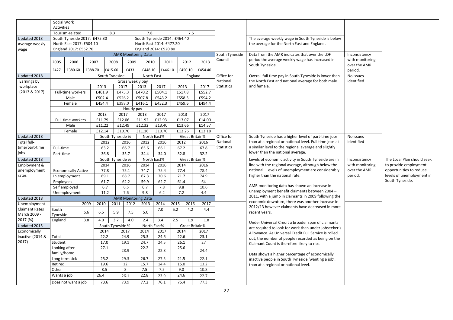|                                       | Social Work<br>Activities    |                              |         |                |                  |            |                              |             |      |                |         |                   |                                                                    |                                 |                            |
|---------------------------------------|------------------------------|------------------------------|---------|----------------|------------------|------------|------------------------------|-------------|------|----------------|---------|-------------------|--------------------------------------------------------------------|---------------------------------|----------------------------|
|                                       |                              | Tourism-related              |         |                | 8.3              |            | 7.8                          |             |      | 7.5            |         |                   |                                                                    |                                 |                            |
| Updated 2018                          |                              | South Tyneside 2017: £475.30 |         |                |                  |            | South Tyneside 2014: £464.40 |             |      |                |         |                   | The average weekly wage in South Tyneside is below                 |                                 |                            |
| Average weekly                        |                              | North East 2017: £504.10     |         |                |                  |            | North East 2014: £477.20     |             |      |                |         |                   | the average for the North East and England.                        |                                 |                            |
| wage                                  |                              | England 2017: £552.70        |         |                |                  |            | England 2014: £520.80        |             |      |                |         |                   |                                                                    |                                 |                            |
|                                       |                              |                              |         |                |                  |            | <b>AMR Monitoring Data</b>   |             |      |                |         | South Tyneside    | Data from the AMR indicates that over the LDF                      | Inconsistency                   |                            |
|                                       | 2005                         | 2006                         |         | 2007           | 2008             | 2009       | 2010                         | 2011        |      | 2012           | 2013    | Council           | period the average weekly wage has increased in<br>South Tyneside. | with monitoring<br>over the AMR |                            |
|                                       | £427                         | £380.60                      | £388.70 |                | £415.60          | £433       | £448.10                      | £446.10     |      | £450.10        | £454.40 |                   |                                                                    | period.                         |                            |
| Updated 2018                          |                              |                              |         | South Tyneside |                  |            |                              | North East  |      | England        |         | Office for        | Overall full time pay in South Tyneside is lower than              | No issues                       |                            |
| Earnings by                           |                              |                              |         |                |                  |            | Gross weekly pay             |             |      |                |         | National          | the North East and national average for both male                  | identified                      |                            |
| workplace                             |                              |                              |         | 2013           | 2017             |            | 2013                         | 2017        |      | 2013           | 2017    | <b>Statistics</b> | and female.                                                        |                                 |                            |
| (2013 & 2017)                         |                              | Full-time workers            |         | £461.9         | £475.3           |            | £470.2                       | £504.1      |      | £517.8         | £552.7  |                   |                                                                    |                                 |                            |
|                                       |                              | Male                         |         | £502.4         | £526.2           |            | £507.8                       | £543.2      |      | £558.3         | £594.2  |                   |                                                                    |                                 |                            |
|                                       |                              | Female                       |         | £454.4         | £398.0           |            | £416.1                       | £452.3      |      | £459.6         | £494.4  |                   |                                                                    |                                 |                            |
|                                       |                              |                              |         |                |                  | Hourly pay |                              |             |      |                |         |                   |                                                                    |                                 |                            |
|                                       |                              |                              |         | 2013           |                  | 2017       | 2013                         | 2017        |      | 2013           | 2017    |                   |                                                                    |                                 |                            |
|                                       |                              | Full-time workers            |         | £11.79         |                  | £12.06     | £11.92                       | £12.93      |      | £13.07         | £14.00  |                   |                                                                    |                                 |                            |
|                                       |                              | Male                         |         | £11.22         |                  | £12.49     | £12.32                       | £13.40      |      | £13.66         | £14.57  |                   |                                                                    |                                 |                            |
|                                       |                              | Female                       |         | £12.14         |                  | £10.70     | £11.16                       | £10.70      |      | £12.26         | £13.18  |                   |                                                                    |                                 |                            |
| Updated 2018                          |                              |                              |         |                | South Tyneside % |            |                              | North East% |      | Great Britain% |         | Office for        | South Tyneside has a higher level of part-time jobs                | No issues                       |                            |
| Total full-                           |                              |                              |         | 2012           |                  | 2016       | 2012                         | 2016        |      | 2012           | 2016    | National          | than at a regional or national level. Full time jobs at            | identified                      |                            |
| time/part-time                        | Full-time                    |                              |         | 63.2           |                  | 66.7       | 65.6                         | 66.1        |      | 67.2           | 67.8    | <b>Statistics</b> | a similar level to the regional average and slightly               |                                 |                            |
| jobs                                  | Part-time                    |                              |         | 36.8           |                  | 35.7       | 34.4                         | 34.0        |      | 32.8           | 32.2    |                   | lower than the national average.                                   |                                 |                            |
| Updated 2018                          |                              |                              |         |                | South Tyneside % |            |                              | North East% |      | Great Britain% |         |                   | Levels of economic activity in South Tyneside are in               | Inconsistency                   | The Local Plan should seek |
| Employment &                          |                              |                              |         | 2014           |                  | 2016       | 2014                         | 2016        |      | 2014           | 2016    |                   | line with the regional average, although below the                 | with monitoring                 | to provide employment      |
| unemployment                          |                              | <b>Economically Active</b>   |         | 77.8           |                  | 75.1       | 74.7                         | 75.4        | 77.4 |                | 78.4    |                   | national. Levels of unemployment are considerably                  | over the AMR                    | opportunities to reduce    |
| rates                                 |                              | In employment                |         | 69.1           |                  | 68.7       | 67.3                         | 70.6        |      | 71.7           | 74.9    |                   | higher than the national rate.                                     | period.                         | levels of unemployment in  |
|                                       | Employees                    |                              |         | 61.7           |                  | 62.2       | 59.9                         | 62.7        |      | 61.4           | 64      |                   | AMR monitoring data has shown an increase in                       |                                 | South Tyneside.            |
|                                       |                              | Self employed                |         | 6.7            |                  | 6.5        | 6.7                          | 7.8         |      | 9.8            | 10.6    |                   | unemployment benefit claimants between 2004 -                      |                                 |                            |
|                                       |                              | Unemployment                 |         | 11.2           |                  | 7.6        | 9.8                          | 6.2         |      | 7.2            | 4.4     |                   | 2011, with a jump in claimants in 2009 following the               |                                 |                            |
| Updated 2018                          |                              |                              |         |                |                  |            | <b>AMR Monitoring Data</b>   |             |      |                |         |                   | economic downturn, there was another increase in                   |                                 |                            |
| Unemployment                          |                              |                              | 2009    | 2010           | 2011             | 2012       | 2013                         | 2014        | 2015 | 2016           | 2017    |                   | 2012/13 however claimants have decreased in more                   |                                 |                            |
| <b>Claimant Rates</b><br>March 2009 - | South<br>Tyneside            |                              | 6.6     | 6.5            | 5.9              | 7.5        | 5.0                          | 7.0         | 5.2  | 4.2            | 4.4     |                   | recent years.                                                      |                                 |                            |
| 2017 (%)                              | England                      |                              | 3.8     | 4.0            | 3.7              | 4.0        | 2.4                          | 3.4         | 2.5  | 1.9            | 1.8     |                   | Under Universal Credit a broader span of claimants                 |                                 |                            |
| Updated 2015                          |                              |                              |         |                | South Tyneside % |            |                              | North East% |      | Great Britain% |         |                   | are required to look for work than under Jobseeker's               |                                 |                            |
| Economically                          |                              |                              |         | 2014           |                  | 2017       | 2014                         | 2017        |      | 2014           | 2017    |                   | Allowance. As Universal Credit Full Service is rolled              |                                 |                            |
| inactive (2014 &                      | Total                        |                              |         | 22.2           |                  | 24.9       | 25.3                         | 24.6        |      | 22.6           | 23.1    |                   | out, the number of people recorded as being on the                 |                                 |                            |
| 2017)                                 | Student                      |                              |         | 17.0           |                  | 19.1       | 24.7                         | 24.5        |      | 26.1           | 27      |                   | Claimant Count is therefore likely to rise.                        |                                 |                            |
|                                       | Looking after<br>family/home |                              |         | 27.1           |                  | 28.9       | 22.2                         | 22.8        |      | 25.6           | 24.4    |                   | Data shows a higher percentage of economically                     |                                 |                            |
|                                       |                              | Long term sick               |         | 25.2           |                  | 29.3       | 26.7                         | 27.5        |      | 21.5           | 22.1    |                   | inactive people in South Tyneside 'wanting a job',                 |                                 |                            |
|                                       | Retired                      |                              |         | 19.6           |                  | 12         | 15.7                         | 14.4        |      | 15.0           | 13.2    |                   | than at a regional or national level.                              |                                 |                            |
|                                       | Other                        |                              |         | 8.5            |                  | 8          | 7.5                          | 7.5         |      | 9.0            | 10.8    |                   |                                                                    |                                 |                            |
|                                       | Wants a job                  |                              |         | 26.4           |                  | 26.1       | 22.8                         | 23.9        |      | 24.6           | 22.7    |                   |                                                                    |                                 |                            |
|                                       |                              | Does not want a job          |         | 73.6           |                  | 73.9       | 77.2                         | 76.1        |      | 75.4           | 77.3    |                   |                                                                    |                                 |                            |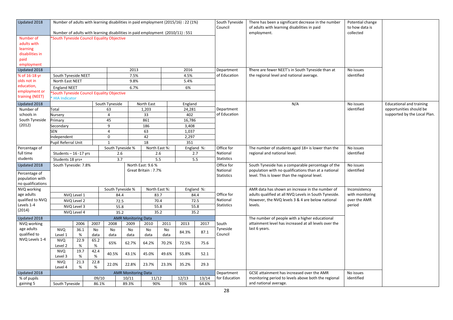| Updated 2018                                                                  | Number of adults with learning disabilities in paid employment (2010/11) : 551 |                                                           |           |                  |                            |                     |       | Number of adults with learning disabilities in paid employment (2015/16) : 22 (1%) |            | South Tyneside<br>Council     | There has been a significant decrease in the number<br>of adults with learning disabilities in paid<br>employment. | Potential change<br>to how data is<br>collected |                                 |
|-------------------------------------------------------------------------------|--------------------------------------------------------------------------------|-----------------------------------------------------------|-----------|------------------|----------------------------|---------------------|-------|------------------------------------------------------------------------------------|------------|-------------------------------|--------------------------------------------------------------------------------------------------------------------|-------------------------------------------------|---------------------------------|
| Number of<br>adults with<br>learning<br>disabilities in<br>paid<br>employment | <b>South Tyneside Council Equality Objective</b>                               |                                                           |           |                  |                            |                     |       |                                                                                    |            |                               |                                                                                                                    |                                                 |                                 |
| Updated 2018                                                                  |                                                                                |                                                           |           |                  | 2013                       |                     |       | 2016                                                                               |            | Department                    | There are fewer NEET's in South Tyneside than at                                                                   | No issues                                       |                                 |
| % of 16-18 yr                                                                 | South Tyneside NEET                                                            |                                                           |           |                  | 7.5%                       |                     |       | 4.5%                                                                               |            | of Education                  | the regional level and national average.                                                                           | identified                                      |                                 |
| olds not in                                                                   | North East NEET                                                                |                                                           |           |                  | 9.8%                       |                     |       | 5.4%                                                                               |            |                               |                                                                                                                    |                                                 |                                 |
| education,                                                                    | <b>England NEET</b>                                                            |                                                           |           |                  | 6.7%                       |                     |       | 6%                                                                                 |            |                               |                                                                                                                    |                                                 |                                 |
| employment or                                                                 | South Tyneside Council Equality Objective                                      |                                                           |           |                  |                            |                     |       |                                                                                    |            |                               |                                                                                                                    |                                                 |                                 |
| training (NEET)                                                               | <b>HIA Indicator</b>                                                           |                                                           |           |                  |                            |                     |       |                                                                                    |            |                               |                                                                                                                    |                                                 |                                 |
| Updated 2018                                                                  |                                                                                |                                                           |           | South Tyneside   |                            | North East          |       | England                                                                            |            |                               | N/A                                                                                                                | No issues                                       | <b>Educational and training</b> |
| Number of                                                                     | Total                                                                          |                                                           |           | 63               |                            | 1,203               |       | 24,281                                                                             |            | Department                    |                                                                                                                    | identified                                      | opportunities should be         |
| schools in                                                                    | Nursery                                                                        |                                                           |           | 4                |                            | 33                  |       | 402                                                                                |            | of Education                  |                                                                                                                    |                                                 | supported by the Local Plan.    |
| South Tyneside                                                                | Primary                                                                        |                                                           |           | 45               |                            | 861                 |       | 16,786                                                                             |            |                               |                                                                                                                    |                                                 |                                 |
| (2012)                                                                        | Secondary                                                                      |                                                           |           | 9                |                            | 186                 |       | 3,408                                                                              |            |                               |                                                                                                                    |                                                 |                                 |
|                                                                               | SEN                                                                            |                                                           |           | $\overline{4}$   |                            | 63                  |       | 1,037                                                                              |            |                               |                                                                                                                    |                                                 |                                 |
|                                                                               | Independent                                                                    |                                                           |           | $\mathbf 0$      |                            | 42                  |       | 2,297                                                                              |            |                               |                                                                                                                    |                                                 |                                 |
|                                                                               | Pupil Referral Unit                                                            |                                                           |           | $\mathbf{1}$     |                            | 18                  |       | 351                                                                                |            |                               |                                                                                                                    |                                                 |                                 |
| Percentage of                                                                 |                                                                                |                                                           |           | South Tyneside % |                            | North East %:       |       |                                                                                    | England %: | Office for                    | The number of students aged 18+ is lower than the                                                                  | No issues                                       |                                 |
| full time                                                                     | Students $-16 - 17$ yrs                                                        |                                                           |           | 2.6              |                            | 2.6                 |       |                                                                                    | 2.7        | National                      | regional and national level.                                                                                       | identified                                      |                                 |
| students                                                                      | Students 18 yrs+                                                               |                                                           |           | 3.7              |                            | 5.5                 |       |                                                                                    | 5.5        | <b>Statistics</b>             |                                                                                                                    |                                                 |                                 |
| Updated 2018                                                                  | South Tyneside: 7.8%                                                           |                                                           |           |                  |                            | North East: 9.6 %   |       |                                                                                    |            | Office for                    | South Tyneside has a comparable percentage of the                                                                  | No issues                                       |                                 |
| Percentage of<br>population with<br>no qualifications                         |                                                                                |                                                           |           |                  |                            | Great Britain: 7.7% |       |                                                                                    |            | National<br><b>Statistics</b> | population with no qualifications than at a national<br>level. This is lower than the regional level.              | identified                                      |                                 |
| NVQ working                                                                   |                                                                                |                                                           |           | South Tyneside % |                            | North East %:       |       |                                                                                    | England %: |                               | AMR data has shown an increase in the number of                                                                    | Inconsistency                                   |                                 |
| age adults                                                                    |                                                                                | NVQ Level 1                                               |           | 84.4             |                            | 83.7                |       |                                                                                    | 84.4       | Office for                    | adults qualified at all NVQ Levels in South Tyneside.                                                              | with monitoring                                 |                                 |
| qualified to NVQ                                                              |                                                                                | NVQ Level 2                                               |           | 72.5             |                            | 70.4                |       |                                                                                    | 72.5       | National                      | However, the NVQ levels 3 & 4 are below national                                                                   | over the AMR                                    |                                 |
| Levels 1-4                                                                    |                                                                                | NVQ Level 3                                               |           | 55.8             |                            | 55.8                |       |                                                                                    | 55.8       | <b>Statistics</b>             | levels.                                                                                                            | period                                          |                                 |
| (2014)                                                                        |                                                                                | NVQ Level 4                                               |           | 35.2             |                            | 35.2                |       |                                                                                    | 35.2       |                               |                                                                                                                    |                                                 |                                 |
| Updated 2018                                                                  |                                                                                |                                                           |           |                  | <b>AMR Monitoring Data</b> |                     |       |                                                                                    |            |                               | The number of people with a higher educational                                                                     |                                                 |                                 |
| NVQ working                                                                   |                                                                                | 2006                                                      | 2007      | 2008             | 2009                       | 2010                | 2011  | 2013                                                                               | 2017       | South                         | attainment level has increased at all levels over the                                                              |                                                 |                                 |
| age adults                                                                    | <b>NVQ</b>                                                                     | 36.1                                                      | <b>No</b> | <b>No</b>        | No                         | No                  | No    | 84.3%                                                                              |            | Tyneside                      | last 6 years.                                                                                                      |                                                 |                                 |
| qualified to                                                                  | Level 1                                                                        | %                                                         | data      | data             | data                       | data                | data  |                                                                                    | 87.1       | Council                       |                                                                                                                    |                                                 |                                 |
| NVQ Levels 1-4                                                                | <b>NVQ</b>                                                                     | 22.9                                                      | 65.2      | 65%              | 62.7%                      | 64.2%               | 70.2% | 72.5%                                                                              | 75.6       |                               |                                                                                                                    |                                                 |                                 |
|                                                                               | Level 2                                                                        | %                                                         | %         |                  |                            |                     |       |                                                                                    |            |                               |                                                                                                                    |                                                 |                                 |
|                                                                               | <b>NVQ</b>                                                                     | 19.7<br>42.4<br>40.5%<br>43.1%<br>45.0%<br>49.6%<br>55.8% |           |                  |                            |                     | 52.1  |                                                                                    |            |                               |                                                                                                                    |                                                 |                                 |
|                                                                               | Level 3                                                                        | $\%$<br>$\%$<br>22.8<br><b>NVQ</b><br>21.3                |           |                  |                            |                     |       |                                                                                    |            |                               |                                                                                                                    |                                                 |                                 |
|                                                                               | 22.0%<br>22.8%<br>23.7%<br>23.3%<br>$\%$<br>%<br>Level 4                       |                                                           |           |                  | 35.2%                      | 29.3                |       |                                                                                    |            |                               |                                                                                                                    |                                                 |                                 |
| Updated 2018                                                                  |                                                                                |                                                           |           |                  | <b>AMR Monitoring Data</b> |                     |       |                                                                                    |            | Department                    | GCSE attainment has increased over the AMR                                                                         | No issues                                       |                                 |
| % of pupils                                                                   |                                                                                |                                                           | 09/10     |                  | 10/11                      | 11/12               |       | 12/13                                                                              | 13/14      | for Education                 | monitoring period to levels above both the regional                                                                | identified                                      |                                 |
| gaining 5                                                                     | South Tyneside                                                                 |                                                           | 86.1%     |                  | 89.3%                      | 90%                 |       | 93%                                                                                | 64.6%      |                               | and national average.                                                                                              |                                                 |                                 |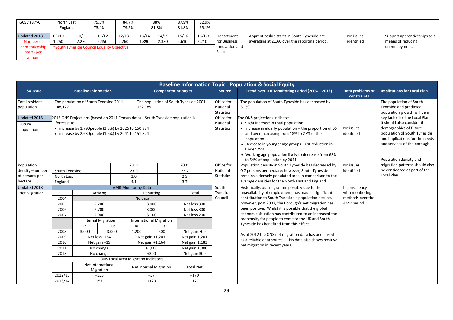| GCSE's A*-C    | North East |                                           | 79.5%                                      | 84.7% |       | 88%   | 87.9% | 62.9%        |                                               |                                             |                   |                              |
|----------------|------------|-------------------------------------------|--------------------------------------------|-------|-------|-------|-------|--------------|-----------------------------------------------|---------------------------------------------|-------------------|------------------------------|
|                | England    |                                           | 75.4%                                      | 79.5% |       | 81.8% | 81.8% | 65.1%        |                                               |                                             |                   |                              |
| Updated 2018   | 09/10      | 10/11                                     | 11/12                                      | 12/13 | 13/14 | 14/15 | 15/16 | 16/17P       | Department                                    | Apprenticeship starts in South Tyneside are | No issues         | Support apprenticeships as a |
| Number of      | 1,260      | 2,330<br>2,260<br>1,890<br>2,270<br>2,450 |                                            |       |       | 2,610 | 2,210 | for Business | averaging at 2,160 over the reporting period. | identified                                  | means of reducing |                              |
| apprenticeship |            |                                           | *South Tyneside Council Equality Objective |       |       |       |       |              | Innovation and                                |                                             |                   | unemployment.                |
| starts per     |            |                                           |                                            |       |       |       |       |              | <b>Skills</b>                                 |                                             |                   |                              |
| annum          |            |                                           |                                            |       |       |       |       |              |                                               |                                             |                   |                              |

|                                                        |                                                           |                                                                                                                                                                                    |                                |  |                                            |                             |                                         |                                                                                      | <b>Baseline Information Topic: Population &amp; Social Equity</b>                                                                                                                                                    |                                  |                                                                                                                                                                             |
|--------------------------------------------------------|-----------------------------------------------------------|------------------------------------------------------------------------------------------------------------------------------------------------------------------------------------|--------------------------------|--|--------------------------------------------|-----------------------------|-----------------------------------------|--------------------------------------------------------------------------------------|----------------------------------------------------------------------------------------------------------------------------------------------------------------------------------------------------------------------|----------------------------------|-----------------------------------------------------------------------------------------------------------------------------------------------------------------------------|
| <b>SA Issue</b>                                        |                                                           | <b>Baseline Information</b>                                                                                                                                                        |                                |  |                                            | <b>Comparator or target</b> |                                         | <b>Source</b>                                                                        | Trend over LDF Monitoring Period (2004 - 2012)                                                                                                                                                                       | Data problems or<br>constraints  | <b>Implications for Local Plan</b>                                                                                                                                          |
| Total resident<br>population<br>Updated 2018<br>Future | 148,127<br>forecast to-                                   | The population of South Tyneside 2011 -<br>2016 ONS Projections (based on 2011 Census data) - South Tyneside population is<br>• increase by 1,790 people (3.8%) by 2026 to 150,984 |                                |  | 152,785                                    |                             | The population of South Tyneside 2001 - | Office for<br>National<br><b>Statistics</b><br>Office for<br>National<br>Statistics, | The population of South Tyneside has decreased by -<br>3.1%.<br>The ONS projections indicate:<br>• slight increase in total population<br>• Increase in elderly population - the proportion of 65                    | No issues                        | The population of South<br>Tyneside and predicted<br>population growth will be a<br>key factor for the Local Plan.<br>It should also consider the<br>demographics of future |
| population                                             |                                                           | • increase by 2,630 people $(1.6%)$ by 2041 to 151,824                                                                                                                             |                                |  |                                            |                             |                                         |                                                                                      | and over increasing from 18% to 27% of the<br>population<br>• Decrease in younger age groups - 6% reduction in<br>Under 25's<br>• Working age population likely to decrease from 63%<br>to 54% of population by 2041 | identified                       | population of South Tyneside<br>and implications for the needs<br>and services of the borough.<br>Population density and                                                    |
| Population                                             |                                                           |                                                                                                                                                                                    |                                |  | 2011                                       |                             | 2001                                    | Office for                                                                           | Population density in South Tyneside has decreased by                                                                                                                                                                | No issues                        | migration patterns should also                                                                                                                                              |
| density-number                                         | South Tyneside                                            |                                                                                                                                                                                    |                                |  | 23.0                                       |                             | 23.7                                    | National                                                                             | 0.7 persons per hectare; however, South Tyneside                                                                                                                                                                     | identified                       | be considered as part of the<br>Local Plan.                                                                                                                                 |
| of persons per<br>hectare                              | North East                                                |                                                                                                                                                                                    |                                |  | 3.0                                        |                             | 2.9                                     | <b>Statistics</b>                                                                    | remains a densely populated area in comparison to the<br>average densities for the North East and England.                                                                                                           |                                  |                                                                                                                                                                             |
|                                                        | England                                                   |                                                                                                                                                                                    |                                |  | 4.1                                        |                             | 3.7                                     |                                                                                      |                                                                                                                                                                                                                      |                                  |                                                                                                                                                                             |
| Updated 2018                                           |                                                           |                                                                                                                                                                                    |                                |  | <b>AMR Monitoring Data</b>                 |                             |                                         | South<br>Tyneside                                                                    | Historically, out-migration, possibly due to the<br>unavailability of employment, has made a significant                                                                                                             | Inconsistency<br>with monitoring |                                                                                                                                                                             |
| <b>Net Migration</b>                                   | 2004                                                      |                                                                                                                                                                                    | Arriving                       |  | Departing<br>No data                       |                             | Total                                   | Council                                                                              | contribution to South Tyneside's population decline,                                                                                                                                                                 | methods over the                 |                                                                                                                                                                             |
|                                                        | 2005                                                      |                                                                                                                                                                                    | 2,700                          |  | 3,000                                      |                             | Net loss 300                            |                                                                                      | however, post 2007, the Borough's net migration has                                                                                                                                                                  | AMR period.                      |                                                                                                                                                                             |
|                                                        | 2006                                                      |                                                                                                                                                                                    | 2,700                          |  | 3,000                                      |                             | Net loss 300                            |                                                                                      | been positive. Whilst it is possible that the global                                                                                                                                                                 |                                  |                                                                                                                                                                             |
|                                                        | 2007                                                      |                                                                                                                                                                                    | 2,900                          |  | 3,100                                      |                             | Net loss 200                            |                                                                                      | economic situation has contributed to an increased the                                                                                                                                                               |                                  |                                                                                                                                                                             |
|                                                        |                                                           |                                                                                                                                                                                    | <b>Internal Migration</b>      |  | <b>International Migration</b>             |                             |                                         |                                                                                      | propensity for people to come to the UK and South                                                                                                                                                                    |                                  |                                                                                                                                                                             |
|                                                        |                                                           | In.                                                                                                                                                                                | Out                            |  | In                                         | Out                         |                                         |                                                                                      | Tyneside has benefited from this effect.                                                                                                                                                                             |                                  |                                                                                                                                                                             |
|                                                        | 2008                                                      | 3.000                                                                                                                                                                              | 3.000                          |  | 1.200                                      | 500                         | Net gain 700                            |                                                                                      |                                                                                                                                                                                                                      |                                  |                                                                                                                                                                             |
|                                                        | 2009                                                      |                                                                                                                                                                                    | Net loss -154                  |  | Net gain +1,201                            |                             | Net gain 1,201                          |                                                                                      | As of 2012 the ONS net migration data has been used                                                                                                                                                                  |                                  |                                                                                                                                                                             |
|                                                        | 2010<br>Net gain 1,183<br>Net gain +19<br>Net gain +1,164 |                                                                                                                                                                                    |                                |  |                                            |                             |                                         |                                                                                      | as a reliable data source This data also shows positive                                                                                                                                                              |                                  |                                                                                                                                                                             |
|                                                        | 2011                                                      |                                                                                                                                                                                    | No change                      |  | $+1,000$                                   |                             | Net gain 1,000                          |                                                                                      | net migration in recent years.                                                                                                                                                                                       |                                  |                                                                                                                                                                             |
|                                                        | 2013                                                      |                                                                                                                                                                                    | No change                      |  | $+300$                                     |                             | Net gain 300                            |                                                                                      |                                                                                                                                                                                                                      |                                  |                                                                                                                                                                             |
|                                                        |                                                           |                                                                                                                                                                                    |                                |  | <b>ONS Local Area Migration Indicators</b> |                             |                                         |                                                                                      |                                                                                                                                                                                                                      |                                  |                                                                                                                                                                             |
|                                                        |                                                           |                                                                                                                                                                                    | Net International<br>Migration |  | Net Internal Migration                     |                             | <b>Total Net</b>                        |                                                                                      |                                                                                                                                                                                                                      |                                  |                                                                                                                                                                             |
|                                                        | 2012/13                                                   |                                                                                                                                                                                    | $+133$                         |  | $+37$                                      |                             | $+170$                                  |                                                                                      |                                                                                                                                                                                                                      |                                  |                                                                                                                                                                             |
|                                                        | 2013/14                                                   |                                                                                                                                                                                    | $+57$                          |  | $+120$                                     |                             | $+177$                                  |                                                                                      |                                                                                                                                                                                                                      |                                  |                                                                                                                                                                             |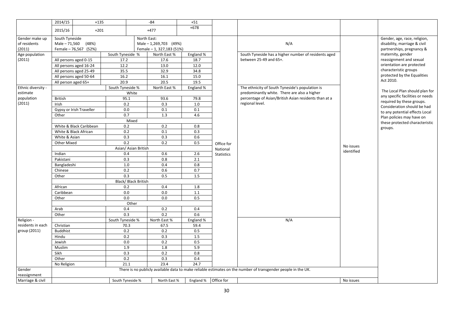|                    | 2014/15               | $+135$                   |                  |                      | -84                       | $+51$     |                   |                                                                                                               |            |                                                      |
|--------------------|-----------------------|--------------------------|------------------|----------------------|---------------------------|-----------|-------------------|---------------------------------------------------------------------------------------------------------------|------------|------------------------------------------------------|
|                    | 2015/16               | $+201$                   |                  |                      | $+477$                    | $+678$    |                   |                                                                                                               |            |                                                      |
|                    |                       |                          |                  |                      |                           |           |                   |                                                                                                               |            |                                                      |
| Gender make up     | South Tyneside        |                          |                  | North East:          |                           |           |                   |                                                                                                               |            | Gender, age, race, religion,                         |
| of residents       | Male - 71,560         | (48%)                    |                  |                      | Male - 1,269,703 (49%)    |           |                   | N/A                                                                                                           |            | disability, marriage & civil                         |
| (2011)             |                       | Female - 76,567 (52%)    |                  |                      | Female - 1, 327,183 (51%) |           |                   |                                                                                                               |            | partnerships, pregnancy &                            |
| Age population     |                       |                          | South Tyneside % |                      | North East %              | England % |                   | South Tyneside has a higher number of residents aged                                                          |            | maternity, gender                                    |
| (2011)             | All persons aged 0-15 |                          | 17.2             |                      | 17.6                      | 18.7      |                   | between 25-49 and 65+.                                                                                        |            | reassignment and sexual                              |
|                    |                       | All persons aged 16-24   | 12.2             |                      | 13.0                      | 12.0      |                   |                                                                                                               |            | orientation are protected                            |
|                    |                       | All persons aged 25-49   | 35.5             |                      | 32.9                      | 34.8      |                   |                                                                                                               |            | characteristic groups<br>protected by the Equalities |
|                    |                       | All persons aged 50-64   | 16.2             |                      | 16.1                      | 15.0      |                   |                                                                                                               |            | Act 2010.                                            |
|                    | All person aged 65+   |                          | 20.9             |                      | 20.5                      | 19.5      |                   |                                                                                                               |            |                                                      |
| Ethnic diversity - |                       |                          | South Tyneside % |                      | North East %              | England % |                   | The ethnicity of South Tyneside's population is                                                               |            | The Local Plan should plan for                       |
| estimate           |                       |                          |                  | White                |                           |           |                   | predominantly white. There are also a higher                                                                  |            | any specific facilities or needs                     |
| population         | British               |                          | 95.1             |                      | 93.6                      | 79.8      |                   | percentage of Asian/British Asian residents than at a                                                         |            | required by these groups.                            |
| (2011)             | Irish                 |                          | 0.2              |                      | 0.3                       | 1.0       |                   | regional level.                                                                                               |            | Consideration should be had                          |
|                    |                       | Gypsy or Irish Traveller | 0.0              |                      | 0.1                       | 0.1       |                   |                                                                                                               |            | to any potential effects Local                       |
|                    | Other                 |                          | 0.7              |                      | 1.3                       | 4.6       |                   |                                                                                                               |            | Plan policies may have on                            |
|                    |                       |                          |                  | Mixed                |                           |           |                   |                                                                                                               |            | these protected characteristic                       |
|                    |                       | White & Black Caribbean  | 0.2              |                      | 0.2                       | 0.8       |                   |                                                                                                               |            | groups.                                              |
|                    |                       | White & Black African    | 0.2              |                      | 0.1                       | 0.3       |                   |                                                                                                               |            |                                                      |
|                    | White & Asian         |                          | 0.3              |                      | 0.3                       | 0.6       |                   |                                                                                                               |            |                                                      |
|                    | <b>Other Mixed</b>    |                          | 0.2              |                      | 0.2                       | 0.5       | Office for        |                                                                                                               | No issues  |                                                      |
|                    |                       |                          |                  | Asian/ Asian British |                           |           | National          |                                                                                                               | identified |                                                      |
|                    | Indian                |                          | 0.4              |                      | 0.6                       | 2.6       | <b>Statistics</b> |                                                                                                               |            |                                                      |
|                    | Pakistani             |                          | 0.3              |                      | 0.8                       | 2.1       |                   |                                                                                                               |            |                                                      |
|                    | Bangladeshi           |                          | 1.0              |                      | 0.4                       | 0.8       |                   |                                                                                                               |            |                                                      |
|                    | Chinese               |                          | 0.2              |                      | 0.6                       | 0.7       |                   |                                                                                                               |            |                                                      |
|                    | Other                 |                          | 0.3              |                      | 0.5                       | 1.5       |                   |                                                                                                               |            |                                                      |
|                    |                       |                          |                  | Black/ Black British |                           |           |                   |                                                                                                               |            |                                                      |
|                    | African               |                          | 0.2              |                      | 0.4                       | 1.8       |                   |                                                                                                               |            |                                                      |
|                    | Caribbean             |                          | 0.0              |                      | 0.0                       | 1.1       |                   |                                                                                                               |            |                                                      |
|                    | Other                 |                          | 0.0              |                      | 0.0                       | 0.5       |                   |                                                                                                               |            |                                                      |
|                    |                       |                          |                  | Other                |                           |           |                   |                                                                                                               |            |                                                      |
|                    | Arab                  |                          | 0.4              |                      | 0.2                       | 0.4       |                   |                                                                                                               |            |                                                      |
|                    | Other                 |                          | 0.3              |                      | 0.2                       | 0.6       |                   |                                                                                                               |            |                                                      |
| Religion -         |                       |                          | South Tyneside % |                      | North East %              | England % |                   | N/A                                                                                                           |            |                                                      |
| residents in each  | Christian             |                          | 70.3             |                      | 67.5                      | 59.4      |                   |                                                                                                               |            |                                                      |
| group (2011)       | <b>Buddhist</b>       |                          | 0.2              |                      | 0.2                       | 0.5       |                   |                                                                                                               |            |                                                      |
|                    | Hindu                 |                          | 0.2              |                      | 0.3                       | 1.5       |                   |                                                                                                               |            |                                                      |
|                    | Jewish                |                          | 0.0              |                      | 0.2                       | $0.5\,$   |                   |                                                                                                               |            |                                                      |
|                    | Muslim                |                          | 1.9              |                      | 1.8                       | 5.9       |                   |                                                                                                               |            |                                                      |
|                    | Sikh                  |                          | 0.3              |                      | 0.2                       | 0.8       |                   |                                                                                                               |            |                                                      |
|                    | Other                 |                          | 0.2              |                      | 0.3                       | 0.4       |                   |                                                                                                               |            |                                                      |
|                    | No Religion           |                          | 21.1             |                      | 23.4                      | 24.7      |                   |                                                                                                               |            |                                                      |
| Gender             |                       |                          |                  |                      |                           |           |                   | There is no publicly available data to make reliable estimates on the number of transgender people in the UK. |            |                                                      |
| reassignment       |                       |                          |                  |                      |                           |           |                   |                                                                                                               |            |                                                      |
| Marriage & civil   |                       |                          | South Tyneside % |                      | North East %              | England % | Office for        |                                                                                                               | No issues  |                                                      |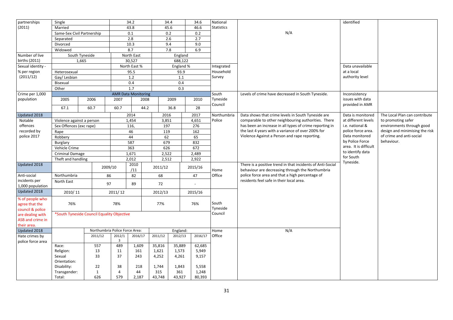| partnerships      | Single                                     |                            | 34.2                           |                            |              | 34.4         | 34.6              | National    |                                                            | identified                                           |                                |
|-------------------|--------------------------------------------|----------------------------|--------------------------------|----------------------------|--------------|--------------|-------------------|-------------|------------------------------------------------------------|------------------------------------------------------|--------------------------------|
| (2011)            | Married                                    |                            | 43.8                           |                            | 45.6         | 46.6         | <b>Statistics</b> |             |                                                            |                                                      |                                |
|                   |                                            | Same-Sex Civil Partnership |                                |                            |              | 0.2          | 0.2               |             | N/A                                                        |                                                      |                                |
|                   |                                            |                            | $0.1\,$<br>2.8                 |                            | 2.6          | 2.7          |                   |             |                                                            |                                                      |                                |
|                   | Divorced                                   | Separated                  |                                |                            |              | 9.4          | 9.0               |             |                                                            |                                                      |                                |
|                   | Widowed                                    |                            | 10.3<br>8.7                    |                            | 7.8          | 6.9          |                   |             |                                                            |                                                      |                                |
| Number of live    |                                            | South Tyneside             |                                |                            |              | England      |                   |             |                                                            |                                                      |                                |
| births (2011)     |                                            | 1,665                      |                                | North East<br>30,527       |              | 688,122      |                   |             |                                                            |                                                      |                                |
| Sexual identity - |                                            |                            |                                | North East %               |              | England %    |                   | Integrated  |                                                            | Data unavailable                                     |                                |
| % per region      | Heterosexual                               |                            |                                | 95.5                       |              | 93.9         |                   | Household   |                                                            | at a local                                           |                                |
| (2011/12)         | Gay/Lesbian                                |                            |                                | 1.2                        |              | 1.1          |                   | Survey      |                                                            | authority level                                      |                                |
|                   | Bisexual                                   |                            |                                | 0.4                        |              | 0.4          |                   |             |                                                            |                                                      |                                |
|                   | Other                                      |                            |                                | 1.7                        |              | 0.3          |                   |             |                                                            |                                                      |                                |
| Crime per 1,000   |                                            |                            |                                | <b>AMR Data Monitoring</b> |              |              |                   | South       | Levels of crime have decreased in South Tyneside.          |                                                      |                                |
| population        | 2005                                       | 2006                       | 2007                           | 2008                       |              | 2009         | 2010              | Tyneside    |                                                            | Inconsistency<br>issues with data<br>provided in AMR |                                |
|                   |                                            |                            |                                |                            |              |              |                   | Council     |                                                            |                                                      |                                |
|                   | 67.1                                       | 60.7                       |                                | 44.2                       |              | 36.8         | 28                |             |                                                            |                                                      |                                |
| Updated 2018      |                                            |                            |                                | 2014                       |              | 2016         | 2017              | Northumbria | Data shows that crime levels in South Tyneside are         | Data is monitored                                    | The Local Plan can contribute  |
| Notable           | Violence against a person                  |                            |                                | 1,454                      | 3,851        |              | 4,651             | Police      | comparable to other neighbouring authorities. There        | at different levels                                  | to promoting safer             |
| offences          | Sex Offences (exc rape)                    |                            | 116,                           |                            |              | 197          | 276               |             | has been an increase in all types of crime reporting in    | i.e. national &                                      | environments through good      |
| recorded by       | Rape                                       |                            | 46                             |                            | 119          |              | 162               |             | the last 4 years with a variance of over 200% for          | police force area.                                   | design and minimising the risk |
| police 2017       | Robbery                                    |                            |                                | 44                         | 62           |              | 65                |             | Violence Against a Person and rape reporting.              | Data monitored                                       | of crime and anti-social       |
|                   | Burglary                                   |                            | 587                            | 679                        |              | 832          |                   |             | by Police Force                                            | behaviour.                                           |                                |
|                   | Vehicle Crime                              |                            |                                |                            | 626          |              | 672               |             |                                                            | area. It is difficult                                |                                |
|                   |                                            | <b>Criminal Damage</b>     |                                |                            | 2,522        |              | 2,489             |             |                                                            | to identify data                                     |                                |
|                   |                                            | Theft and handling         |                                |                            | 2,512        |              | 2,922             |             |                                                            | for South                                            |                                |
| Updated 2018      |                                            |                            |                                |                            | 2011/12      |              |                   |             | There is a positive trend in that incidents of Anti-Social | Tyneside.                                            |                                |
|                   |                                            | 2009/10                    |                                | 2010<br>/11                |              |              | 2015/16           | Home        | behaviour are decreasing through the Northumbria           |                                                      |                                |
| Anti-social       | Northumbria                                |                            | 86                             | 82                         | 68           |              | 47                | Office      | police force area and that a high percentage of            |                                                      |                                |
| incidents per     | North East                                 |                            |                                |                            |              |              |                   |             | residents feel safe in their local area.                   |                                                      |                                |
| 1,000 population  |                                            |                            | 97                             | 89                         | 72           |              |                   |             |                                                            |                                                      |                                |
| Updated 2018      | 2010/11                                    |                            | 2011/12                        |                            | 2012/13      |              | 2015/16           |             |                                                            |                                                      |                                |
| % of people who   |                                            |                            |                                |                            |              |              |                   |             |                                                            |                                                      |                                |
| agree that the    | 76%                                        |                            | 78%                            |                            | 77%          |              | 76%               | South       |                                                            |                                                      |                                |
| council & police  |                                            |                            |                                |                            |              |              |                   | Tyneside    |                                                            |                                                      |                                |
| are dealing with  | *South Tyneside Council Equality Objective |                            |                                |                            |              |              |                   | Council     |                                                            |                                                      |                                |
| ASB and crime in  |                                            |                            |                                |                            |              |              |                   |             |                                                            |                                                      |                                |
| their area.       |                                            |                            |                                |                            |              |              |                   |             |                                                            |                                                      |                                |
| Updated 2018      |                                            |                            | Northumbria Police Force Area: |                            |              | England:     |                   | Home        | N/A                                                        |                                                      |                                |
| Hate crimes by    |                                            | 2011/12                    | 2012/1                         | 2016/17                    | 2011/12      | 2012/13      | 2016/17           | Office      |                                                            |                                                      |                                |
| police force area |                                            |                            | $\overline{\mathbf{3}}$        |                            |              |              |                   |             |                                                            |                                                      |                                |
|                   | Race:                                      | 557                        | 489                            | 1,609                      | 35,816       | 35,889       | 62,685            |             |                                                            |                                                      |                                |
|                   | Religion:                                  | 13                         | 11                             | 161                        | 1,621        | 1,573        | 5,949             |             |                                                            |                                                      |                                |
|                   | Sexual                                     | 33                         | 37                             | 243                        | 4,252        | 4,261        | 9,157             |             |                                                            |                                                      |                                |
|                   | Orientation:                               |                            |                                |                            |              |              |                   |             |                                                            |                                                      |                                |
|                   | Disability:<br>Transgender:                | 22<br>1                    | 38<br>4                        | 218<br>44                  | 1,744<br>315 | 1,843<br>361 | 5,558<br>1,248    |             |                                                            |                                                      |                                |
|                   | Total:                                     | 626                        | 579                            | 2,187                      | 43,748       | 43,927       | 80,393            |             |                                                            |                                                      |                                |
|                   |                                            |                            |                                |                            |              |              |                   |             |                                                            |                                                      |                                |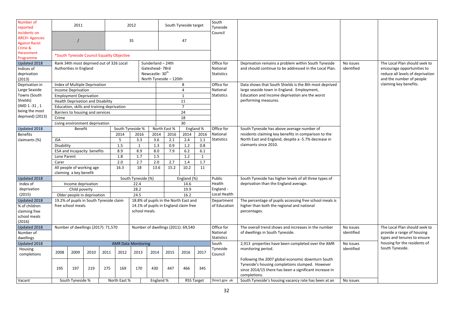| Number of<br>reported<br>incidents on<br><b>ARCH-Agencies</b><br><b>Against Racist</b><br>Crime &<br>Harassment               | 2011<br>*South Tyneside Council Equality Objective                                                                                                                                  |                                                                                                                                                                                                                    |             |             | 2012<br>South Tyneside target<br>35<br>47     |                                                                            |                                                       |                                                                                |                                                                               | South<br>Tyneside<br>Council                             |                                                                             |                                                                                                                                                                                                                                                              |                                      |                                                                                                                             |  |
|-------------------------------------------------------------------------------------------------------------------------------|-------------------------------------------------------------------------------------------------------------------------------------------------------------------------------------|--------------------------------------------------------------------------------------------------------------------------------------------------------------------------------------------------------------------|-------------|-------------|-----------------------------------------------|----------------------------------------------------------------------------|-------------------------------------------------------|--------------------------------------------------------------------------------|-------------------------------------------------------------------------------|----------------------------------------------------------|-----------------------------------------------------------------------------|--------------------------------------------------------------------------------------------------------------------------------------------------------------------------------------------------------------------------------------------------------------|--------------------------------------|-----------------------------------------------------------------------------------------------------------------------------|--|
| Programme<br>Updated 2018<br>Indices of<br>deprivation<br>(2013)                                                              |                                                                                                                                                                                     | Rank 34th most deprived out of 326 Local<br>Authorities in England                                                                                                                                                 |             |             |                                               |                                                                            | Sunderland - 24th<br>Gateshead-78rd<br>Newcastle-30th | North Tyneside - 120th                                                         |                                                                               |                                                          | Office for<br>National<br><b>Statistics</b>                                 | Deprivation remains a problem within South Tyneside<br>and should continue to be addressed in the Local Plan.                                                                                                                                                | No issues<br>identified              | The Local Plan should seek to<br>encourage opportunities to<br>reduce all levels of deprivation<br>and the number of people |  |
| Deprivation in<br>Large Seaside<br>Towns (South<br>Shields)<br>(IMD 1-31, 1<br>being the most<br>deprived) (2013)             | Crime                                                                                                                                                                               | Index of Multiple Deprivation<br><b>Income Deprivation</b><br><b>Employment Deprivation</b><br>Health Deprivation and Disability<br>Education, skills and training deprivation<br>Barriers to housing and services |             |             |                                               |                                                                            |                                                       |                                                                                | 8<br>$\overline{a}$<br>$\mathbf{1}$<br>11<br>$\overline{7}$<br>24<br>18<br>30 |                                                          | Office for<br>National<br><b>Statistics</b>                                 | Data shows that South Shields is the 8th most deprived<br>large seaside town in England. Employment,<br>Education and Income deprivation are the worst<br>performing measures.                                                                               |                                      | claiming key benefits.                                                                                                      |  |
| Updated 2018<br><b>Benefits</b><br>claimants (%)                                                                              | Living environment deprivation<br><b>Benefit</b><br>JSA<br>Disability<br>ESA and Incapacity benefits<br>Lone Parent<br>Carer<br>All people of working age<br>claiming a key benefit |                                                                                                                                                                                                                    |             |             | 2014<br>5<br>1.5<br>8.9<br>1.8<br>2.0<br>16.3 | South Tyneside %<br>2016<br>3.3<br>$\mathbf{1}$<br>8.9<br>1.7<br>2.7<br>18 | 2014<br>3.6<br>1.3<br>8.0<br>1.5<br>2.0<br>13.6       | North East %<br>2016<br>2.1<br>0.9<br>7.9<br>2.7<br>15.2                       | 2014<br>2.4<br>1.2<br>6.2<br>1.2<br>1.4<br>10.2                               | England %<br>2016<br>1.1<br>0.8<br>6.1<br>1<br>1.7<br>11 | Office for<br>National<br><b>Statistics</b>                                 | South Tyneside has above average number of<br>residents claiming key benefits in comparison to the<br>North East and England, despite a -5.7% decrease in<br>claimants since 2010.                                                                           |                                      |                                                                                                                             |  |
| Updated 2018<br>Index of<br>deprivation<br>(2015)<br>Updated 2018<br>% of children<br>claiming free<br>school meals<br>(2016) |                                                                                                                                                                                     | Income deprivation<br>Child poverty<br>Older people in deprivation<br>19.2% of pupils in South Tyneside claim<br>free school meals.                                                                                |             |             |                                               | South Tyneside (%)<br>22.4<br>28.2<br>24.5<br>school meals.                |                                                       | 18.8% of pupils in the North East and<br>14.1% of pupils in England claim free | England (%)<br>14.6<br>19.9<br>16.2                                           |                                                          | Public<br>Health<br>England -<br>Local Health<br>Department<br>of Education | South Tyneside has higher levels of all three types of<br>deprivation than the England average.<br>The percentage of pupils accessing free school meals is<br>higher than both the regional and national<br>percentages.                                     |                                      |                                                                                                                             |  |
| Updated 2018<br>Number of<br>dwellings<br>Updated 2018                                                                        |                                                                                                                                                                                     | Number of dwellings (2017): 71,570                                                                                                                                                                                 |             |             |                                               | <b>AMR Data Monitoring</b>                                                 |                                                       | Number of dwellings (2011): 69,540                                             |                                                                               |                                                          | Office for<br>National<br><b>Statistics</b><br>South                        | The overall trend shows and increases in the number<br>of dwellings in South Tyneside.<br>2,913 properties have been completed over the AMR                                                                                                                  | No issues<br>identified<br>No issues | The Local Plan should seek to<br>provide a range of housing<br>types and tenures to ensure<br>housing for the residents of  |  |
| Housing<br>completions<br>Vacant                                                                                              | 2008<br>195                                                                                                                                                                         | 2009<br>197<br>South Tyneside %                                                                                                                                                                                    | 2010<br>219 | 2011<br>275 | 2012<br>169<br>North East %                   | 2013<br>170                                                                | 2014<br>430<br>England %                              | 2015<br>447                                                                    | 2016<br>466                                                                   | 2017<br>345<br><b>RSS Target</b>                         | Tyneside<br>Council<br>Direct.gov.uk                                        | monitoring period.<br>Following the 2007 global economic downturn South<br>Tyneside's housing completions slumped. However<br>since 2014/15 there has been a significant increase in<br>completions.<br>South Tyneside's housing vacancy rate has been at an | identified<br>No issues              | South Tyneside.                                                                                                             |  |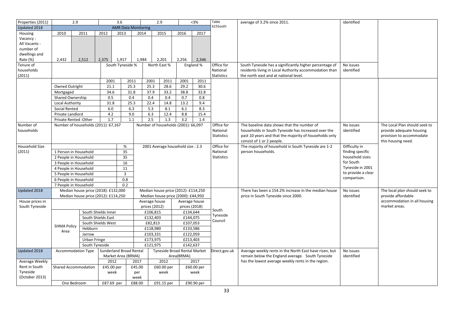| Properties (2011)     | 2.9<br>3.6                          |                                                                           |                |                                     | 2.9<br>$3%$ |                                  |            |                                     |               | Table                                                  | average of 3.2% since 2011.                             | identified               |                               |
|-----------------------|-------------------------------------|---------------------------------------------------------------------------|----------------|-------------------------------------|-------------|----------------------------------|------------|-------------------------------------|---------------|--------------------------------------------------------|---------------------------------------------------------|--------------------------|-------------------------------|
| Updated 2018          |                                     | <b>AMR Data Monitoring</b>                                                |                |                                     |             |                                  | 615South   |                                     |               |                                                        |                                                         |                          |                               |
| Housing               | 2010                                | 2011                                                                      | 2012           | 2013                                | 2014        |                                  | 2015       | 2016                                | 2017          |                                                        |                                                         |                          |                               |
| Vacancy:              |                                     |                                                                           |                |                                     |             |                                  |            |                                     |               |                                                        |                                                         |                          |                               |
| All Vacants -         |                                     |                                                                           |                |                                     |             |                                  |            |                                     |               |                                                        |                                                         |                          |                               |
| number of             |                                     |                                                                           |                |                                     |             |                                  |            |                                     |               |                                                        |                                                         |                          |                               |
| dwellings and         |                                     |                                                                           |                |                                     |             |                                  |            |                                     |               |                                                        |                                                         |                          |                               |
| Rate (%)              | 2,432                               | 2,512                                                                     | 2,375          | 1,917                               | 1,984       |                                  | 2,201      | 2,256                               | 2,346         |                                                        |                                                         |                          |                               |
| Tenure of             |                                     |                                                                           |                | South Tyneside %                    |             | North East %                     |            |                                     | England %     | Office for                                             | South Tyneside has a significantly higher percentage of | No issues                |                               |
| households            |                                     |                                                                           |                |                                     |             |                                  |            |                                     |               | National                                               | residents living in Local Authority accommodation than  | identified               |                               |
| (2011)                |                                     |                                                                           |                |                                     |             |                                  |            |                                     |               | <b>Statistics</b>                                      | the north east and at national level.                   |                          |                               |
|                       |                                     |                                                                           |                | 2001<br>2011                        |             | 2001                             | 2011       | 2001                                | 2011          |                                                        |                                                         |                          |                               |
|                       | Owned Outright                      |                                                                           | 21.1           | 25.3                                |             | 25.3                             | 28.6       | 29.2                                | 30.6          |                                                        |                                                         |                          |                               |
|                       | Mortgaged                           |                                                                           | 34.6           | 31.8                                |             | 37.9                             | 33.2       | 38.8                                | 32.8          |                                                        |                                                         |                          |                               |
|                       | <b>Shared Ownership</b>             |                                                                           | 0.5            | 0.4                                 |             | 0.4                              | 0.4        | 0.7                                 | 0.8           |                                                        |                                                         |                          |                               |
|                       | <b>Local Authority</b>              |                                                                           | 31.8           | 25.3                                |             | 22.4                             | 14.8       | 13.2                                | 9.4           |                                                        |                                                         |                          |                               |
|                       | Social Rented                       |                                                                           | 6.0            | 6.3                                 |             | 5.3                              | 8.1        | 6.1                                 | 8.3           |                                                        |                                                         |                          |                               |
|                       | Private Landlord                    |                                                                           | 4.2            |                                     | 9.0         | 6.3                              | 12.4       | 8.8                                 | 15.4          |                                                        |                                                         |                          |                               |
|                       | Private Rented : Other              |                                                                           | 1.7            | 1.1                                 |             | 2.5                              | 1.3        | 3.2                                 | 1.4           |                                                        |                                                         |                          |                               |
| Number of             | Number of households (2011): 67,167 |                                                                           |                |                                     |             |                                  |            | Number of households (2001): 66,097 |               | Office for                                             | The baseline data shows that the number of              | No issues                | The Local Plan should seek to |
| households            |                                     |                                                                           |                |                                     |             |                                  |            |                                     |               | National                                               | households in South Tyneside has increased over the     | identified               | provide adequate housing      |
|                       |                                     |                                                                           |                |                                     |             |                                  |            |                                     | Statistics    | past 10 years and that the majority of households only |                                                         | provision to accommodate |                               |
|                       |                                     |                                                                           |                |                                     |             |                                  |            |                                     |               | Office for                                             | consist of 1 or 2 people.                               |                          | this housing need.            |
| <b>Household Size</b> |                                     |                                                                           |                | %                                   |             | 2001 Average household size: 2.3 |            |                                     |               |                                                        | The majority of household in South Tyneside are 1-2     | Difficulty in            |                               |
| (2011)                | 1 Person in Household               |                                                                           |                | 35                                  |             |                                  |            |                                     |               |                                                        | person households.                                      | finding specific         |                               |
|                       | 2 People in Household               |                                                                           |                | 35                                  |             |                                  |            |                                     |               | <b>Statistics</b>                                      |                                                         | household sizes          |                               |
|                       | 3 People in Household               |                                                                           |                | 16                                  |             |                                  |            |                                     |               |                                                        |                                                         | for South                |                               |
|                       | 4 People in Household               |                                                                           |                | 11                                  |             |                                  |            |                                     |               |                                                        |                                                         | Tyneside in 2001         |                               |
|                       | 5 People in Household               |                                                                           | $\overline{3}$ |                                     |             |                                  |            |                                     |               |                                                        |                                                         | to provide a clear       |                               |
|                       | 6 People in Household               |                                                                           |                | 0.8                                 |             |                                  |            |                                     |               |                                                        | comparison.                                             |                          |                               |
|                       | 7 People in Household               |                                                                           |                | 0.2                                 |             |                                  |            |                                     |               |                                                        |                                                         |                          |                               |
| Updated 2018          |                                     | Median house price (2018): £132,000                                       |                | Median house price (2012): £114,250 |             |                                  |            |                                     |               |                                                        | There has been a 154.2% increase in the median house    | No issues                | The local plan should seek to |
|                       |                                     | Median house price (2012): £114,250<br>Median house price (2000): £44,950 |                |                                     |             |                                  |            |                                     |               |                                                        | price in South Tyneside since 2000.                     | identified               | provide affordable            |
| House prices in       |                                     |                                                                           |                |                                     |             | Average house                    |            | Average house                       |               |                                                        |                                                         |                          | accommodation in all housing  |
| South Tyneside        |                                     |                                                                           |                |                                     |             | prices (2012)                    |            |                                     | prices (2018) |                                                        |                                                         |                          | market areas.                 |
|                       |                                     | South Shields Inner                                                       |                |                                     |             | £106,815                         |            | £134,644                            |               | South                                                  |                                                         |                          |                               |
|                       |                                     | South Shields East                                                        |                |                                     |             | £132,403                         |            | £144,075                            |               | Tyneside<br>Council                                    |                                                         |                          |                               |
|                       | <b>SHMA Policy</b>                  | South Shields West                                                        |                |                                     |             | £82,813                          |            | £107,053                            |               |                                                        |                                                         |                          |                               |
|                       | Area                                | Hebburn                                                                   |                |                                     |             | £118,980                         |            | £133,586                            |               |                                                        |                                                         |                          |                               |
|                       |                                     | Jarrow                                                                    |                |                                     |             | £103,331                         |            | £122,059                            |               |                                                        |                                                         |                          |                               |
|                       |                                     | Urban Fringe                                                              |                |                                     |             | £173,975                         |            | £213,403                            |               |                                                        |                                                         |                          |                               |
|                       |                                     | South Tyneside                                                            |                |                                     |             | £121,975                         |            | £142,637                            |               |                                                        |                                                         |                          |                               |
| Updated 2018          | <b>Accommodation Type</b>           |                                                                           |                | Sunderland Broad Rental             |             | Tyneside Broad Rental Market     |            |                                     |               | Direct.gov.uk                                          | Average weekly rents in the North East have risen, but  | No issues                |                               |
|                       |                                     |                                                                           |                | Market Area (BRMA)                  |             |                                  |            | Area(BRMA)                          |               |                                                        | remain below the England average. South Tyneside        | identified               |                               |
| Average Weekly        |                                     |                                                                           | 2012           |                                     | 2017        |                                  | 2012       |                                     | 2017          |                                                        | has the lowest average weekly rents in the region.      |                          |                               |
| Rent in South         | <b>Shared Accommodation</b>         |                                                                           | £45.00 per     |                                     | £45.00      |                                  | £60.00 per |                                     | £60.00 per    |                                                        |                                                         |                          |                               |
| Tyneside              |                                     |                                                                           | week           |                                     | per         |                                  | week       |                                     | week          |                                                        |                                                         |                          |                               |
| (October 2013)        |                                     |                                                                           |                |                                     | week        |                                  |            |                                     |               |                                                        |                                                         |                          |                               |
|                       | One Bedroom                         |                                                                           |                | £87.69 per<br>£88.00                |             | £91.15 per                       |            |                                     | £90.90 per    |                                                        |                                                         |                          |                               |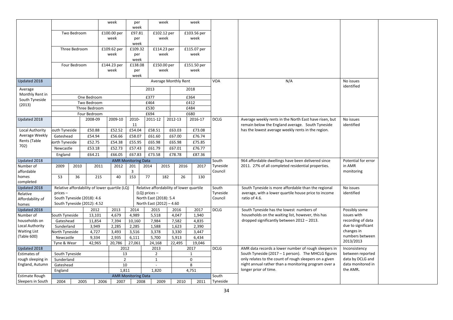|                           |                              |                                    | week                                          |                | per                        |                          | week             | week                 |                                          |                                                        |                                                                                               |                              |
|---------------------------|------------------------------|------------------------------------|-----------------------------------------------|----------------|----------------------------|--------------------------|------------------|----------------------|------------------------------------------|--------------------------------------------------------|-----------------------------------------------------------------------------------------------|------------------------------|
|                           | Two Bedroom                  |                                    | £100.00 per<br>week                           |                | week                       |                          |                  |                      |                                          |                                                        |                                                                                               |                              |
|                           |                              |                                    |                                               |                |                            |                          | £97.81<br>per    | £102.12 per<br>week  |                                          |                                                        | £103.56 per<br>week                                                                           |                              |
|                           |                              |                                    |                                               | week           |                            |                          |                  |                      |                                          |                                                        |                                                                                               |                              |
|                           | Three Bedroom<br>£109.62 per |                                    |                                               | £109.32        |                            | £114.23 per              |                  | £115.07 per          |                                          |                                                        |                                                                                               |                              |
|                           |                              |                                    |                                               | week           | per                        |                          | week             |                      | week                                     |                                                        |                                                                                               |                              |
|                           |                              |                                    |                                               |                | week                       |                          |                  |                      |                                          |                                                        |                                                                                               |                              |
|                           |                              | Four Bedroom                       |                                               | £144.23 per    | £138.08                    |                          | £150.00 per      |                      | £151.50 per                              |                                                        |                                                                                               |                              |
|                           |                              |                                    |                                               | week           | per                        |                          | week             |                      | week                                     |                                                        |                                                                                               |                              |
|                           |                              |                                    |                                               |                | week                       |                          |                  |                      |                                          |                                                        |                                                                                               |                              |
| Updated 2018              |                              |                                    |                                               |                |                            |                          |                  | Average Monthly Rent |                                          | <b>VOA</b>                                             | N/A                                                                                           | No issues                    |
| Average                   |                              |                                    |                                               |                |                            | 2013                     |                  |                      | 2018                                     |                                                        |                                                                                               | identified                   |
| Monthly Rent in           |                              |                                    |                                               |                |                            |                          |                  |                      |                                          |                                                        |                                                                                               |                              |
| South Tyneside            |                              |                                    | One Bedroom<br>Two Bedroom                    |                |                            | £377<br>£464             |                  |                      | £364<br>£412                             |                                                        |                                                                                               |                              |
| (2013)                    |                              |                                    | Three Bedroom                                 |                |                            | £530                     |                  |                      | £484                                     |                                                        |                                                                                               |                              |
|                           |                              |                                    |                                               |                |                            | £694                     |                  | £680                 |                                          |                                                        |                                                                                               |                              |
| Updated 2018              |                              | Four Bedroom<br>2009-10<br>2008-09 |                                               | 2010-          | 2011-12                    |                          | 2012-13          | 2016-17              | <b>DCLG</b>                              | Average weekly rents in the North East have risen, but | No issues                                                                                     |                              |
|                           |                              |                                    |                                               |                | 11                         |                          |                  |                      |                                          |                                                        | remain below the England average. South Tyneside                                              | identified                   |
| <b>Local Authority</b>    | outh Tyneside                |                                    | £50.88                                        | £52.52         | £54.04                     |                          | £58.51<br>£63.03 |                      | £73.08                                   |                                                        | has the lowest average weekly rents in the region.                                            |                              |
| Average Weekly            | Gateshead                    |                                    | £54.94                                        | £56.66         | £58.07                     | £61.60                   |                  | £67.00               | £76.74                                   |                                                        |                                                                                               |                              |
| Rents (Table              | orth Tyneside                |                                    | £52.75                                        | £54.38         | £55.95                     | £65.98                   |                  | £65.98               | £75.85                                   |                                                        |                                                                                               |                              |
| 702)                      | Newcastle                    |                                    | £53.18                                        | £52.73         | £57.43                     | £61.79                   |                  | £67.01               | £76.77                                   |                                                        |                                                                                               |                              |
|                           | England                      |                                    | £64.21                                        | £66.05         | £67.83                     | £73.58                   |                  | £78.78               | £87.36                                   |                                                        |                                                                                               |                              |
| Updated 2018              |                              | <b>AMR Monitoring Data</b>         |                                               |                |                            |                          |                  |                      | South                                    | 964 affordable dwellings have been delivered since     | Potential for error                                                                           |                              |
| Number of                 | 2009                         | 2010                               | 2011                                          | 2012           | 201                        | 2014                     | 2015             | 2016                 | 2017                                     | Tyneside                                               | 2011. 27% of all completed residential properties.                                            | in AMR                       |
| affordable                |                              |                                    |                                               |                | 3                          |                          |                  |                      |                                          | Council                                                |                                                                                               | monitoring                   |
| homes                     | 53                           | 36                                 | 215                                           | 40             | 153                        | 77                       | 182              | 26                   | 130                                      |                                                        |                                                                                               |                              |
| completed                 |                              |                                    |                                               |                |                            |                          |                  |                      |                                          |                                                        |                                                                                               |                              |
| Updated 2018              |                              |                                    | Relative affordability of lower quartile (LQ) |                |                            |                          |                  |                      | Relative affordability of lower quartile | South                                                  | South Tyneside is more affordable than the regional                                           | No issues                    |
| Relative                  | $prices -$                   |                                    |                                               |                |                            | $(LQ)$ prices $-$        |                  |                      |                                          | Tyneside                                               | average, with a lower quartile house price to income                                          | identified                   |
| Affordability of          |                              |                                    | South Tyneside (2018): 4.6                    |                |                            | North East (2018): 5.4   |                  |                      |                                          | Council                                                | ratio of 4.6.                                                                                 |                              |
| homes                     |                              |                                    | South Tyneside (2012): 4.52                   |                |                            | North East (2012) - 4.60 |                  |                      |                                          |                                                        |                                                                                               |                              |
| Updated 2018<br>Number of |                              |                                    | 2012                                          | 2013           | 2014                       | 2015                     |                  | 2016                 | 2017                                     | <b>DCLG</b>                                            | South Tyneside has the lowest numbers of<br>households on the waiting list, however, this has | Possibly some<br>issues with |
| households on             | South Tyneside<br>Gateshead  |                                    | 13,101<br>11,854                              | 4,679<br>7,394 | 4,989<br>10,160            | 5,518<br>7,984           |                  | 4,047<br>7,582       | 1,940<br>4,835                           |                                                        | dropped significantly between 2012 - 2013.                                                    | recording of data            |
| Local Authority           | Sunderland                   |                                    | 3,949                                         | 2,285          | 2,285                      | 1,588                    |                  | 1,623                | 2,390                                    |                                                        |                                                                                               | due to significant           |
| <b>Waiting List</b>       | North Tyneside               |                                    | 4,727                                         | 3,493          | 3,516                      | 3,378                    |                  | 3,330                | 3,447                                    |                                                        |                                                                                               | changes in                   |
| (Table 600)               | Newcastle                    |                                    | 9,334                                         | 2,935          | 6,111                      | 5,700                    |                  | 5,913                | 6,434                                    |                                                        |                                                                                               | numbers between              |
|                           | Tyne & Wear                  |                                    | 42,965                                        | 20,786         | 27,061                     | 24,168                   |                  | 22,495               | 19,046                                   |                                                        |                                                                                               | 2013/2013                    |
| Updated 2018              |                              |                                    |                                               | 2012           |                            | 2013                     |                  |                      | 2017                                     | <b>DCLG</b>                                            | AMR data records a lower number of rough sleepers in                                          | Inconsistency                |
| Estimates of              | South Tyneside               |                                    |                                               | 13             |                            | $\overline{2}$           |                  |                      | $\mathbf{1}$                             |                                                        | South Tyneside (2017 - 1 person). The MHCLG figures                                           | between reported             |
| rough sleeping in         | Sunderland                   |                                    |                                               | $\overline{2}$ |                            | $\mathbf{1}$             |                  |                      | $\mathbf 0$                              |                                                        | only relates to the count of rough sleepers on a given                                        | data by DCLG and             |
| England, Autumn           | Gateshead                    |                                    |                                               | 10             |                            | $\overline{\phantom{a}}$ |                  |                      | 8                                        |                                                        | night annual rather than a monitoring program over a                                          | data monitored in            |
|                           | England                      |                                    |                                               | 1,811          |                            | 1,820                    |                  |                      | 4,751                                    |                                                        | longer prior of time.                                                                         | the AMR.                     |
| Estimate Rough            |                              |                                    |                                               |                | <b>AMR Monitoring Data</b> |                          |                  |                      |                                          | South                                                  |                                                                                               |                              |
| Sleepers in South         | 2004                         |                                    | 2005<br>2006                                  | 2007           | 2008                       |                          | 2009             | 2010                 | 2011                                     | Tyneside                                               |                                                                                               |                              |